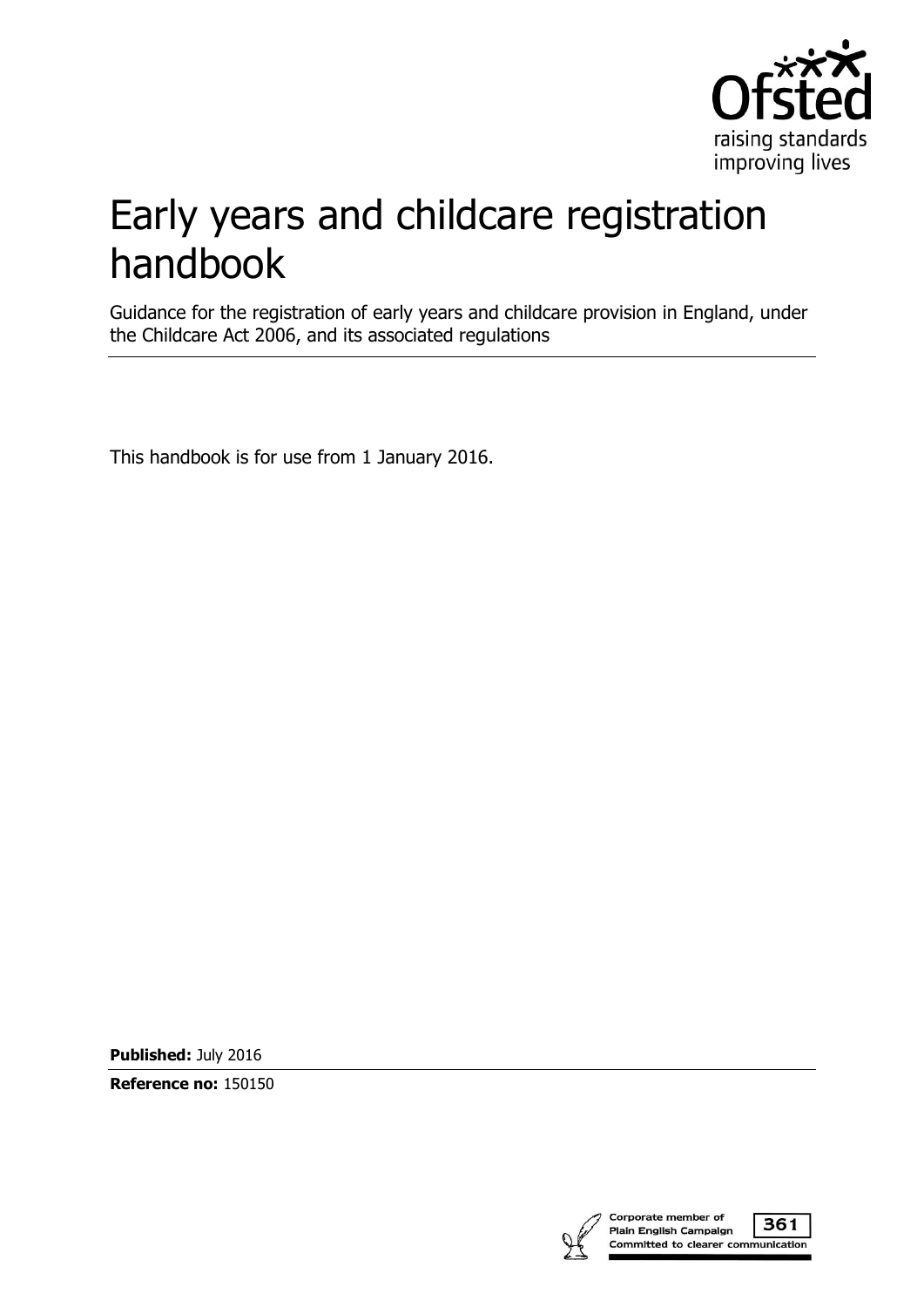

# Early years and childcare registration handbook

Guidance for the registration of early years and childcare provision in England, under the Childcare Act 2006, and its associated regulations

This handbook is for use from 1 January 2016.

**Published:** July 2016

**Reference no:** 150150

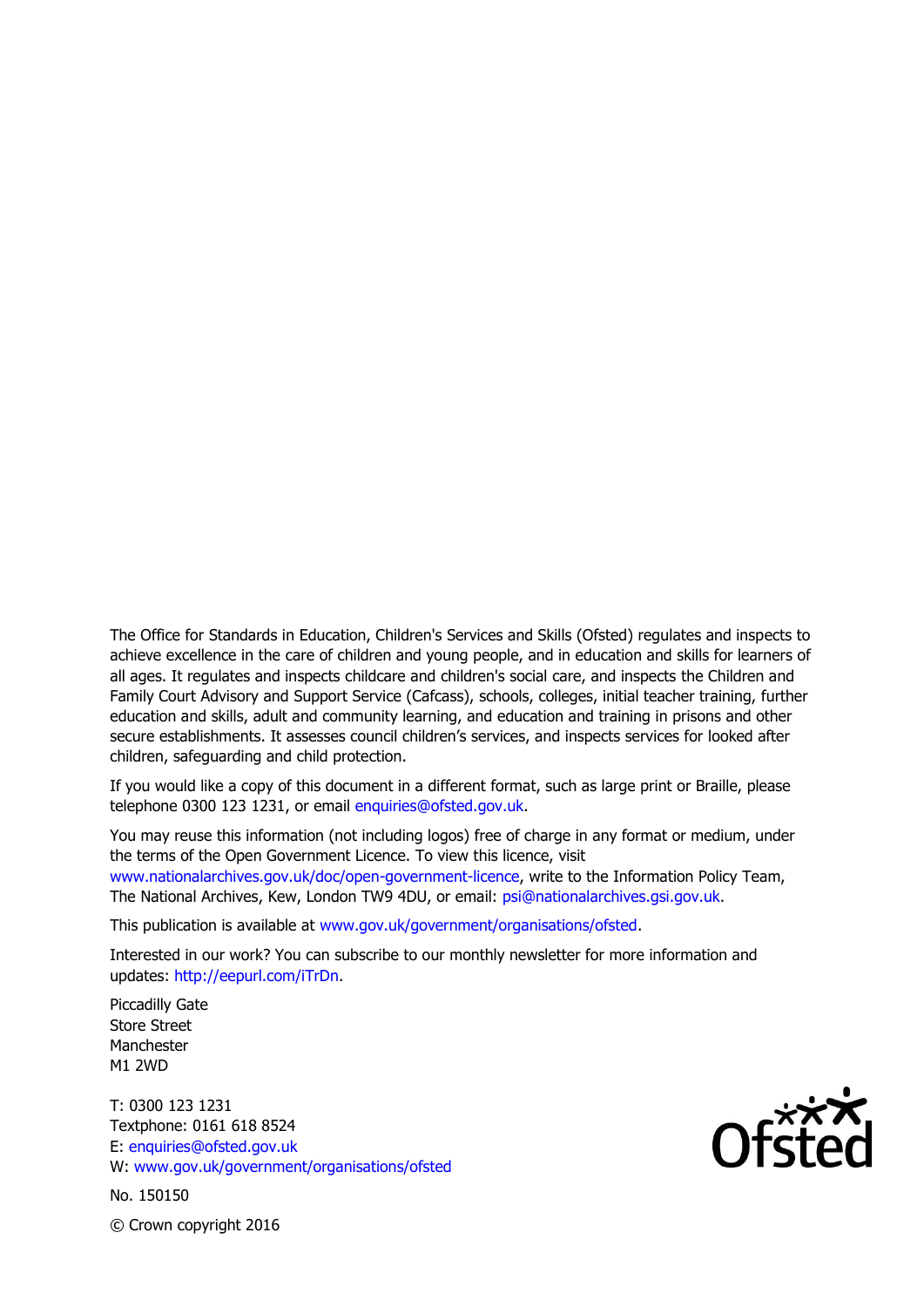The Office for Standards in Education, Children's Services and Skills (Ofsted) regulates and inspects to achieve excellence in the care of children and young people, and in education and skills for learners of all ages. It regulates and inspects childcare and children's social care, and inspects the Children and Family Court Advisory and Support Service (Cafcass), schools, colleges, initial teacher training, further education and skills, adult and community learning, and education and training in prisons and other secure establishments. It assesses council children's services, and inspects services for looked after children, safeguarding and child protection.

If you would like a copy of this document in a different format, such as large print or Braille, please telephone 0300 123 1231, or email enquiries@ofsted.gov.uk.

You may reuse this information (not including logos) free of charge in any format or medium, under the terms of the Open Government Licence. To view this licence, visit [www.nationalarchives.gov.uk/doc/open-government-licence,](http://www.nationalarchives.gov.uk/doc/open-government-licence/) write to the Information Policy Team, The National Archives, Kew, London TW9 4DU, or email: [psi@nationalarchives.gsi.gov.uk.](mailto:psi@nationalarchives.gsi.gov.uk)

This publication is available at [www.gov.uk/government/organisations/ofsted.](http://www.gov.uk/government/organisations/ofsted)

Interested in our work? You can subscribe to our monthly newsletter for more information and updates: [http://eepurl.com/iTrDn.](http://eepurl.com/iTrDn)

Piccadilly Gate Store Street Manchester M1 2WD

T: 0300 123 1231 Textphone: 0161 618 8524 E: enquiries@ofsted.gov.uk W: [www.gov.uk/government/organisations/ofsted](http://www.gov.uk/government/organisations/ofsted)

No. 150150



© Crown copyright 2016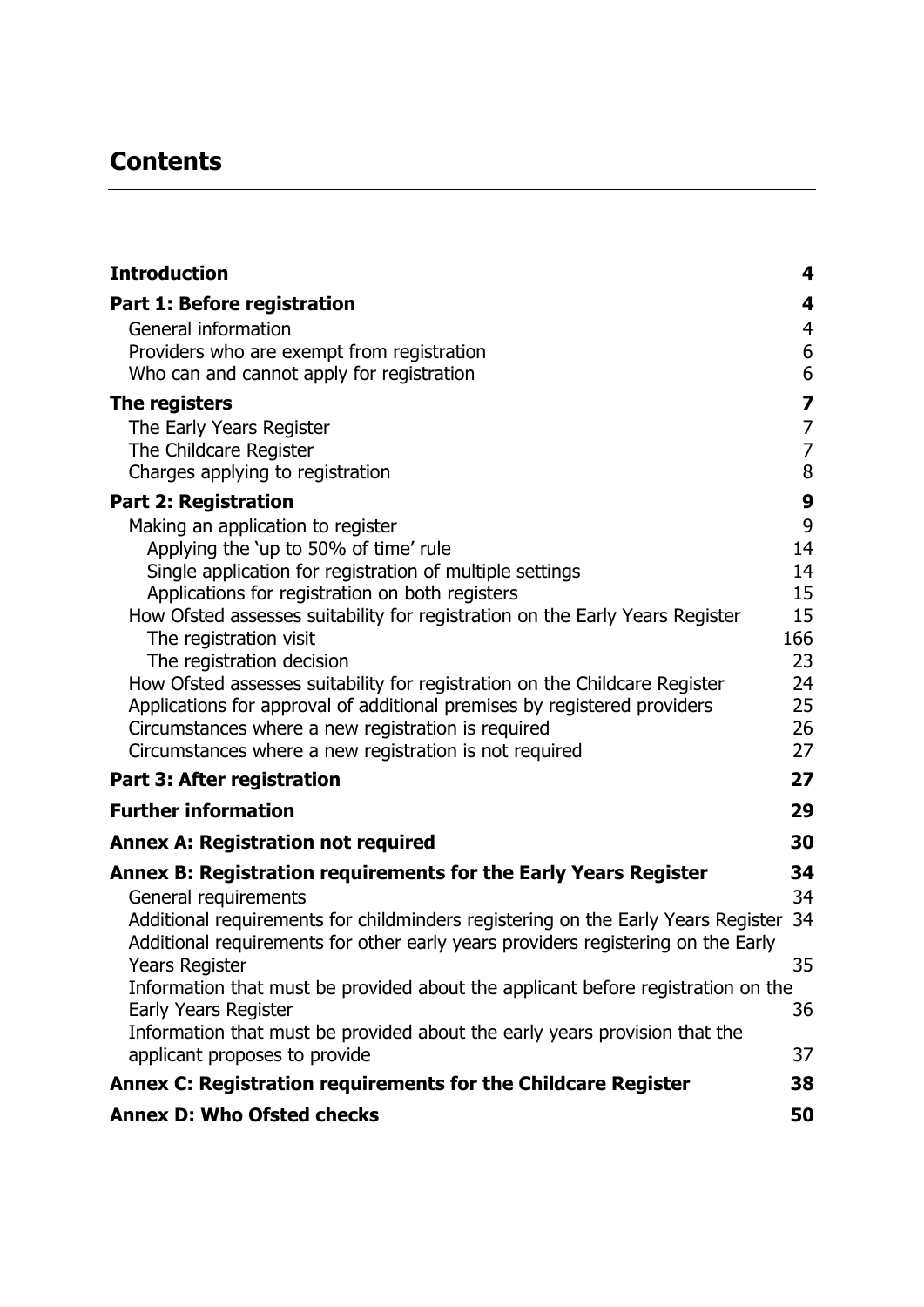# **Contents**

| <b>Introduction</b>                                                                                                                                                  | 4                                     |
|----------------------------------------------------------------------------------------------------------------------------------------------------------------------|---------------------------------------|
| Part 1: Before registration                                                                                                                                          | $\overline{\mathbf{4}}$               |
| General information                                                                                                                                                  | $\overline{4}$                        |
| Providers who are exempt from registration                                                                                                                           | $\boldsymbol{6}$                      |
| Who can and cannot apply for registration                                                                                                                            | 6                                     |
| The registers                                                                                                                                                        | 7                                     |
| The Early Years Register                                                                                                                                             | $\begin{array}{c} 7 \\ 7 \end{array}$ |
| The Childcare Register                                                                                                                                               |                                       |
| Charges applying to registration                                                                                                                                     | 8                                     |
| <b>Part 2: Registration</b>                                                                                                                                          | $\boldsymbol{9}$                      |
| Making an application to register                                                                                                                                    | 9                                     |
| Applying the 'up to 50% of time' rule                                                                                                                                | 14                                    |
| Single application for registration of multiple settings                                                                                                             | 14                                    |
| Applications for registration on both registers<br>How Ofsted assesses suitability for registration on the Early Years Register                                      | 15<br>15                              |
| The registration visit                                                                                                                                               | 166                                   |
| The registration decision                                                                                                                                            | 23                                    |
| How Ofsted assesses suitability for registration on the Childcare Register                                                                                           | 24                                    |
| Applications for approval of additional premises by registered providers                                                                                             | 25                                    |
| Circumstances where a new registration is required                                                                                                                   | 26                                    |
| Circumstances where a new registration is not required                                                                                                               | 27                                    |
| Part 3: After registration                                                                                                                                           | 27                                    |
| <b>Further information</b>                                                                                                                                           | 29                                    |
| <b>Annex A: Registration not required</b>                                                                                                                            | 30                                    |
| Annex B: Registration requirements for the Early Years Register                                                                                                      | 34                                    |
| General requirements                                                                                                                                                 | 34                                    |
| Additional requirements for childminders registering on the Early Years Register<br>Additional requirements for other early years providers registering on the Early | 34                                    |
| Years Register                                                                                                                                                       | 35                                    |
| Information that must be provided about the applicant before registration on the<br><b>Early Years Register</b>                                                      | 36                                    |
| Information that must be provided about the early years provision that the                                                                                           |                                       |
| applicant proposes to provide                                                                                                                                        | 37                                    |
| Annex C: Registration requirements for the Childcare Register                                                                                                        | 38                                    |
| <b>Annex D: Who Ofsted checks</b>                                                                                                                                    | 50                                    |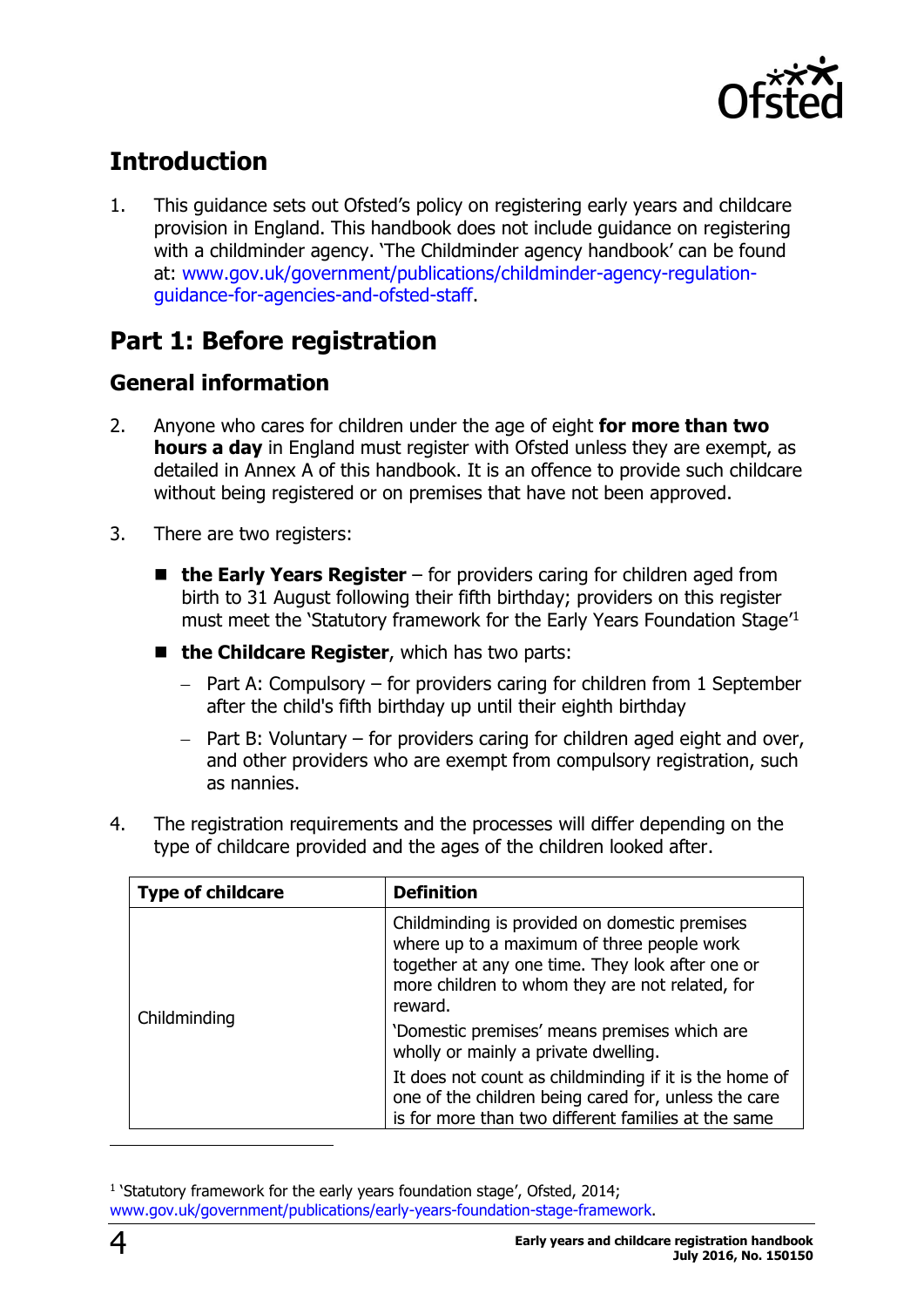

# <span id="page-3-0"></span>**Introduction**

1. This guidance sets out Ofsted's policy on registering early years and childcare provision in England. This handbook does not include guidance on registering with a childminder agency. 'The Childminder agency handbook' can be found at: [www.gov.uk/government/publications/childminder-agency-regulation](http://www.gov.uk/government/publications/childminder-agency-regulation-guidance-for-agencies-and-ofsted-staff)[guidance-for-agencies-and-ofsted-staff.](http://www.gov.uk/government/publications/childminder-agency-regulation-guidance-for-agencies-and-ofsted-staff)

### <span id="page-3-1"></span>**Part 1: Before registration**

### <span id="page-3-2"></span>**General information**

- 2. Anyone who cares for children under the age of eight **for more than two hours a day** in England must register with Ofsted unless they are exempt, as detailed in Annex A of this handbook. It is an offence to provide such childcare without being registered or on premises that have not been approved.
- 3. There are two registers:
	- the Early Years Register for providers caring for children aged from birth to 31 August following their fifth birthday; providers on this register must meet the 'Statutory framework for the Early Years Foundation Stage<sup>11</sup>
	- **the Childcare Register**, which has two parts:
		- $-$  Part A: Compulsory for providers caring for children from 1 September after the child's fifth birthday up until their eighth birthday
		- $-$  Part B: Voluntary for providers caring for children aged eight and over, and other providers who are exempt from compulsory registration, such as nannies.

| <b>Type of childcare</b> | <b>Definition</b>                                                                                                                                                                                                                                             |
|--------------------------|---------------------------------------------------------------------------------------------------------------------------------------------------------------------------------------------------------------------------------------------------------------|
| Childminding             | Childminding is provided on domestic premises<br>where up to a maximum of three people work<br>together at any one time. They look after one or<br>more children to whom they are not related, for<br>reward.<br>'Domestic premises' means premises which are |
|                          | wholly or mainly a private dwelling.                                                                                                                                                                                                                          |
|                          | It does not count as childminding if it is the home of<br>one of the children being cared for, unless the care<br>is for more than two different families at the same                                                                                         |

4. The registration requirements and the processes will differ depending on the type of childcare provided and the ages of the children looked after.

<sup>&</sup>lt;sup>1</sup> 'Statutory framework for the early years foundation stage', Ofsted, 2014; [www.gov.uk/government/publications/early-years-foundation-stage-framework.](https://www.gov.uk/government/publications/early-years-foundation-stage-framework--2)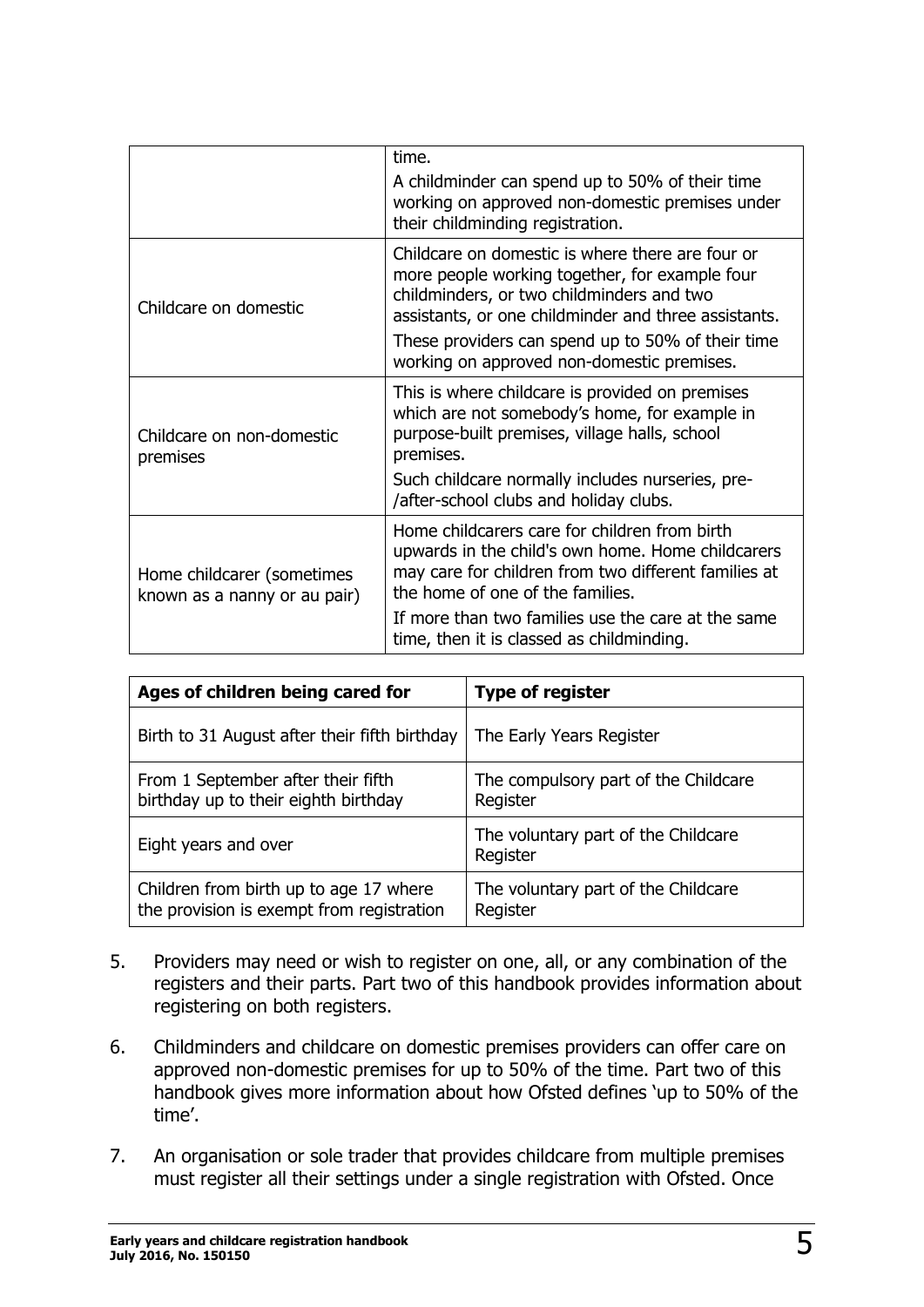|                                                            | time.<br>A childminder can spend up to 50% of their time<br>working on approved non-domestic premises under<br>their childminding registration.                                                                                                                                                            |
|------------------------------------------------------------|------------------------------------------------------------------------------------------------------------------------------------------------------------------------------------------------------------------------------------------------------------------------------------------------------------|
| Childcare on domestic                                      | Childcare on domestic is where there are four or<br>more people working together, for example four<br>childminders, or two childminders and two<br>assistants, or one childminder and three assistants.<br>These providers can spend up to 50% of their time<br>working on approved non-domestic premises. |
| Childcare on non-domestic<br>premises                      | This is where childcare is provided on premises<br>which are not somebody's home, for example in<br>purpose-built premises, village halls, school<br>premises.<br>Such childcare normally includes nurseries, pre-<br>/after-school clubs and holiday clubs.                                               |
| Home childcarer (sometimes<br>known as a nanny or au pair) | Home childcarers care for children from birth<br>upwards in the child's own home. Home childcarers<br>may care for children from two different families at<br>the home of one of the families.<br>If more than two families use the care at the same<br>time, then it is classed as childminding.          |

| Ages of children being cared for                                                    | <b>Type of register</b>                          |  |
|-------------------------------------------------------------------------------------|--------------------------------------------------|--|
| Birth to 31 August after their fifth birthday                                       | The Early Years Register                         |  |
| From 1 September after their fifth<br>birthday up to their eighth birthday          | The compulsory part of the Childcare<br>Register |  |
| Eight years and over                                                                | The voluntary part of the Childcare<br>Register  |  |
| Children from birth up to age 17 where<br>the provision is exempt from registration | The voluntary part of the Childcare<br>Register  |  |

- 5. Providers may need or wish to register on one, all, or any combination of the registers and their parts. Part two of this handbook provides information about registering on both registers.
- 6. Childminders and childcare on domestic premises providers can offer care on approved non-domestic premises for up to 50% of the time. Part two of this handbook gives more information about how Ofsted defines 'up to 50% of the time'.
- 7. An organisation or sole trader that provides childcare from multiple premises must register all their settings under a single registration with Ofsted. Once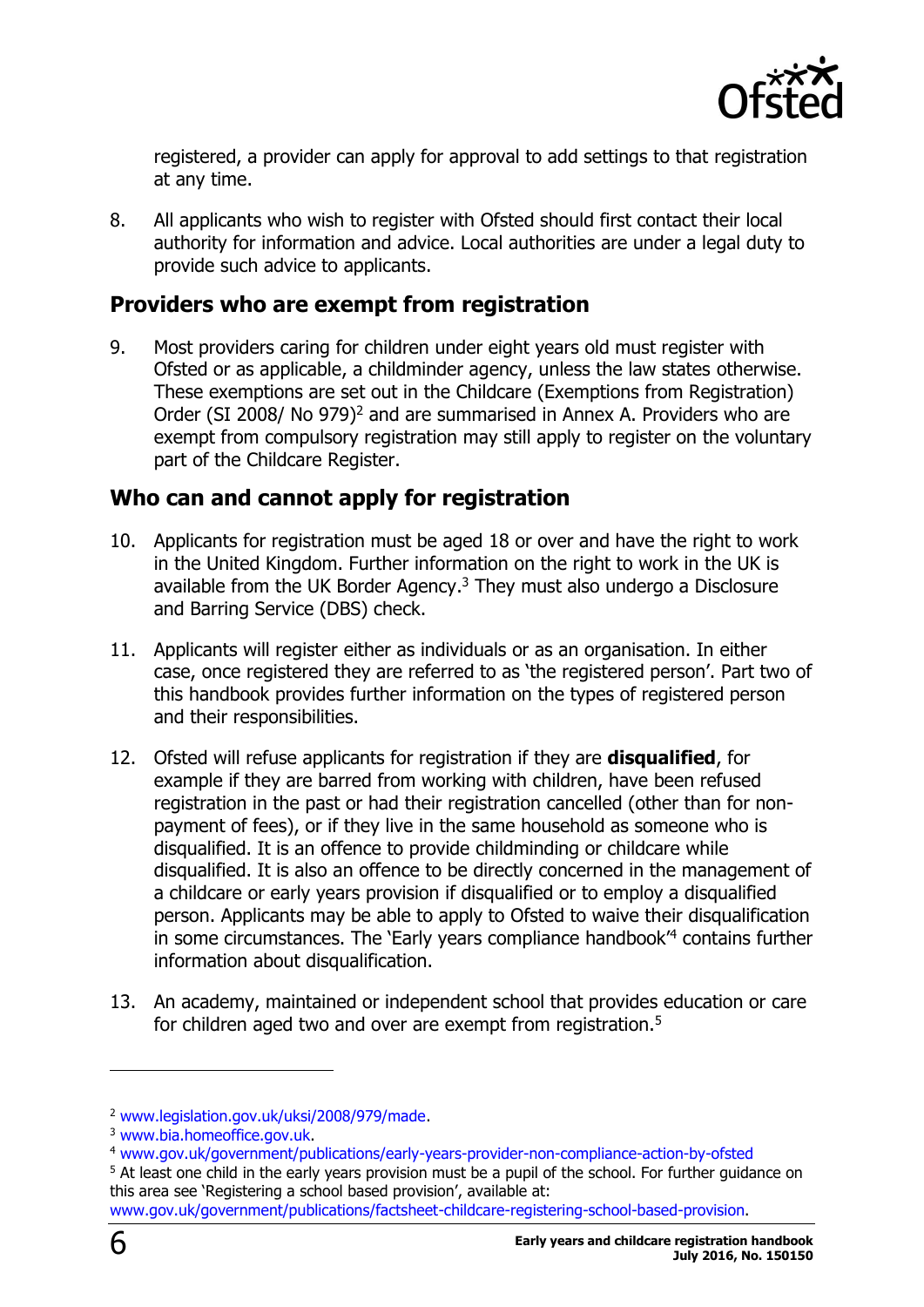

registered, a provider can apply for approval to add settings to that registration at any time.

8. All applicants who wish to register with Ofsted should first contact their local authority for information and advice. Local authorities are under a legal duty to provide such advice to applicants.

#### <span id="page-5-0"></span>**Providers who are exempt from registration**

9. Most providers caring for children under eight years old must register with Ofsted or as applicable, a childminder agency, unless the law states otherwise. These exemptions are set out in the Childcare (Exemptions from Registration) Order (SI 2008/ No 979)<sup>2</sup> and are summarised in Annex A. Providers who are exempt from compulsory registration may still apply to register on the voluntary part of the Childcare Register.

#### <span id="page-5-1"></span>**Who can and cannot apply for registration**

- 10. Applicants for registration must be aged 18 or over and have the right to work in the United Kingdom. Further information on the right to work in the UK is available from the UK Border Agency. <sup>3</sup> They must also undergo a Disclosure and Barring Service (DBS) check.
- 11. Applicants will register either as individuals or as an organisation. In either case, once registered they are referred to as 'the registered person'. Part two of this handbook provides further information on the types of registered person and their responsibilities.
- 12. Ofsted will refuse applicants for registration if they are **disqualified**, for example if they are barred from working with children, have been refused registration in the past or had their registration cancelled (other than for nonpayment of fees), or if they live in the same household as someone who is disqualified. It is an offence to provide childminding or childcare while disqualified. It is also an offence to be directly concerned in the management of a childcare or early years provision if disqualified or to employ a disqualified person. Applicants may be able to apply to Ofsted to waive their disqualification in some circumstances. The 'Early years compliance handbook' <sup>4</sup> contains further information about disqualification.
- 13. An academy, maintained or independent school that provides education or care for children aged two and over are exempt from registration.<sup>5</sup>

<sup>2</sup> [www.legislation.gov.uk/uksi/2008/979/made.](http://www.legislation.gov.uk/uksi/2008/979/made)

<sup>3</sup> [www.bia.homeoffice.gov.uk.](http://www.bia.homeoffice.gov.uk/)

<sup>4</sup> [www.gov.uk/government/publications/early-years-provider-non-compliance-action-by-ofsted](https://www.gov.uk/government/publications/early-years-provider-non-compliance-action-by-ofsted)

<sup>&</sup>lt;sup>5</sup> At least one child in the early years provision must be a pupil of the school. For further guidance on this area see 'Registering a school based provision', available at:

[www.gov.uk/government/publications/factsheet-childcare-registering-school-based-provision.](https://www.gov.uk/government/publications/factsheet-childcare-registering-school-based-provision)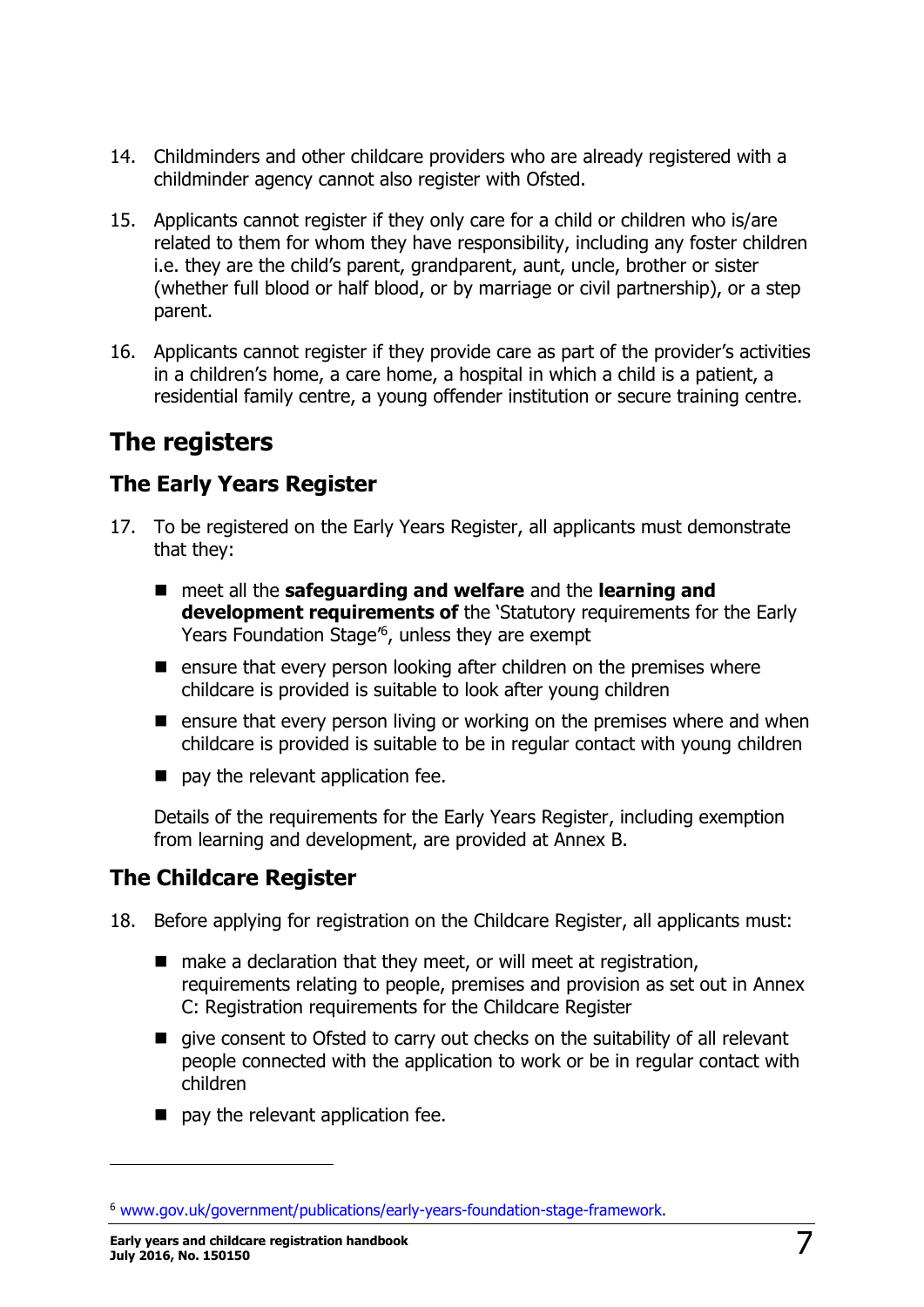- 14. Childminders and other childcare providers who are already registered with a childminder agency cannot also register with Ofsted.
- 15. Applicants cannot register if they only care for a child or children who is/are related to them for whom they have responsibility, including any foster children i.e. they are the child's parent, grandparent, aunt, uncle, brother or sister (whether full blood or half blood, or by marriage or civil partnership), or a step parent.
- 16. Applicants cannot register if they provide care as part of the provider's activities in a children's home, a care home, a hospital in which a child is a patient, a residential family centre, a young offender institution or secure training centre.

# <span id="page-6-0"></span>**The registers**

### <span id="page-6-1"></span>**The Early Years Register**

- 17. To be registered on the Early Years Register, all applicants must demonstrate that they:
	- meet all the **safeguarding and welfare** and the **learning and development requirements of** the 'Statutory requirements for the Early Years Foundation Stage' 6 , unless they are exempt
	- $\blacksquare$  ensure that every person looking after children on the premises where childcare is provided is suitable to look after young children
	- $\blacksquare$  ensure that every person living or working on the premises where and when childcare is provided is suitable to be in regular contact with young children
	- $\blacksquare$  pay the relevant application fee.

Details of the requirements for the Early Years Register, including exemption from learning and development, are provided at Annex B.

### <span id="page-6-2"></span>**The Childcare Register**

- 18. Before applying for registration on the Childcare Register, all applicants must:
	- $\blacksquare$  make a declaration that they meet, or will meet at registration, requirements relating to people, premises and provision as set out in Annex C: Registration requirements for the Childcare Register
	- give consent to Ofsted to carry out checks on the suitability of all relevant people connected with the application to work or be in regular contact with children
	- **pay the relevant application fee.**

<sup>6</sup> [www.gov.uk/government/publications/early-years-foundation-stage-framework.](https://www.gov.uk/government/publications/early-years-foundation-stage-framework--2)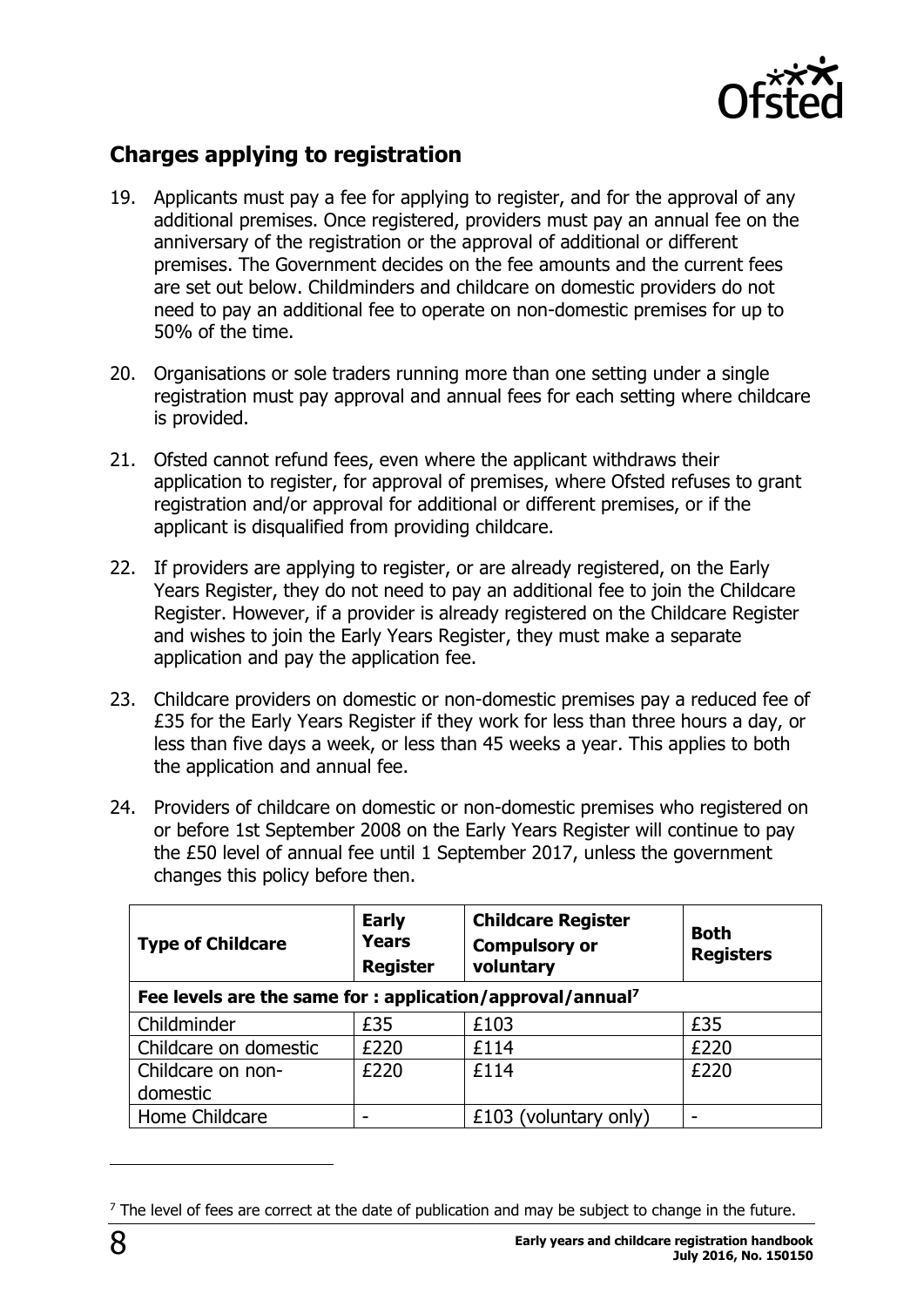

### <span id="page-7-0"></span>**Charges applying to registration**

- 19. Applicants must pay a fee for applying to register, and for the approval of any additional premises. Once registered, providers must pay an annual fee on the anniversary of the registration or the approval of additional or different premises. The Government decides on the fee amounts and the current fees are set out below. Childminders and childcare on domestic providers do not need to pay an additional fee to operate on non-domestic premises for up to 50% of the time.
- 20. Organisations or sole traders running more than one setting under a single registration must pay approval and annual fees for each setting where childcare is provided.
- 21. Ofsted cannot refund fees, even where the applicant withdraws their application to register, for approval of premises, where Ofsted refuses to grant registration and/or approval for additional or different premises, or if the applicant is disqualified from providing childcare.
- 22. If providers are applying to register, or are already registered, on the Early Years Register, they do not need to pay an additional fee to join the Childcare Register. However, if a provider is already registered on the Childcare Register and wishes to join the Early Years Register, they must make a separate application and pay the application fee.
- 23. Childcare providers on domestic or non-domestic premises pay a reduced fee of £35 for the Early Years Register if they work for less than three hours a day, or less than five days a week, or less than 45 weeks a year. This applies to both the application and annual fee.
- 24. Providers of childcare on domestic or non-domestic premises who registered on or before 1st September 2008 on the Early Years Register will continue to pay the £50 level of annual fee until 1 September 2017, unless the government changes this policy before then.

| <b>Type of Childcare</b> | <b>Early</b><br><b>Years</b><br><b>Register</b>                        | <b>Childcare Register</b><br><b>Compulsory or</b><br>voluntary | <b>Both</b><br><b>Registers</b> |  |  |  |
|--------------------------|------------------------------------------------------------------------|----------------------------------------------------------------|---------------------------------|--|--|--|
|                          | Fee levels are the same for : application/approval/annual <sup>7</sup> |                                                                |                                 |  |  |  |
| Childminder              | £35                                                                    | £103                                                           | £35                             |  |  |  |
| Childcare on domestic    | £220                                                                   | £114                                                           | £220                            |  |  |  |
| Childcare on non-        | £220                                                                   | £114                                                           | £220                            |  |  |  |
| domestic                 |                                                                        |                                                                |                                 |  |  |  |
| Home Childcare           |                                                                        | £103 (voluntary only)                                          |                                 |  |  |  |

 $<sup>7</sup>$  The level of fees are correct at the date of publication and may be subject to change in the future.</sup>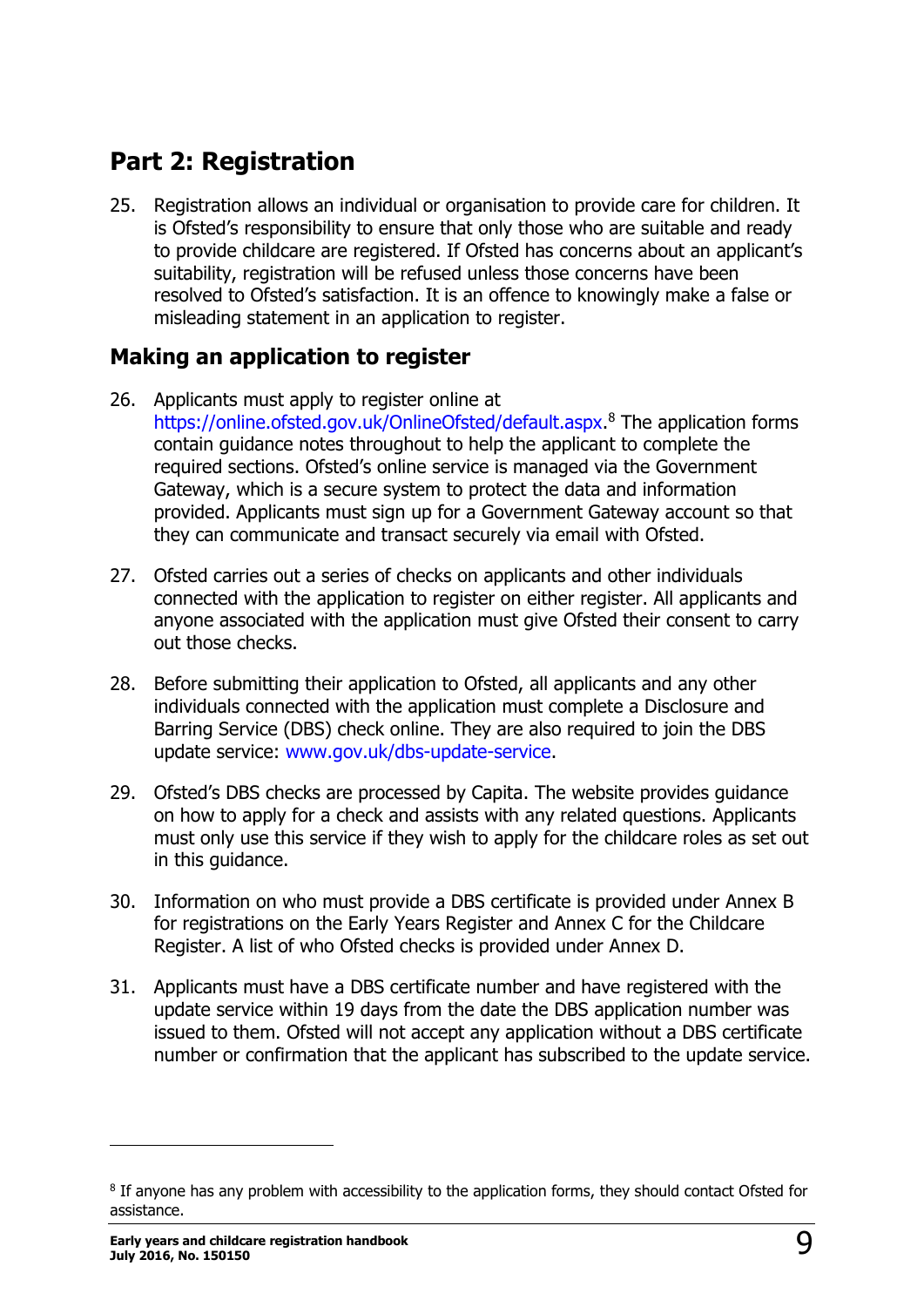# <span id="page-8-0"></span>**Part 2: Registration**

25. Registration allows an individual or organisation to provide care for children. It is Ofsted's responsibility to ensure that only those who are suitable and ready to provide childcare are registered. If Ofsted has concerns about an applicant's suitability, registration will be refused unless those concerns have been resolved to Ofsted's satisfaction. It is an offence to knowingly make a false or misleading statement in an application to register.

### <span id="page-8-1"></span>**Making an application to register**

- 26. Applicants must apply to register online at [https://online.ofsted.gov.uk/OnlineOfsted/default.aspx.](https://online.ofsted.gov.uk/OnlineOfsted/default.aspx) <sup>8</sup> The application forms contain guidance notes throughout to help the applicant to complete the required sections. Ofsted's online service is managed via the Government Gateway, which is a secure system to protect the data and information provided. Applicants must sign up for a Government Gateway account so that they can communicate and transact securely via email with Ofsted.
- 27. Ofsted carries out a series of checks on applicants and other individuals connected with the application to register on either register. All applicants and anyone associated with the application must give Ofsted their consent to carry out those checks.
- 28. Before submitting their application to Ofsted, all applicants and any other individuals connected with the application must complete a Disclosure and Barring Service (DBS) check online. They are also required to join the DBS update service: [www.gov.uk/dbs-update-service.](http://www.gov.uk/dbs-update-service)
- 29. Ofsted's DBS checks are processed by Capita. The website provides guidance on how to apply for a check and assists with any related questions. Applicants must only use this service if they wish to apply for the childcare roles as set out in this guidance.
- 30. Information on who must provide a DBS certificate is provided under Annex B for registrations on the Early Years Register and Annex C for the Childcare Register. A list of who Ofsted checks is provided under Annex D.
- 31. Applicants must have a DBS certificate number and have registered with the update service within 19 days from the date the DBS application number was issued to them. Ofsted will not accept any application without a DBS certificate number or confirmation that the applicant has subscribed to the update service.

<sup>&</sup>lt;sup>8</sup> If anyone has any problem with accessibility to the application forms, they should contact Ofsted for assistance.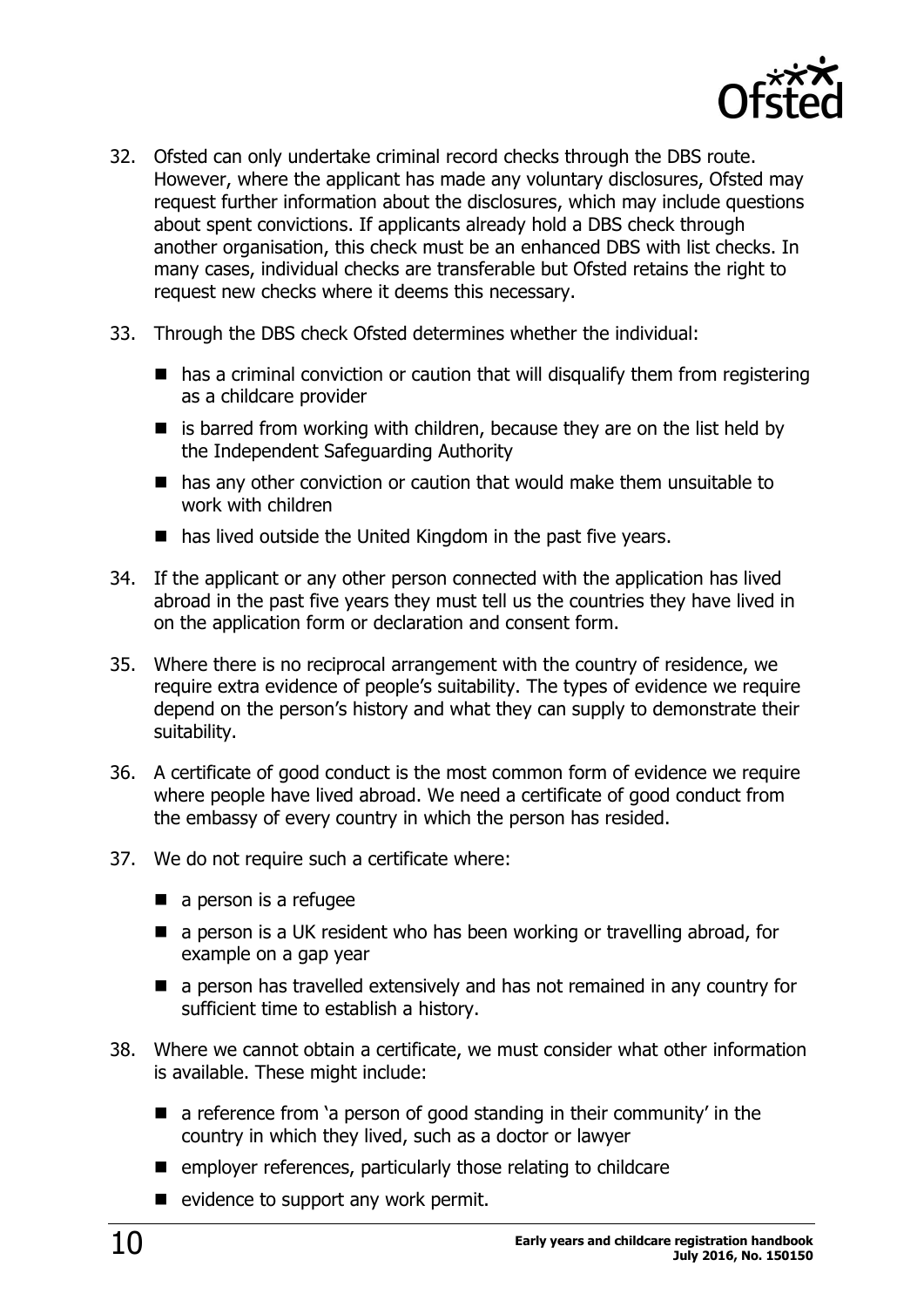

- 32. Ofsted can only undertake criminal record checks through the DBS route. However, where the applicant has made any voluntary disclosures, Ofsted may request further information about the disclosures, which may include questions about spent convictions. If applicants already hold a DBS check through another organisation, this check must be an enhanced DBS with list checks. In many cases, individual checks are transferable but Ofsted retains the right to request new checks where it deems this necessary.
- 33. Through the DBS check Ofsted determines whether the individual:
	- $\blacksquare$  has a criminal conviction or caution that will disqualify them from registering as a childcare provider
	- $\blacksquare$  is barred from working with children, because they are on the list held by the Independent Safeguarding Authority
	- has any other conviction or caution that would make them unsuitable to work with children
	- has lived outside the United Kingdom in the past five years.
- 34. If the applicant or any other person connected with the application has lived abroad in the past five years they must tell us the countries they have lived in on the application form or declaration and consent form.
- 35. Where there is no reciprocal arrangement with the country of residence, we require extra evidence of people's suitability. The types of evidence we require depend on the person's history and what they can supply to demonstrate their suitability.
- 36. A certificate of good conduct is the most common form of evidence we require where people have lived abroad. We need a certificate of good conduct from the embassy of every country in which the person has resided.
- 37. We do not require such a certificate where:
	- $\blacksquare$  a person is a refugee
	- $\blacksquare$  a person is a UK resident who has been working or travelling abroad, for example on a gap year
	- **a** a person has travelled extensively and has not remained in any country for sufficient time to establish a history.
- 38. Where we cannot obtain a certificate, we must consider what other information is available. These might include:
	- **E** a reference from 'a person of good standing in their community' in the country in which they lived, such as a doctor or lawyer
	- $\blacksquare$  employer references, particularly those relating to childcare
	- $\blacksquare$  evidence to support any work permit.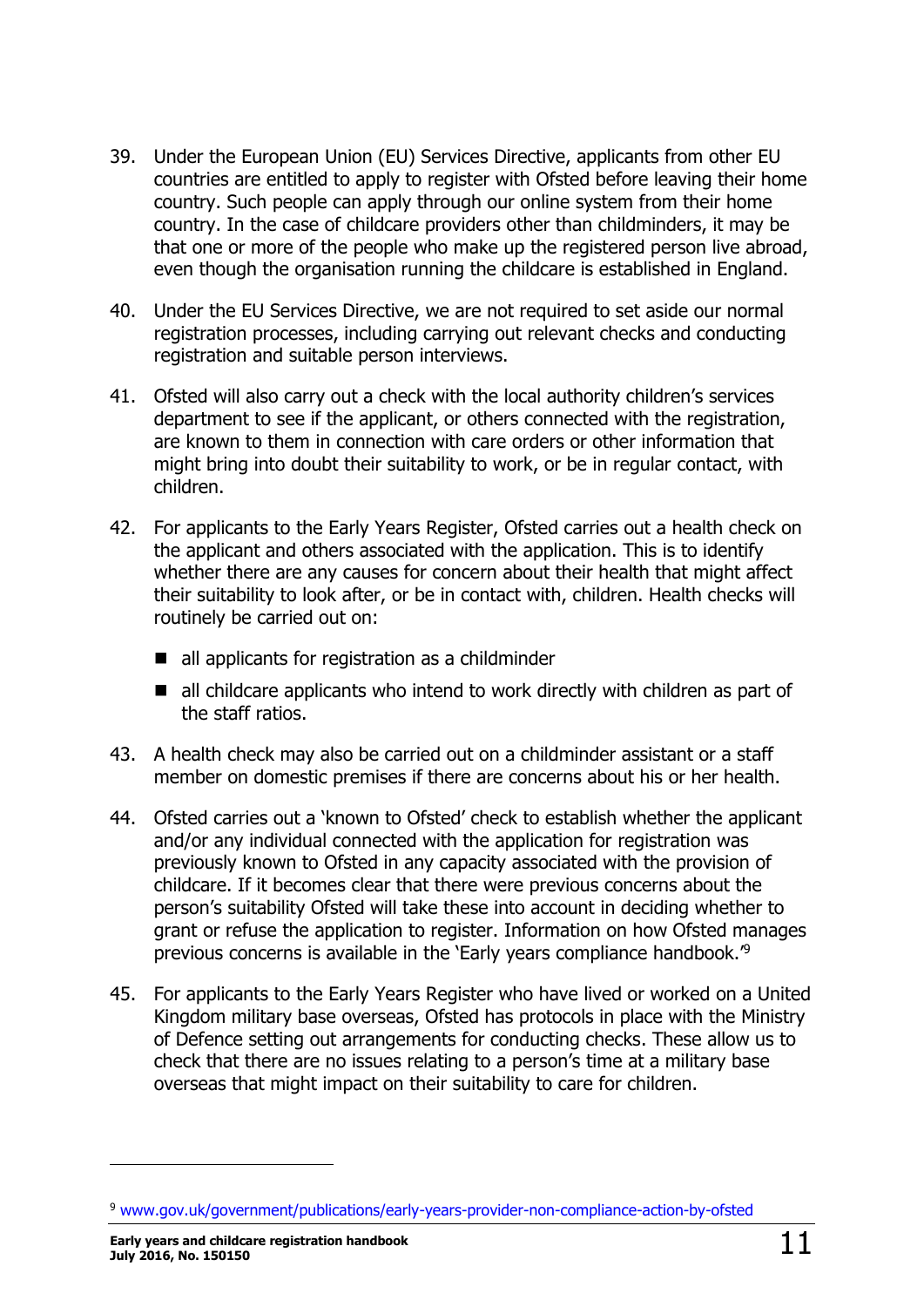- 39. Under the European Union (EU) Services Directive, applicants from other EU countries are entitled to apply to register with Ofsted before leaving their home country. Such people can apply through our online system from their home country. In the case of childcare providers other than childminders, it may be that one or more of the people who make up the registered person live abroad, even though the organisation running the childcare is established in England.
- 40. Under the EU Services Directive, we are not required to set aside our normal registration processes, including carrying out relevant checks and conducting registration and suitable person interviews.
- 41. Ofsted will also carry out a check with the local authority children's services department to see if the applicant, or others connected with the registration, are known to them in connection with care orders or other information that might bring into doubt their suitability to work, or be in regular contact, with children.
- 42. For applicants to the Early Years Register, Ofsted carries out a health check on the applicant and others associated with the application. This is to identify whether there are any causes for concern about their health that might affect their suitability to look after, or be in contact with, children. Health checks will routinely be carried out on:
	- all applicants for registration as a childminder
	- all childcare applicants who intend to work directly with children as part of the staff ratios.
- 43. A health check may also be carried out on a childminder assistant or a staff member on domestic premises if there are concerns about his or her health.
- 44. Ofsted carries out a 'known to Ofsted' check to establish whether the applicant and/or any individual connected with the application for registration was previously known to Ofsted in any capacity associated with the provision of childcare. If it becomes clear that there were previous concerns about the person's suitability Ofsted will take these into account in deciding whether to grant or refuse the application to register. Information on how Ofsted manages previous concerns is available in the 'Early years compliance handbook.'<sup>9</sup>
- 45. For applicants to the Early Years Register who have lived or worked on a United Kingdom military base overseas, Ofsted has protocols in place with the Ministry of Defence setting out arrangements for conducting checks. These allow us to check that there are no issues relating to a person's time at a military base overseas that might impact on their suitability to care for children.

<sup>9</sup> [www.gov.uk/government/publications/early-years-provider-non-compliance-action-by-ofsted](https://www.gov.uk/government/publications/early-years-provider-non-compliance-action-by-ofsted)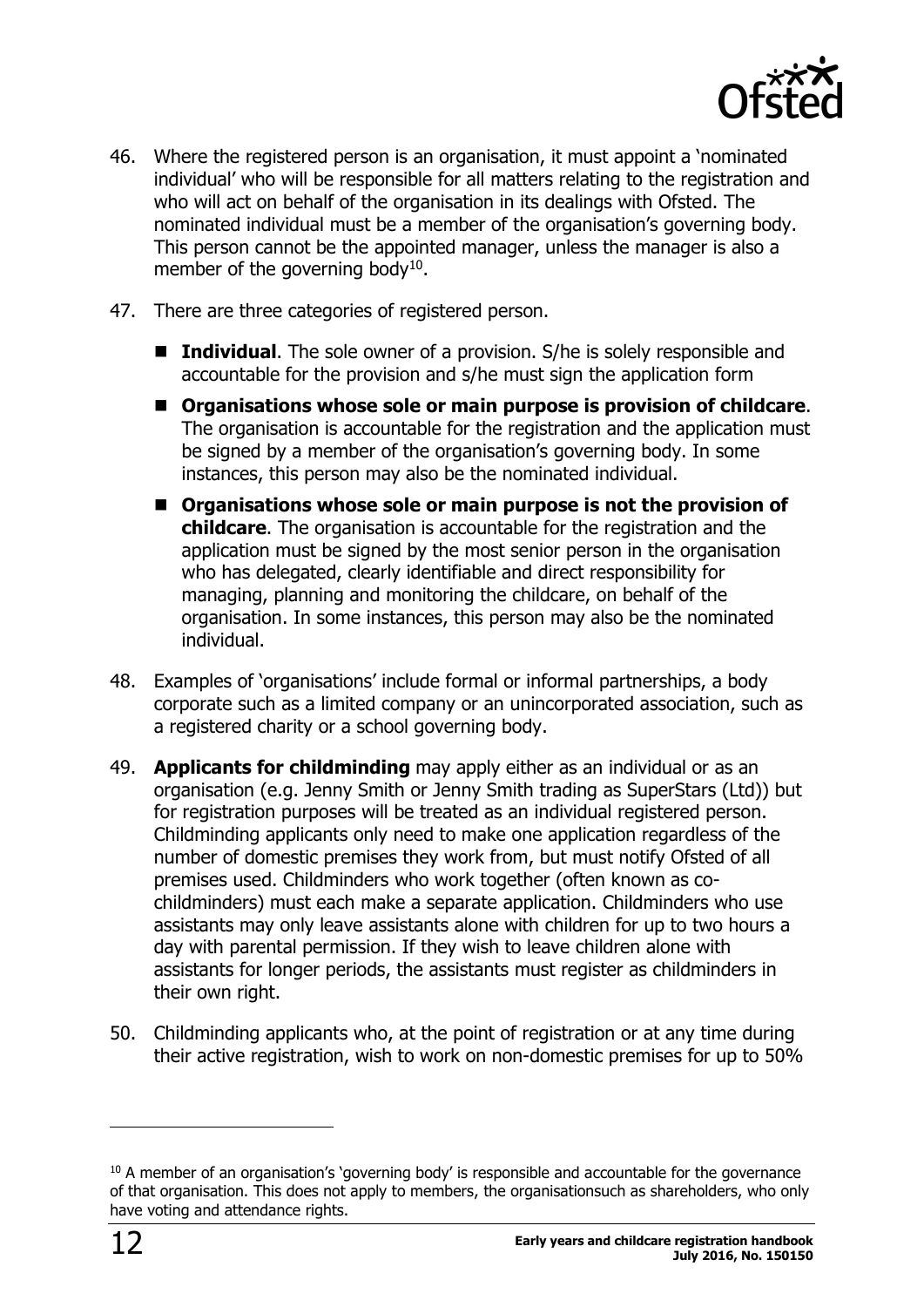

- 46. Where the registered person is an organisation, it must appoint a 'nominated individual' who will be responsible for all matters relating to the registration and who will act on behalf of the organisation in its dealings with Ofsted. The nominated individual must be a member of the organisation's governing body. This person cannot be the appointed manager, unless the manager is also a member of the governing body<sup>10</sup>.
- 47. There are three categories of registered person.
	- **Individual.** The sole owner of a provision. S/he is solely responsible and accountable for the provision and s/he must sign the application form
	- **Organisations whose sole or main purpose is provision of childcare**. The organisation is accountable for the registration and the application must be signed by a member of the organisation's governing body. In some instances, this person may also be the nominated individual.
	- **Organisations whose sole or main purpose is not the provision of childcare**. The organisation is accountable for the registration and the application must be signed by the most senior person in the organisation who has delegated, clearly identifiable and direct responsibility for managing, planning and monitoring the childcare, on behalf of the organisation. In some instances, this person may also be the nominated individual.
- 48. Examples of 'organisations' include formal or informal partnerships, a body corporate such as a limited company or an unincorporated association, such as a registered charity or a school governing body.
- 49. **Applicants for childminding** may apply either as an individual or as an organisation (e.g. Jenny Smith or Jenny Smith trading as SuperStars (Ltd)) but for registration purposes will be treated as an individual registered person. Childminding applicants only need to make one application regardless of the number of domestic premises they work from, but must notify Ofsted of all premises used. Childminders who work together (often known as cochildminders) must each make a separate application. Childminders who use assistants may only leave assistants alone with children for up to two hours a day with parental permission. If they wish to leave children alone with assistants for longer periods, the assistants must register as childminders in their own right.
- 50. Childminding applicants who, at the point of registration or at any time during their active registration, wish to work on non-domestic premises for up to 50%

-

<sup>&</sup>lt;sup>10</sup> A member of an organisation's 'governing body' is responsible and accountable for the governance of that organisation. This does not apply to members, the organisationsuch as shareholders, who only have voting and attendance rights.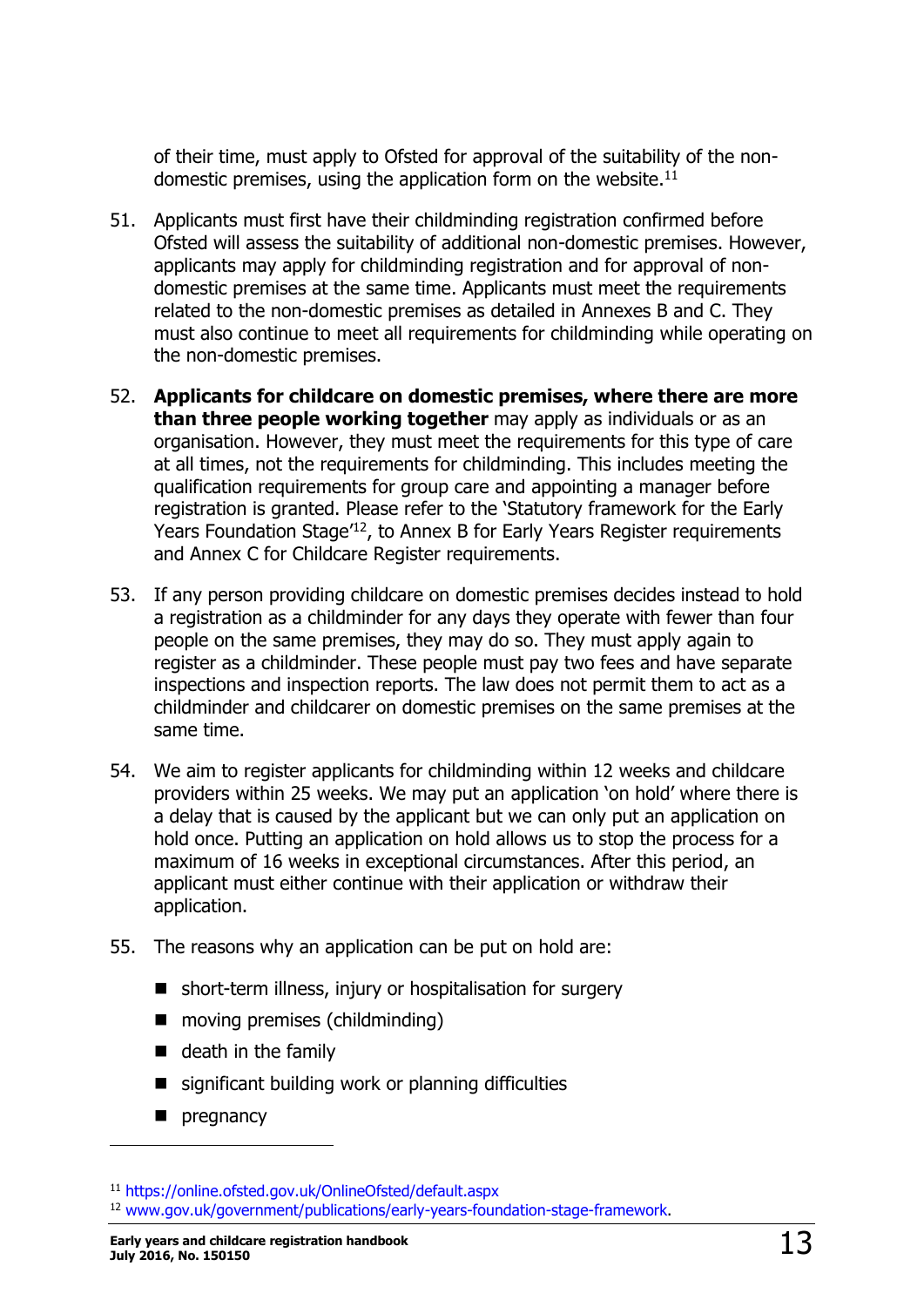of their time, must apply to Ofsted for approval of the suitability of the nondomestic premises, using the application form on the website.<sup>11</sup>

- 51. Applicants must first have their childminding registration confirmed before Ofsted will assess the suitability of additional non-domestic premises. However, applicants may apply for childminding registration and for approval of nondomestic premises at the same time. Applicants must meet the requirements related to the non-domestic premises as detailed in Annexes B and C. They must also continue to meet all requirements for childminding while operating on the non-domestic premises.
- 52. **Applicants for childcare on domestic premises, where there are more than three people working together** may apply as individuals or as an organisation. However, they must meet the requirements for this type of care at all times, not the requirements for childminding. This includes meeting the qualification requirements for group care and appointing a manager before registration is granted. Please refer to the 'Statutory framework for the Early Years Foundation Stage<sup>'12</sup>, to Annex B for Early Years Register requirements and Annex C for Childcare Register requirements.
- 53. If any person providing childcare on domestic premises decides instead to hold a registration as a childminder for any days they operate with fewer than four people on the same premises, they may do so. They must apply again to register as a childminder. These people must pay two fees and have separate inspections and inspection reports. The law does not permit them to act as a childminder and childcarer on domestic premises on the same premises at the same time.
- 54. We aim to register applicants for childminding within 12 weeks and childcare providers within 25 weeks. We may put an application 'on hold' where there is a delay that is caused by the applicant but we can only put an application on hold once. Putting an application on hold allows us to stop the process for a maximum of 16 weeks in exceptional circumstances. After this period, an applicant must either continue with their application or withdraw their application.
- 55. The reasons why an application can be put on hold are:
	- short-term illness, injury or hospitalisation for surgery
	- moving premises (childminding)
	- $\blacksquare$  death in the family
	- $\blacksquare$  significant building work or planning difficulties
	- $\blacksquare$  pregnancy

<sup>11</sup> <https://online.ofsted.gov.uk/OnlineOfsted/default.aspx>

<sup>12</sup> [www.gov.uk/government/publications/early-years-foundation-stage-framework.](https://www.gov.uk/government/publications/early-years-foundation-stage-framework--2)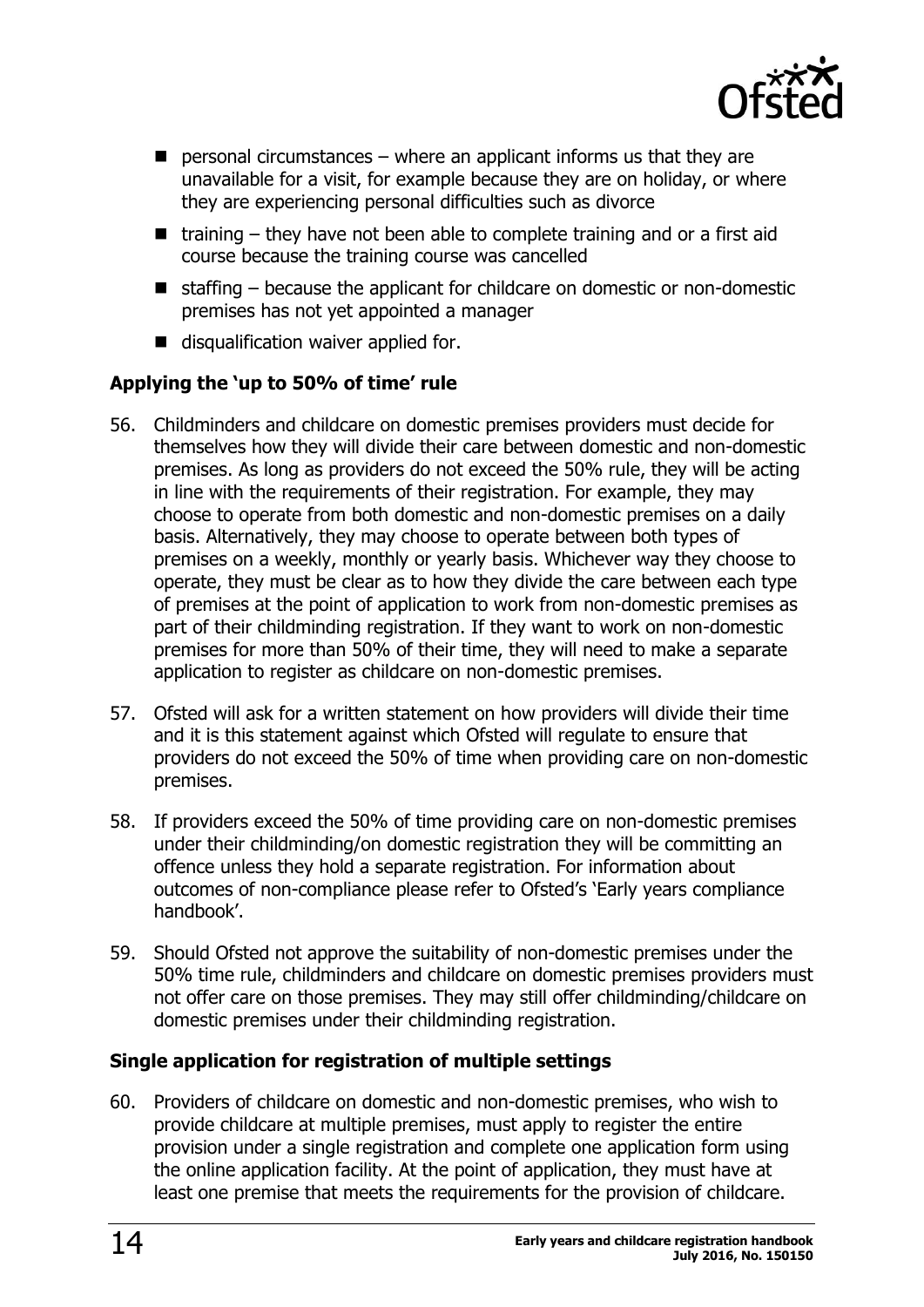

- $\blacksquare$  personal circumstances where an applicant informs us that they are unavailable for a visit, for example because they are on holiday, or where they are experiencing personal difficulties such as divorce
- $\blacksquare$  training they have not been able to complete training and or a first aid course because the training course was cancelled
- $\blacksquare$  staffing because the applicant for childcare on domestic or non-domestic premises has not yet appointed a manager
- disqualification waiver applied for.

#### <span id="page-13-0"></span>**Applying the 'up to 50% of time' rule**

- 56. Childminders and childcare on domestic premises providers must decide for themselves how they will divide their care between domestic and non-domestic premises. As long as providers do not exceed the 50% rule, they will be acting in line with the requirements of their registration. For example, they may choose to operate from both domestic and non-domestic premises on a daily basis. Alternatively, they may choose to operate between both types of premises on a weekly, monthly or yearly basis. Whichever way they choose to operate, they must be clear as to how they divide the care between each type of premises at the point of application to work from non-domestic premises as part of their childminding registration. If they want to work on non-domestic premises for more than 50% of their time, they will need to make a separate application to register as childcare on non-domestic premises.
- 57. Ofsted will ask for a written statement on how providers will divide their time and it is this statement against which Ofsted will regulate to ensure that providers do not exceed the 50% of time when providing care on non-domestic premises.
- 58. If providers exceed the 50% of time providing care on non-domestic premises under their childminding/on domestic registration they will be committing an offence unless they hold a separate registration. For information about outcomes of non-compliance please refer to Ofsted's 'Early years compliance handbook'.
- 59. Should Ofsted not approve the suitability of non-domestic premises under the 50% time rule, childminders and childcare on domestic premises providers must not offer care on those premises. They may still offer childminding/childcare on domestic premises under their childminding registration.

#### <span id="page-13-1"></span>**Single application for registration of multiple settings**

60. Providers of childcare on domestic and non-domestic premises, who wish to provide childcare at multiple premises, must apply to register the entire provision under a single registration and complete one application form using the online application facility. At the point of application, they must have at least one premise that meets the requirements for the provision of childcare.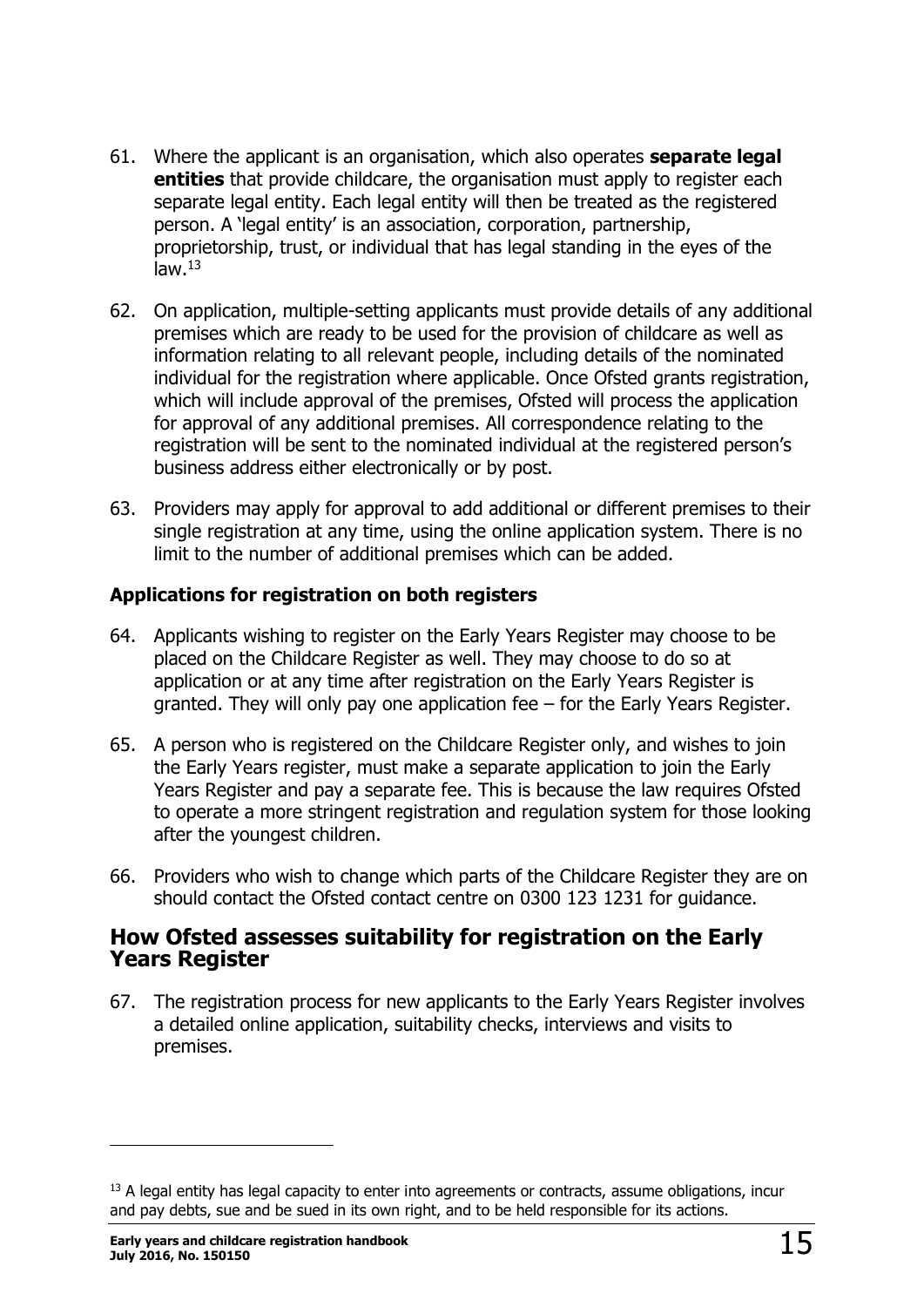- 61. Where the applicant is an organisation, which also operates **separate legal entities** that provide childcare, the organisation must apply to register each separate legal entity. Each legal entity will then be treated as the registered person. A 'legal entity' is an association, corporation, partnership, proprietorship, trust, or individual that has legal standing in the eyes of the  $law<sup>13</sup>$
- 62. On application, multiple-setting applicants must provide details of any additional premises which are ready to be used for the provision of childcare as well as information relating to all relevant people, including details of the nominated individual for the registration where applicable. Once Ofsted grants registration, which will include approval of the premises, Ofsted will process the application for approval of any additional premises. All correspondence relating to the registration will be sent to the nominated individual at the registered person's business address either electronically or by post.
- 63. Providers may apply for approval to add additional or different premises to their single registration at any time, using the online application system. There is no limit to the number of additional premises which can be added.

#### <span id="page-14-0"></span>**Applications for registration on both registers**

- 64. Applicants wishing to register on the Early Years Register may choose to be placed on the Childcare Register as well. They may choose to do so at application or at any time after registration on the Early Years Register is granted. They will only pay one application fee – for the Early Years Register.
- 65. A person who is registered on the Childcare Register only, and wishes to join the Early Years register, must make a separate application to join the Early Years Register and pay a separate fee. This is because the law requires Ofsted to operate a more stringent registration and regulation system for those looking after the youngest children.
- 66. Providers who wish to change which parts of the Childcare Register they are on should contact the Ofsted contact centre on 0300 123 1231 for guidance.

#### <span id="page-14-1"></span>**How Ofsted assesses suitability for registration on the Early Years Register**

67. The registration process for new applicants to the Early Years Register involves a detailed online application, suitability checks, interviews and visits to premises.

<sup>&</sup>lt;sup>13</sup> A legal entity has legal capacity to enter into agreements or contracts, assume obligations, incur and pay debts, sue and be sued in its own right, and to be held responsible for its actions.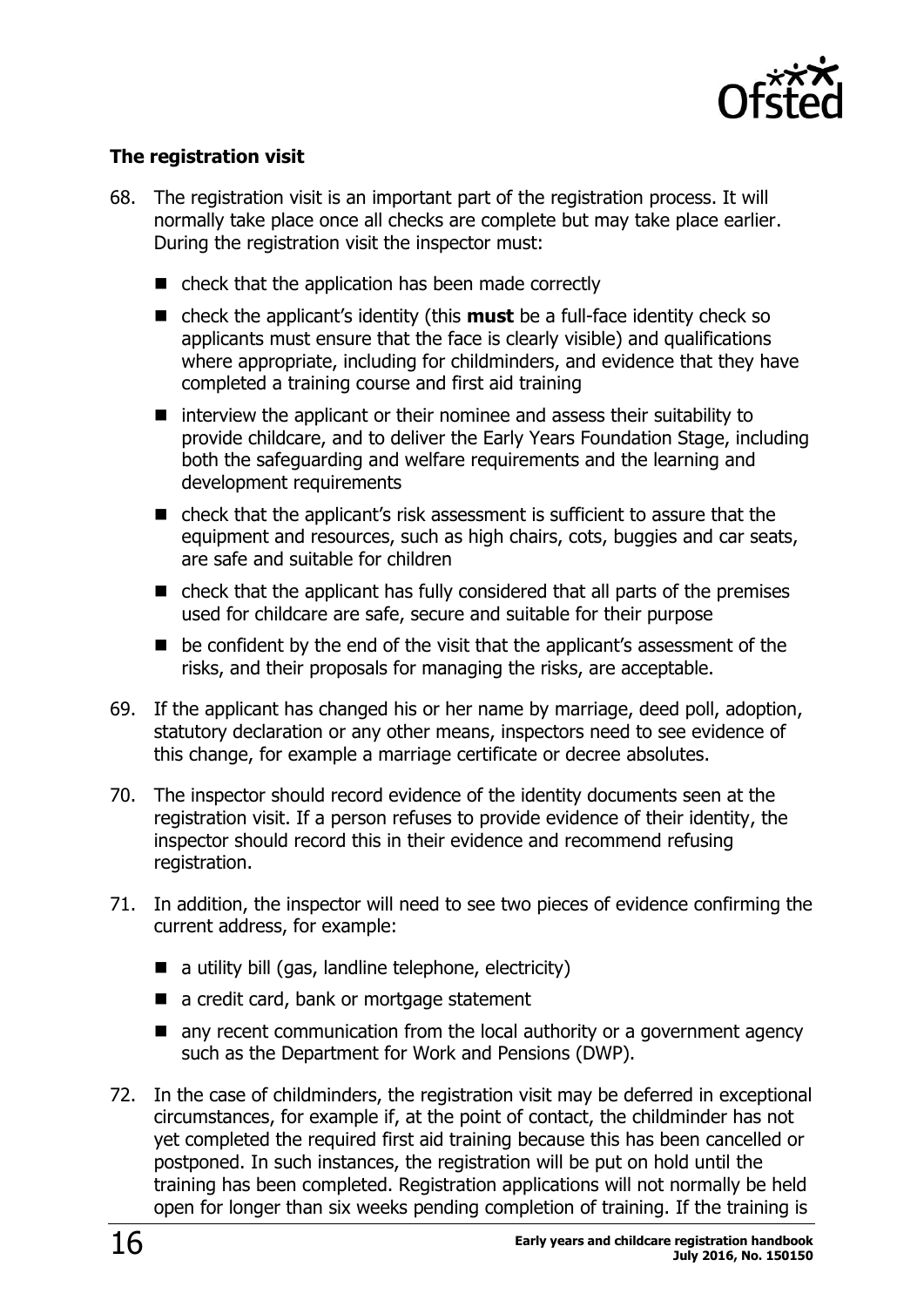

#### <span id="page-15-0"></span>**The registration visit**

- 68. The registration visit is an important part of the registration process. It will normally take place once all checks are complete but may take place earlier. During the registration visit the inspector must:
	- check that the application has been made correctly
	- check the applicant's identity (this **must** be a full-face identity check so applicants must ensure that the face is clearly visible) and qualifications where appropriate, including for childminders, and evidence that they have completed a training course and first aid training
	- $\blacksquare$  interview the applicant or their nominee and assess their suitability to provide childcare, and to deliver the Early Years Foundation Stage, including both the safeguarding and welfare requirements and the learning and development requirements
	- check that the applicant's risk assessment is sufficient to assure that the equipment and resources, such as high chairs, cots, buggies and car seats, are safe and suitable for children
	- check that the applicant has fully considered that all parts of the premises used for childcare are safe, secure and suitable for their purpose
	- be confident by the end of the visit that the applicant's assessment of the risks, and their proposals for managing the risks, are acceptable.
- 69. If the applicant has changed his or her name by marriage, deed poll, adoption, statutory declaration or any other means, inspectors need to see evidence of this change, for example a marriage certificate or decree absolutes.
- 70. The inspector should record evidence of the identity documents seen at the registration visit. If a person refuses to provide evidence of their identity, the inspector should record this in their evidence and recommend refusing registration.
- 71. In addition, the inspector will need to see two pieces of evidence confirming the current address, for example:
	- $\blacksquare$  a utility bill (gas, landline telephone, electricity)
	- a credit card, bank or mortgage statement
	- any recent communication from the local authority or a government agency such as the Department for Work and Pensions (DWP).
- 72. In the case of childminders, the registration visit may be deferred in exceptional circumstances, for example if, at the point of contact, the childminder has not yet completed the required first aid training because this has been cancelled or postponed. In such instances, the registration will be put on hold until the training has been completed. Registration applications will not normally be held open for longer than six weeks pending completion of training. If the training is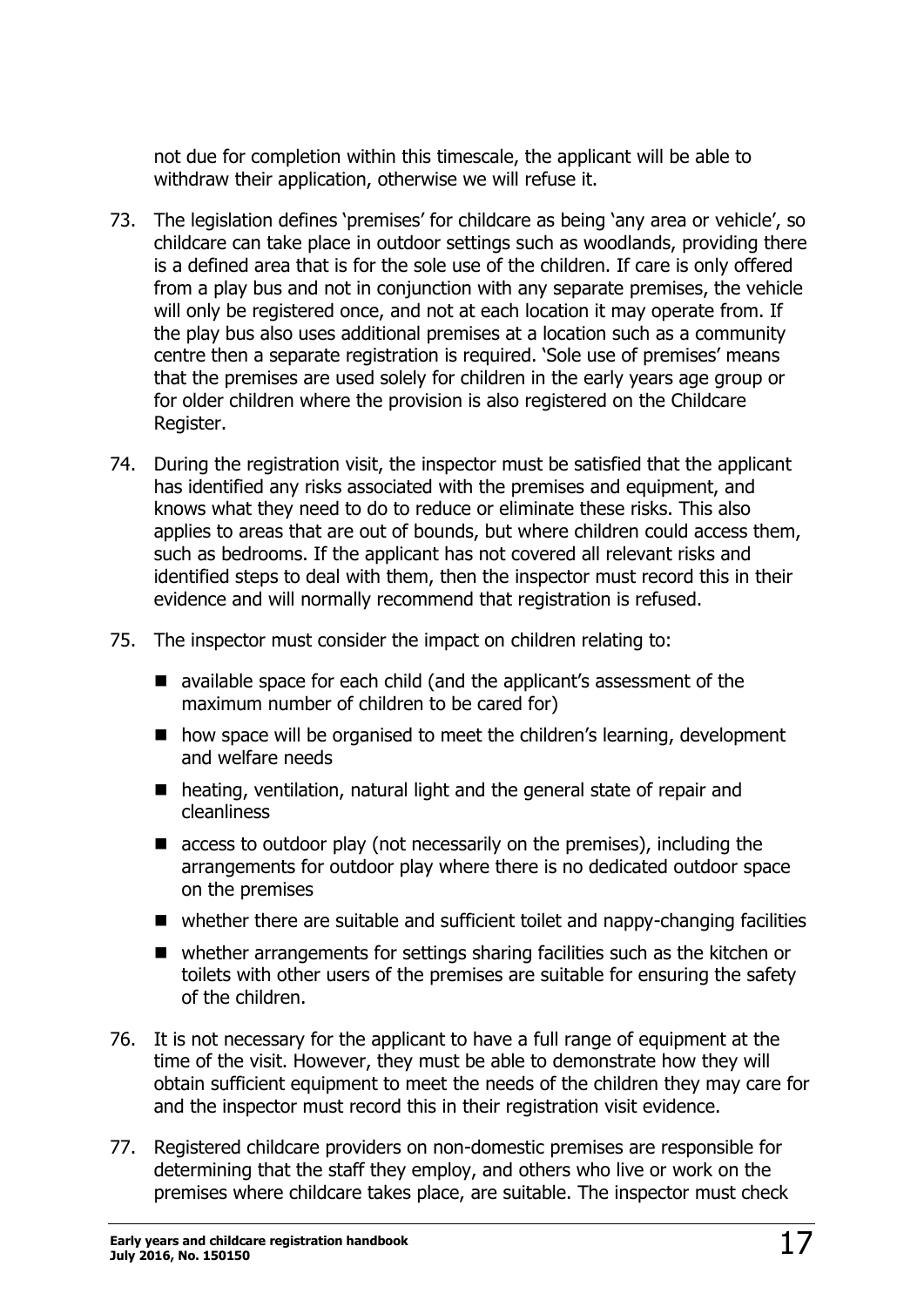not due for completion within this timescale, the applicant will be able to withdraw their application, otherwise we will refuse it.

- 73. The legislation defines 'premises' for childcare as being 'any area or vehicle', so childcare can take place in outdoor settings such as woodlands, providing there is a defined area that is for the sole use of the children. If care is only offered from a play bus and not in conjunction with any separate premises, the vehicle will only be registered once, and not at each location it may operate from. If the play bus also uses additional premises at a location such as a community centre then a separate registration is required. 'Sole use of premises' means that the premises are used solely for children in the early years age group or for older children where the provision is also registered on the Childcare Register.
- 74. During the registration visit, the inspector must be satisfied that the applicant has identified any risks associated with the premises and equipment, and knows what they need to do to reduce or eliminate these risks. This also applies to areas that are out of bounds, but where children could access them, such as bedrooms. If the applicant has not covered all relevant risks and identified steps to deal with them, then the inspector must record this in their evidence and will normally recommend that registration is refused.
- 75. The inspector must consider the impact on children relating to:
	- available space for each child (and the applicant's assessment of the maximum number of children to be cared for)
	- how space will be organised to meet the children's learning, development and welfare needs
	- heating, ventilation, natural light and the general state of repair and cleanliness
	- $\blacksquare$  access to outdoor play (not necessarily on the premises), including the arrangements for outdoor play where there is no dedicated outdoor space on the premises
	- whether there are suitable and sufficient toilet and nappy-changing facilities
	- whether arrangements for settings sharing facilities such as the kitchen or toilets with other users of the premises are suitable for ensuring the safety of the children.
- 76. It is not necessary for the applicant to have a full range of equipment at the time of the visit. However, they must be able to demonstrate how they will obtain sufficient equipment to meet the needs of the children they may care for and the inspector must record this in their registration visit evidence.
- 77. Registered childcare providers on non-domestic premises are responsible for determining that the staff they employ, and others who live or work on the premises where childcare takes place, are suitable. The inspector must check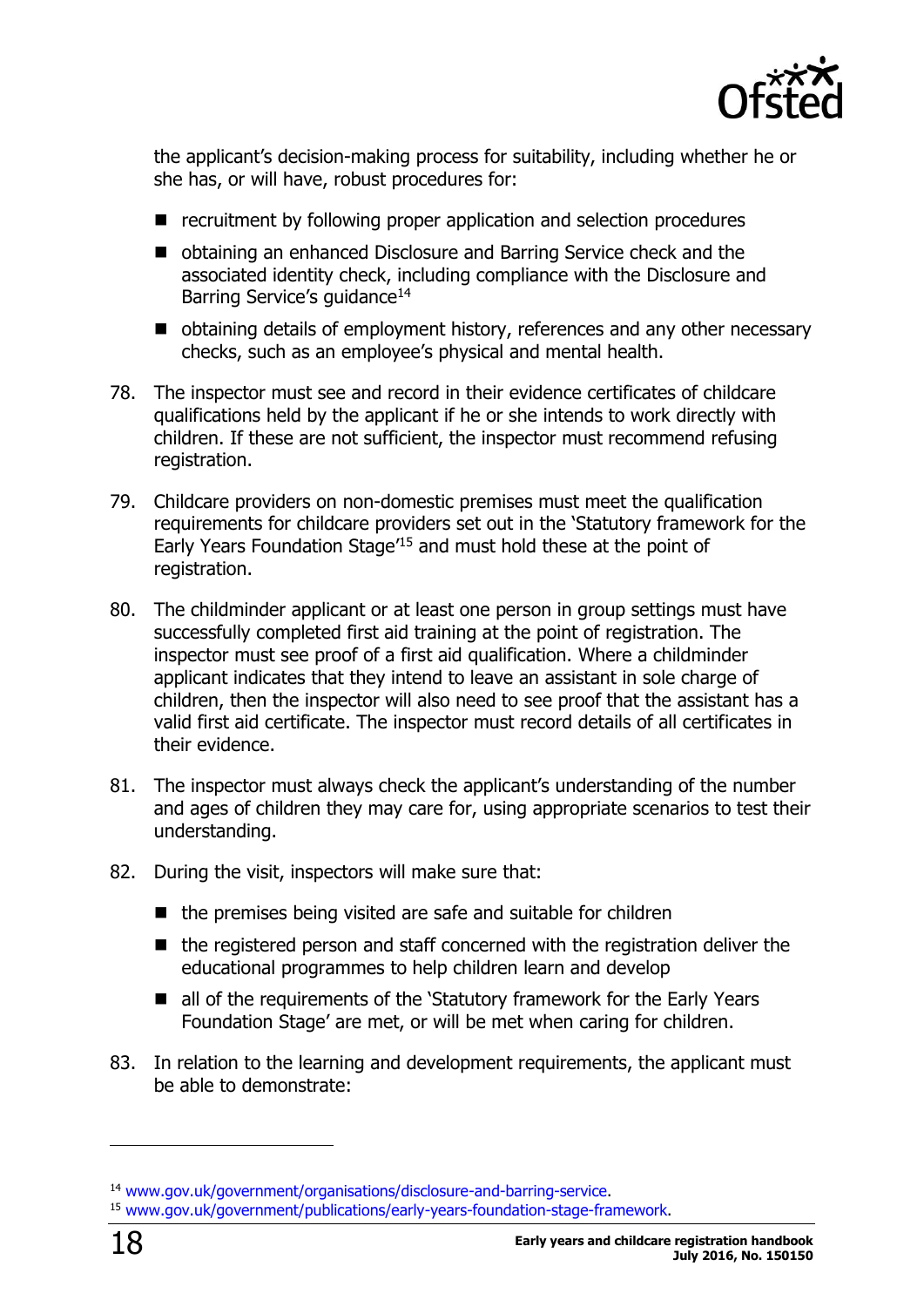

the applicant's decision-making process for suitability, including whether he or she has, or will have, robust procedures for:

- recruitment by following proper application and selection procedures
- obtaining an enhanced Disclosure and Barring Service check and the associated identity check, including compliance with the Disclosure and Barring Service's guidance<sup>14</sup>
- obtaining details of employment history, references and any other necessary checks, such as an employee's physical and mental health.
- 78. The inspector must see and record in their evidence certificates of childcare qualifications held by the applicant if he or she intends to work directly with children. If these are not sufficient, the inspector must recommend refusing registration.
- 79. Childcare providers on non-domestic premises must meet the qualification requirements for childcare providers set out in the 'Statutory framework for the Early Years Foundation Stage' <sup>15</sup> and must hold these at the point of registration.
- 80. The childminder applicant or at least one person in group settings must have successfully completed first aid training at the point of registration. The inspector must see proof of a first aid qualification. Where a childminder applicant indicates that they intend to leave an assistant in sole charge of children, then the inspector will also need to see proof that the assistant has a valid first aid certificate. The inspector must record details of all certificates in their evidence.
- 81. The inspector must always check the applicant's understanding of the number and ages of children they may care for, using appropriate scenarios to test their understanding.
- 82. During the visit, inspectors will make sure that:
	- $\blacksquare$  the premises being visited are safe and suitable for children
	- $\blacksquare$  the registered person and staff concerned with the registration deliver the educational programmes to help children learn and develop
	- all of the requirements of the 'Statutory framework for the Early Years Foundation Stage' are met, or will be met when caring for children.
- 83. In relation to the learning and development requirements, the applicant must be able to demonstrate:

<sup>14</sup> [www.gov.uk/government/organisations/disclosure-and-barring-service.](http://www.gov.uk/government/organisations/disclosure-and-barring-service)

<sup>15</sup> [www.gov.uk/government/publications/early-years-foundation-stage-framework.](https://www.gov.uk/government/publications/early-years-foundation-stage-framework--2)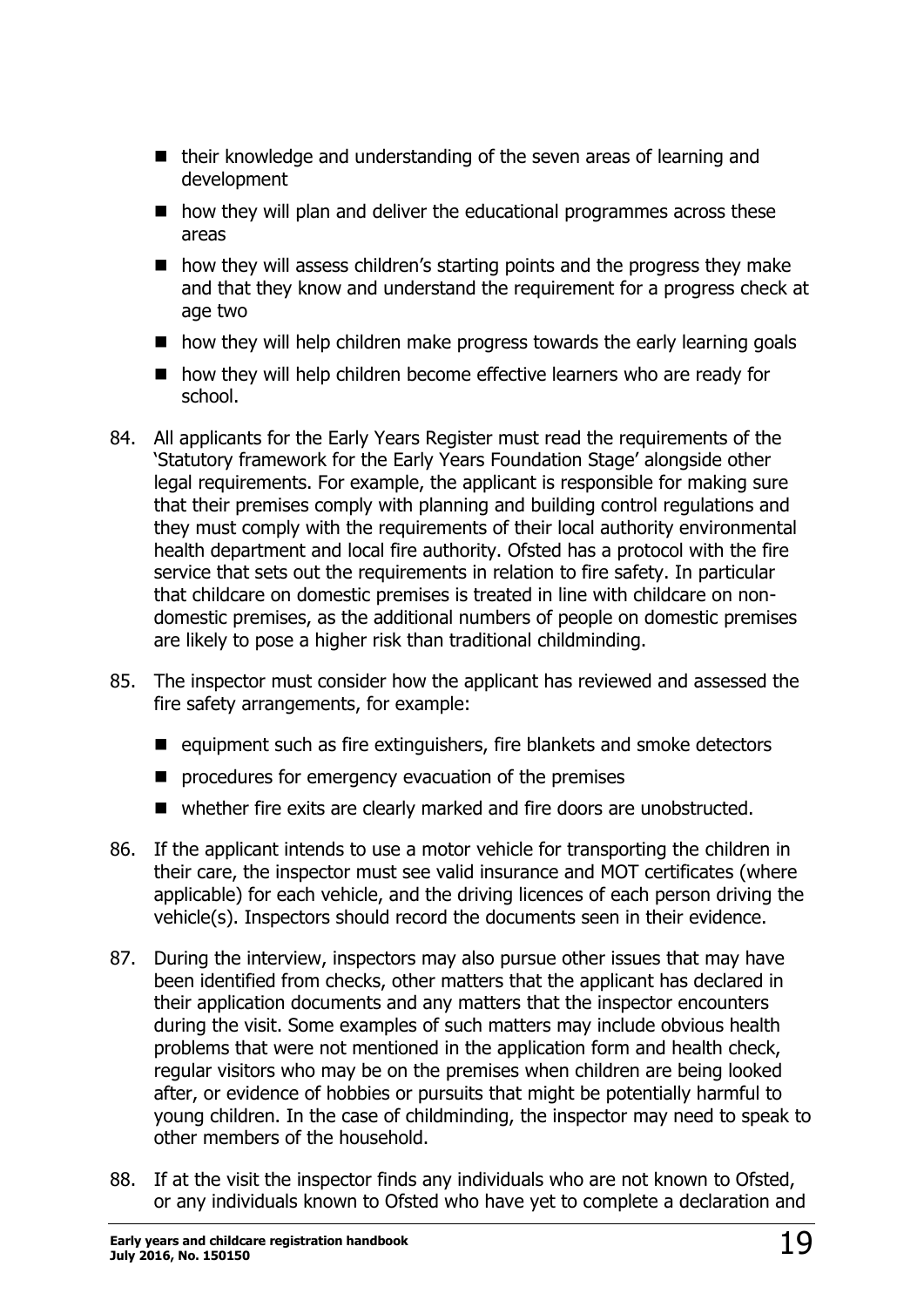- their knowledge and understanding of the seven areas of learning and development
- $\blacksquare$  how they will plan and deliver the educational programmes across these areas
- $\blacksquare$  how they will assess children's starting points and the progress they make and that they know and understand the requirement for a progress check at age two
- $\blacksquare$  how they will help children make progress towards the early learning goals
- $\blacksquare$  how they will help children become effective learners who are ready for school.
- 84. All applicants for the Early Years Register must read the requirements of the 'Statutory framework for the Early Years Foundation Stage' alongside other legal requirements. For example, the applicant is responsible for making sure that their premises comply with planning and building control regulations and they must comply with the requirements of their local authority environmental health department and local fire authority. Ofsted has a protocol with the fire service that sets out the requirements in relation to fire safety. In particular that childcare on domestic premises is treated in line with childcare on nondomestic premises, as the additional numbers of people on domestic premises are likely to pose a higher risk than traditional childminding.
- 85. The inspector must consider how the applicant has reviewed and assessed the fire safety arrangements, for example:
	- $\blacksquare$  equipment such as fire extinguishers, fire blankets and smoke detectors
	- $\blacksquare$  procedures for emergency evacuation of the premises
	- whether fire exits are clearly marked and fire doors are unobstructed.
- 86. If the applicant intends to use a motor vehicle for transporting the children in their care, the inspector must see valid insurance and MOT certificates (where applicable) for each vehicle, and the driving licences of each person driving the vehicle(s). Inspectors should record the documents seen in their evidence.
- 87. During the interview, inspectors may also pursue other issues that may have been identified from checks, other matters that the applicant has declared in their application documents and any matters that the inspector encounters during the visit. Some examples of such matters may include obvious health problems that were not mentioned in the application form and health check, regular visitors who may be on the premises when children are being looked after, or evidence of hobbies or pursuits that might be potentially harmful to young children. In the case of childminding, the inspector may need to speak to other members of the household.
- 88. If at the visit the inspector finds any individuals who are not known to Ofsted, or any individuals known to Ofsted who have yet to complete a declaration and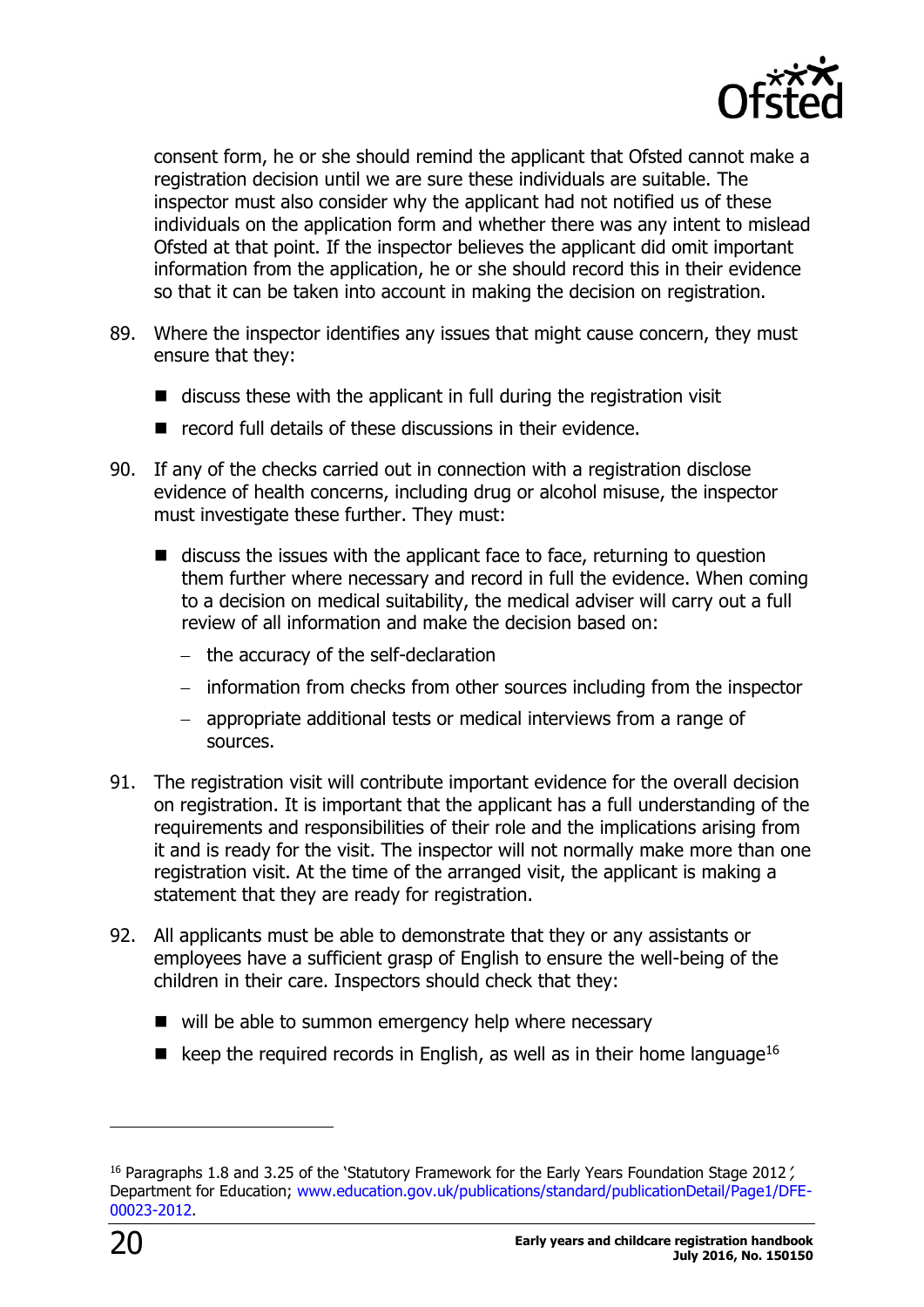

consent form, he or she should remind the applicant that Ofsted cannot make a registration decision until we are sure these individuals are suitable. The inspector must also consider why the applicant had not notified us of these individuals on the application form and whether there was any intent to mislead Ofsted at that point. If the inspector believes the applicant did omit important information from the application, he or she should record this in their evidence so that it can be taken into account in making the decision on registration.

- 89. Where the inspector identifies any issues that might cause concern, they must ensure that they:
	- $\blacksquare$  discuss these with the applicant in full during the registration visit
	- $\blacksquare$  record full details of these discussions in their evidence.
- 90. If any of the checks carried out in connection with a registration disclose evidence of health concerns, including drug or alcohol misuse, the inspector must investigate these further. They must:
	- $\blacksquare$  discuss the issues with the applicant face to face, returning to question them further where necessary and record in full the evidence. When coming to a decision on medical suitability, the medical adviser will carry out a full review of all information and make the decision based on:
		- $-$  the accuracy of the self-declaration
		- information from checks from other sources including from the inspector
		- appropriate additional tests or medical interviews from a range of sources.
- 91. The registration visit will contribute important evidence for the overall decision on registration. It is important that the applicant has a full understanding of the requirements and responsibilities of their role and the implications arising from it and is ready for the visit. The inspector will not normally make more than one registration visit. At the time of the arranged visit, the applicant is making a statement that they are ready for registration.
- 92. All applicants must be able to demonstrate that they or any assistants or employees have a sufficient grasp of English to ensure the well-being of the children in their care. Inspectors should check that they:
	- $\blacksquare$  will be able to summon emergency help where necessary
	- E keep the required records in English, as well as in their home language<sup>16</sup>

-

<sup>&</sup>lt;sup>16</sup> Paragraphs 1.8 and 3.25 of the 'Statutory Framework for the Early Years Foundation Stage 2012 / Department for Education; [www.education.gov.uk/publications/standard/publicationDetail/Page1/DFE-](http://www.education.gov.uk/publications/standard/publicationDetail/Page1/DFE-00023-2012)[00023-2012.](http://www.education.gov.uk/publications/standard/publicationDetail/Page1/DFE-00023-2012)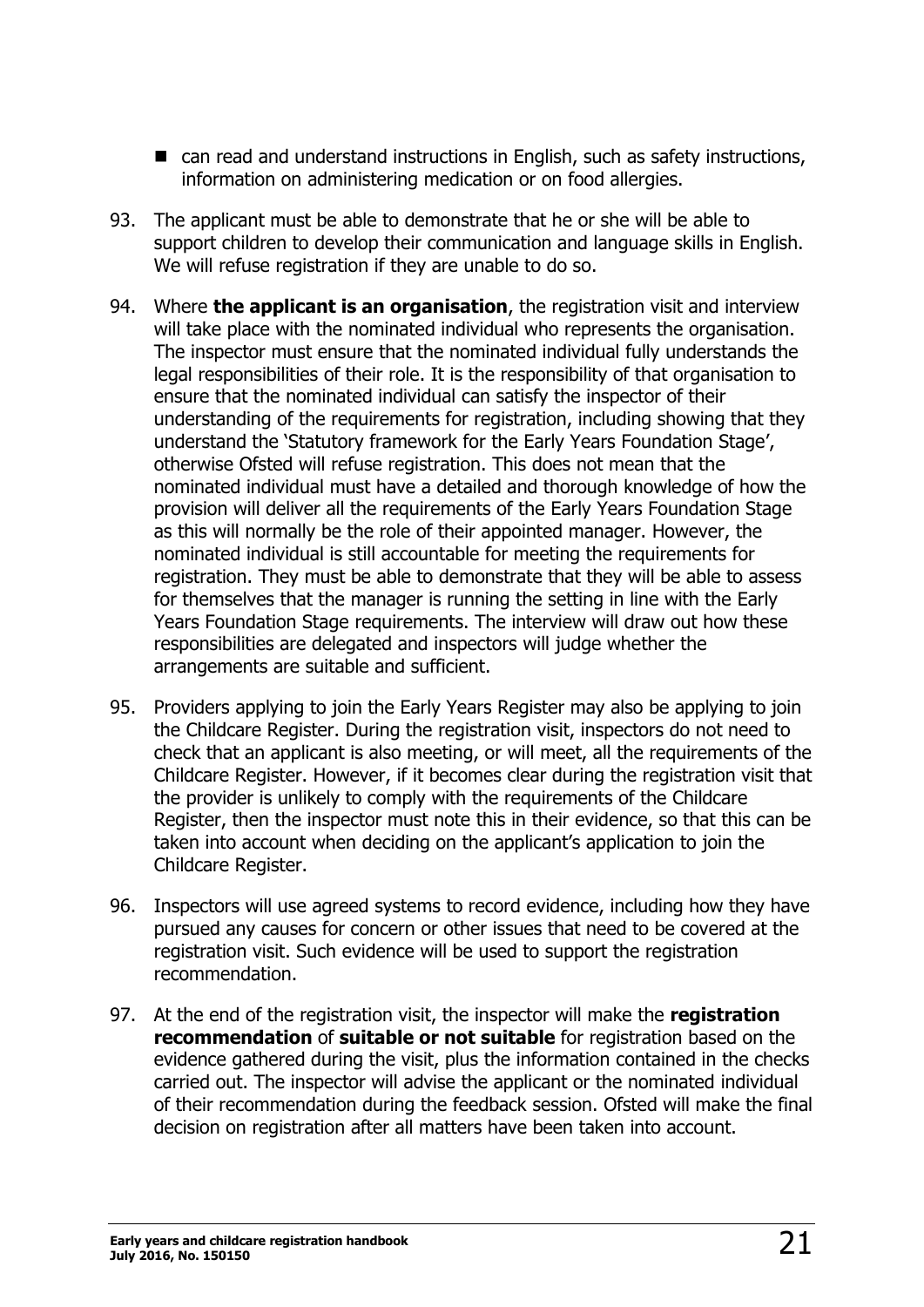- can read and understand instructions in English, such as safety instructions, information on administering medication or on food allergies.
- 93. The applicant must be able to demonstrate that he or she will be able to support children to develop their communication and language skills in English. We will refuse registration if they are unable to do so.
- 94. Where **the applicant is an organisation**, the registration visit and interview will take place with the nominated individual who represents the organisation. The inspector must ensure that the nominated individual fully understands the legal responsibilities of their role. It is the responsibility of that organisation to ensure that the nominated individual can satisfy the inspector of their understanding of the requirements for registration, including showing that they understand the 'Statutory framework for the Early Years Foundation Stage', otherwise Ofsted will refuse registration. This does not mean that the nominated individual must have a detailed and thorough knowledge of how the provision will deliver all the requirements of the Early Years Foundation Stage as this will normally be the role of their appointed manager. However, the nominated individual is still accountable for meeting the requirements for registration. They must be able to demonstrate that they will be able to assess for themselves that the manager is running the setting in line with the Early Years Foundation Stage requirements. The interview will draw out how these responsibilities are delegated and inspectors will judge whether the arrangements are suitable and sufficient.
- 95. Providers applying to join the Early Years Register may also be applying to join the Childcare Register. During the registration visit, inspectors do not need to check that an applicant is also meeting, or will meet, all the requirements of the Childcare Register. However, if it becomes clear during the registration visit that the provider is unlikely to comply with the requirements of the Childcare Register, then the inspector must note this in their evidence, so that this can be taken into account when deciding on the applicant's application to join the Childcare Register.
- 96. Inspectors will use agreed systems to record evidence, including how they have pursued any causes for concern or other issues that need to be covered at the registration visit. Such evidence will be used to support the registration recommendation.
- 97. At the end of the registration visit, the inspector will make the **registration recommendation** of **suitable or not suitable** for registration based on the evidence gathered during the visit, plus the information contained in the checks carried out. The inspector will advise the applicant or the nominated individual of their recommendation during the feedback session. Ofsted will make the final decision on registration after all matters have been taken into account.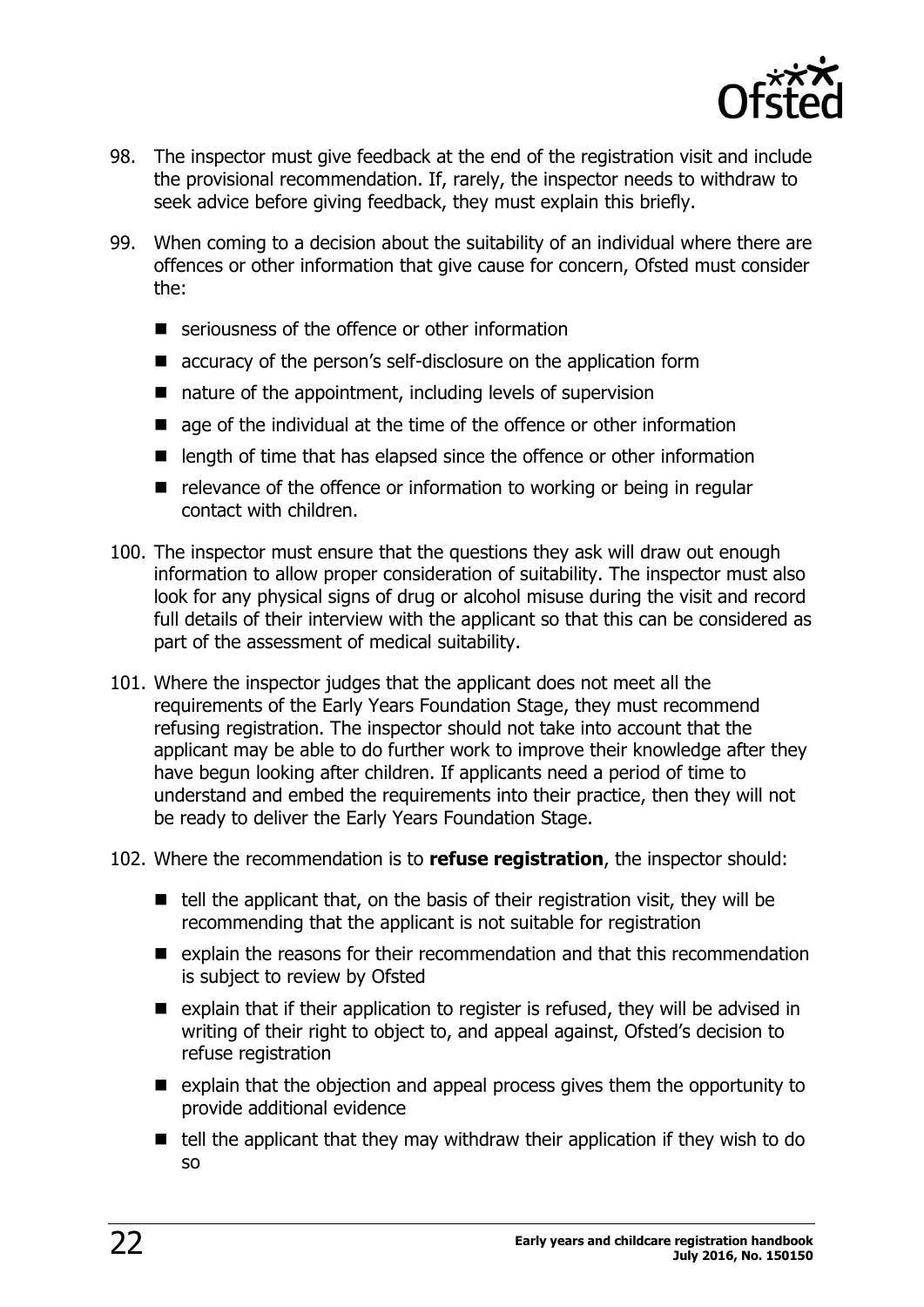

- 98. The inspector must give feedback at the end of the registration visit and include the provisional recommendation. If, rarely, the inspector needs to withdraw to seek advice before giving feedback, they must explain this briefly.
- 99. When coming to a decision about the suitability of an individual where there are offences or other information that give cause for concern, Ofsted must consider the:
	- seriousness of the offence or other information
	- accuracy of the person's self-disclosure on the application form
	- nature of the appointment, including levels of supervision
	- **E** age of the individual at the time of the offence or other information
	- $\blacksquare$  length of time that has elapsed since the offence or other information
	- $\blacksquare$  relevance of the offence or information to working or being in regular contact with children.
- 100. The inspector must ensure that the questions they ask will draw out enough information to allow proper consideration of suitability. The inspector must also look for any physical signs of drug or alcohol misuse during the visit and record full details of their interview with the applicant so that this can be considered as part of the assessment of medical suitability.
- 101. Where the inspector judges that the applicant does not meet all the requirements of the Early Years Foundation Stage, they must recommend refusing registration. The inspector should not take into account that the applicant may be able to do further work to improve their knowledge after they have begun looking after children. If applicants need a period of time to understand and embed the requirements into their practice, then they will not be ready to deliver the Early Years Foundation Stage.
- 102. Where the recommendation is to **refuse registration**, the inspector should:
	- $\blacksquare$  tell the applicant that, on the basis of their registration visit, they will be recommending that the applicant is not suitable for registration
	- $\blacksquare$  explain the reasons for their recommendation and that this recommendation is subject to review by Ofsted
	- $\blacksquare$  explain that if their application to register is refused, they will be advised in writing of their right to object to, and appeal against, Ofsted's decision to refuse registration
	- $\blacksquare$  explain that the objection and appeal process gives them the opportunity to provide additional evidence
	- $\blacksquare$  tell the applicant that they may withdraw their application if they wish to do so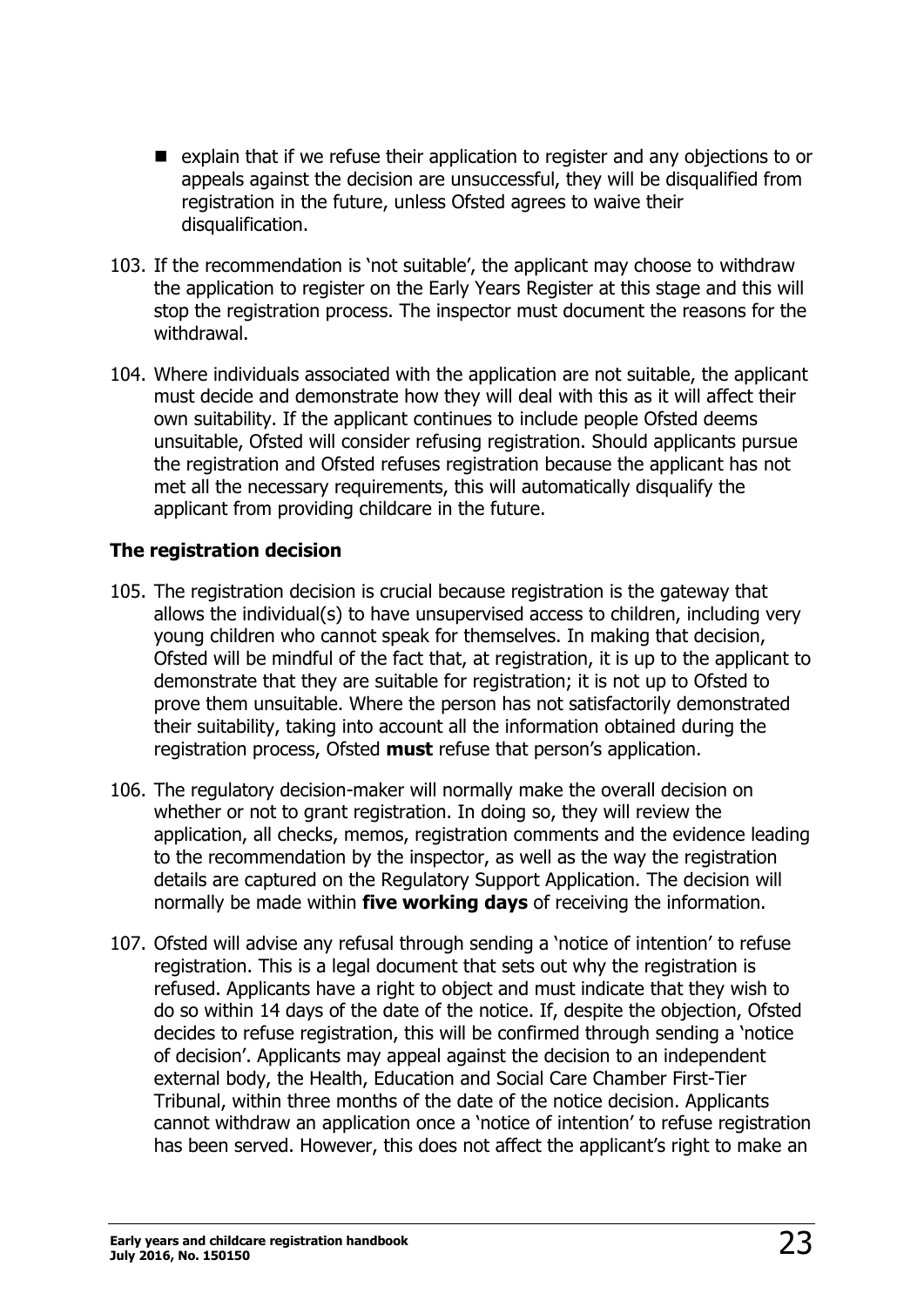- $\blacksquare$  explain that if we refuse their application to register and any objections to or appeals against the decision are unsuccessful, they will be disqualified from registration in the future, unless Ofsted agrees to waive their disqualification.
- 103. If the recommendation is 'not suitable', the applicant may choose to withdraw the application to register on the Early Years Register at this stage and this will stop the registration process. The inspector must document the reasons for the withdrawal.
- 104. Where individuals associated with the application are not suitable, the applicant must decide and demonstrate how they will deal with this as it will affect their own suitability. If the applicant continues to include people Ofsted deems unsuitable, Ofsted will consider refusing registration. Should applicants pursue the registration and Ofsted refuses registration because the applicant has not met all the necessary requirements, this will automatically disqualify the applicant from providing childcare in the future.

#### <span id="page-22-0"></span>**The registration decision**

- 105. The registration decision is crucial because registration is the gateway that allows the individual(s) to have unsupervised access to children, including very young children who cannot speak for themselves. In making that decision, Ofsted will be mindful of the fact that, at registration, it is up to the applicant to demonstrate that they are suitable for registration; it is not up to Ofsted to prove them unsuitable. Where the person has not satisfactorily demonstrated their suitability, taking into account all the information obtained during the registration process, Ofsted **must** refuse that person's application.
- 106. The regulatory decision-maker will normally make the overall decision on whether or not to grant registration. In doing so, they will review the application, all checks, memos, registration comments and the evidence leading to the recommendation by the inspector, as well as the way the registration details are captured on the Regulatory Support Application. The decision will normally be made within **five working days** of receiving the information.
- 107. Ofsted will advise any refusal through sending a 'notice of intention' to refuse registration. This is a legal document that sets out why the registration is refused. Applicants have a right to object and must indicate that they wish to do so within 14 days of the date of the notice. If, despite the objection, Ofsted decides to refuse registration, this will be confirmed through sending a 'notice of decision'. Applicants may appeal against the decision to an independent external body, the Health, Education and Social Care Chamber First-Tier Tribunal, within three months of the date of the notice decision. Applicants cannot withdraw an application once a 'notice of intention' to refuse registration has been served. However, this does not affect the applicant's right to make an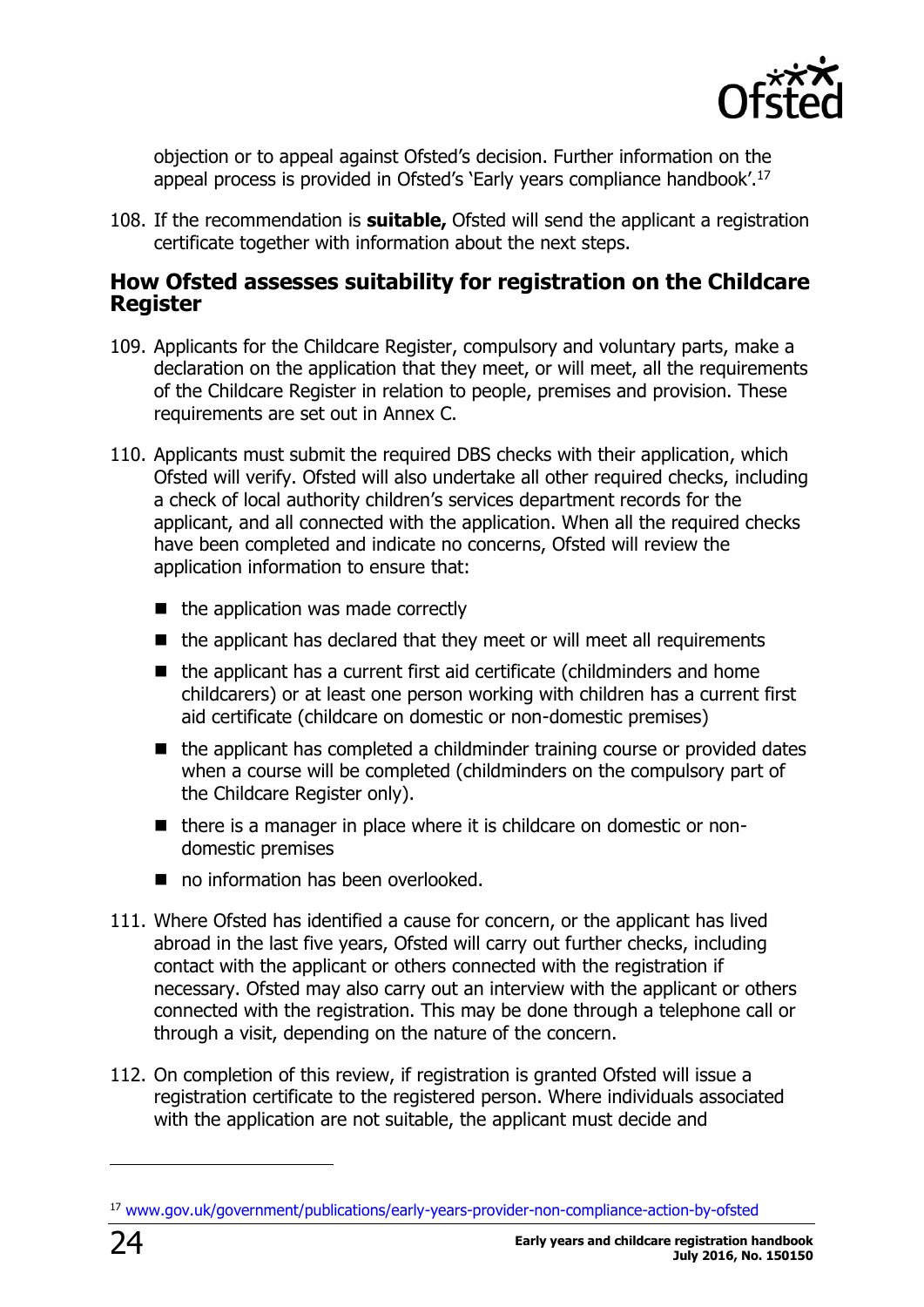

objection or to appeal against Ofsted's decision. Further information on the appeal process is provided in Ofsted's 'Early years compliance handbook'.<sup>17</sup>

108. If the recommendation is **suitable,** Ofsted will send the applicant a registration certificate together with information about the next steps.

#### <span id="page-23-0"></span>**How Ofsted assesses suitability for registration on the Childcare Register**

- 109. Applicants for the Childcare Register, compulsory and voluntary parts, make a declaration on the application that they meet, or will meet, all the requirements of the Childcare Register in relation to people, premises and provision. These requirements are set out in Annex C.
- 110. Applicants must submit the required DBS checks with their application, which Ofsted will verify. Ofsted will also undertake all other required checks, including a check of local authority children's services department records for the applicant, and all connected with the application. When all the required checks have been completed and indicate no concerns, Ofsted will review the application information to ensure that:
	- $\blacksquare$  the application was made correctly
	- $\blacksquare$  the applicant has declared that they meet or will meet all requirements
	- $\blacksquare$  the applicant has a current first aid certificate (childminders and home childcarers) or at least one person working with children has a current first aid certificate (childcare on domestic or non-domestic premises)
	- $\blacksquare$  the applicant has completed a childminder training course or provided dates when a course will be completed (childminders on the compulsory part of the Childcare Register only).
	- $\blacksquare$  there is a manager in place where it is childcare on domestic or nondomestic premises
	- no information has been overlooked.
- 111. Where Ofsted has identified a cause for concern, or the applicant has lived abroad in the last five years, Ofsted will carry out further checks, including contact with the applicant or others connected with the registration if necessary. Ofsted may also carry out an interview with the applicant or others connected with the registration. This may be done through a telephone call or through a visit, depending on the nature of the concern.
- 112. On completion of this review, if registration is granted Ofsted will issue a registration certificate to the registered person. Where individuals associated with the application are not suitable, the applicant must decide and

<sup>17</sup> [www.gov.uk/government/publications/early-years-provider-non-compliance-action-by-ofsted](https://www.gov.uk/government/publications/early-years-provider-non-compliance-action-by-ofsted)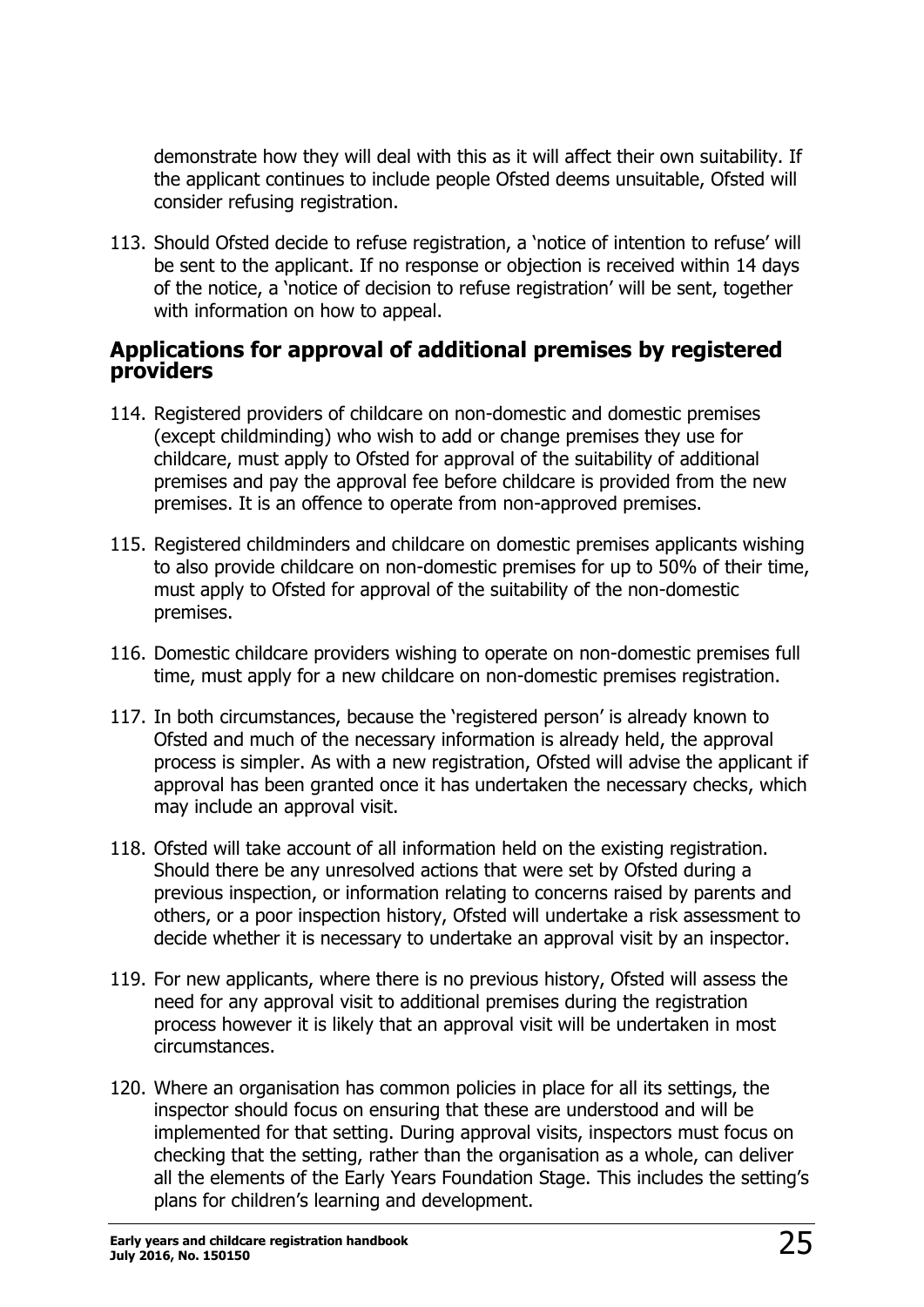demonstrate how they will deal with this as it will affect their own suitability. If the applicant continues to include people Ofsted deems unsuitable, Ofsted will consider refusing registration.

113. Should Ofsted decide to refuse registration, a 'notice of intention to refuse' will be sent to the applicant. If no response or objection is received within 14 days of the notice, a 'notice of decision to refuse registration' will be sent, together with information on how to appeal.

#### <span id="page-24-0"></span>**Applications for approval of additional premises by registered providers**

- 114. Registered providers of childcare on non-domestic and domestic premises (except childminding) who wish to add or change premises they use for childcare, must apply to Ofsted for approval of the suitability of additional premises and pay the approval fee before childcare is provided from the new premises. It is an offence to operate from non-approved premises.
- 115. Registered childminders and childcare on domestic premises applicants wishing to also provide childcare on non-domestic premises for up to 50% of their time, must apply to Ofsted for approval of the suitability of the non-domestic premises.
- 116. Domestic childcare providers wishing to operate on non-domestic premises full time, must apply for a new childcare on non-domestic premises registration.
- 117. In both circumstances, because the 'registered person' is already known to Ofsted and much of the necessary information is already held, the approval process is simpler. As with a new registration, Ofsted will advise the applicant if approval has been granted once it has undertaken the necessary checks, which may include an approval visit.
- 118. Ofsted will take account of all information held on the existing registration. Should there be any unresolved actions that were set by Ofsted during a previous inspection, or information relating to concerns raised by parents and others, or a poor inspection history, Ofsted will undertake a risk assessment to decide whether it is necessary to undertake an approval visit by an inspector.
- 119. For new applicants, where there is no previous history, Ofsted will assess the need for any approval visit to additional premises during the registration process however it is likely that an approval visit will be undertaken in most circumstances.
- 120. Where an organisation has common policies in place for all its settings, the inspector should focus on ensuring that these are understood and will be implemented for that setting. During approval visits, inspectors must focus on checking that the setting, rather than the organisation as a whole, can deliver all the elements of the Early Years Foundation Stage. This includes the setting's plans for children's learning and development.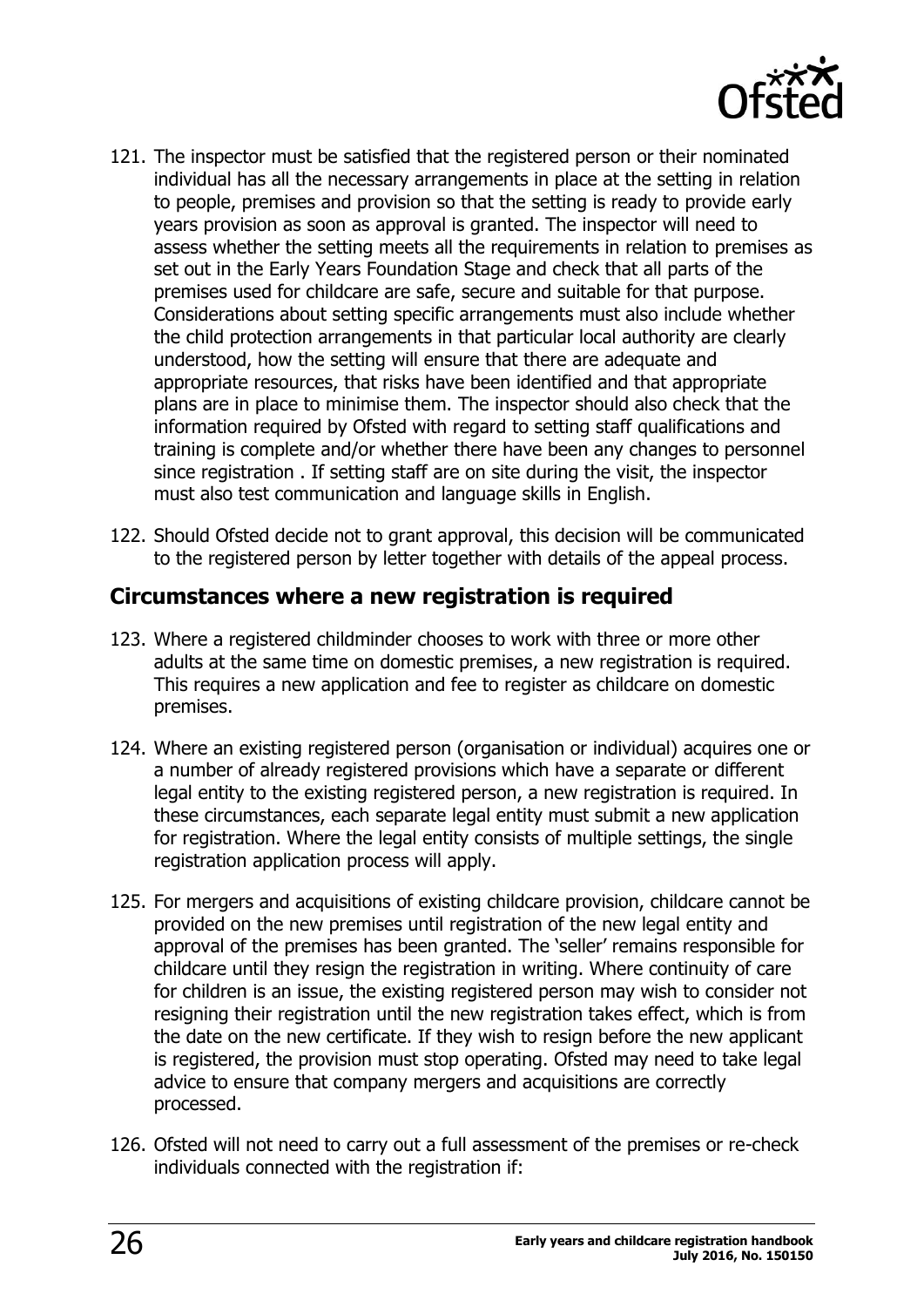

- 121. The inspector must be satisfied that the registered person or their nominated individual has all the necessary arrangements in place at the setting in relation to people, premises and provision so that the setting is ready to provide early years provision as soon as approval is granted. The inspector will need to assess whether the setting meets all the requirements in relation to premises as set out in the Early Years Foundation Stage and check that all parts of the premises used for childcare are safe, secure and suitable for that purpose. Considerations about setting specific arrangements must also include whether the child protection arrangements in that particular local authority are clearly understood, how the setting will ensure that there are adequate and appropriate resources, that risks have been identified and that appropriate plans are in place to minimise them. The inspector should also check that the information required by Ofsted with regard to setting staff qualifications and training is complete and/or whether there have been any changes to personnel since registration . If setting staff are on site during the visit, the inspector must also test communication and language skills in English.
- 122. Should Ofsted decide not to grant approval, this decision will be communicated to the registered person by letter together with details of the appeal process.

#### <span id="page-25-0"></span>**Circumstances where a new registration is required**

- 123. Where a registered childminder chooses to work with three or more other adults at the same time on domestic premises, a new registration is required. This requires a new application and fee to register as childcare on domestic premises.
- 124. Where an existing registered person (organisation or individual) acquires one or a number of already registered provisions which have a separate or different legal entity to the existing registered person, a new registration is required. In these circumstances, each separate legal entity must submit a new application for registration. Where the legal entity consists of multiple settings, the single registration application process will apply.
- 125. For mergers and acquisitions of existing childcare provision, childcare cannot be provided on the new premises until registration of the new legal entity and approval of the premises has been granted. The 'seller' remains responsible for childcare until they resign the registration in writing. Where continuity of care for children is an issue, the existing registered person may wish to consider not resigning their registration until the new registration takes effect, which is from the date on the new certificate. If they wish to resign before the new applicant is registered, the provision must stop operating. Ofsted may need to take legal advice to ensure that company mergers and acquisitions are correctly processed.
- 126. Ofsted will not need to carry out a full assessment of the premises or re-check individuals connected with the registration if: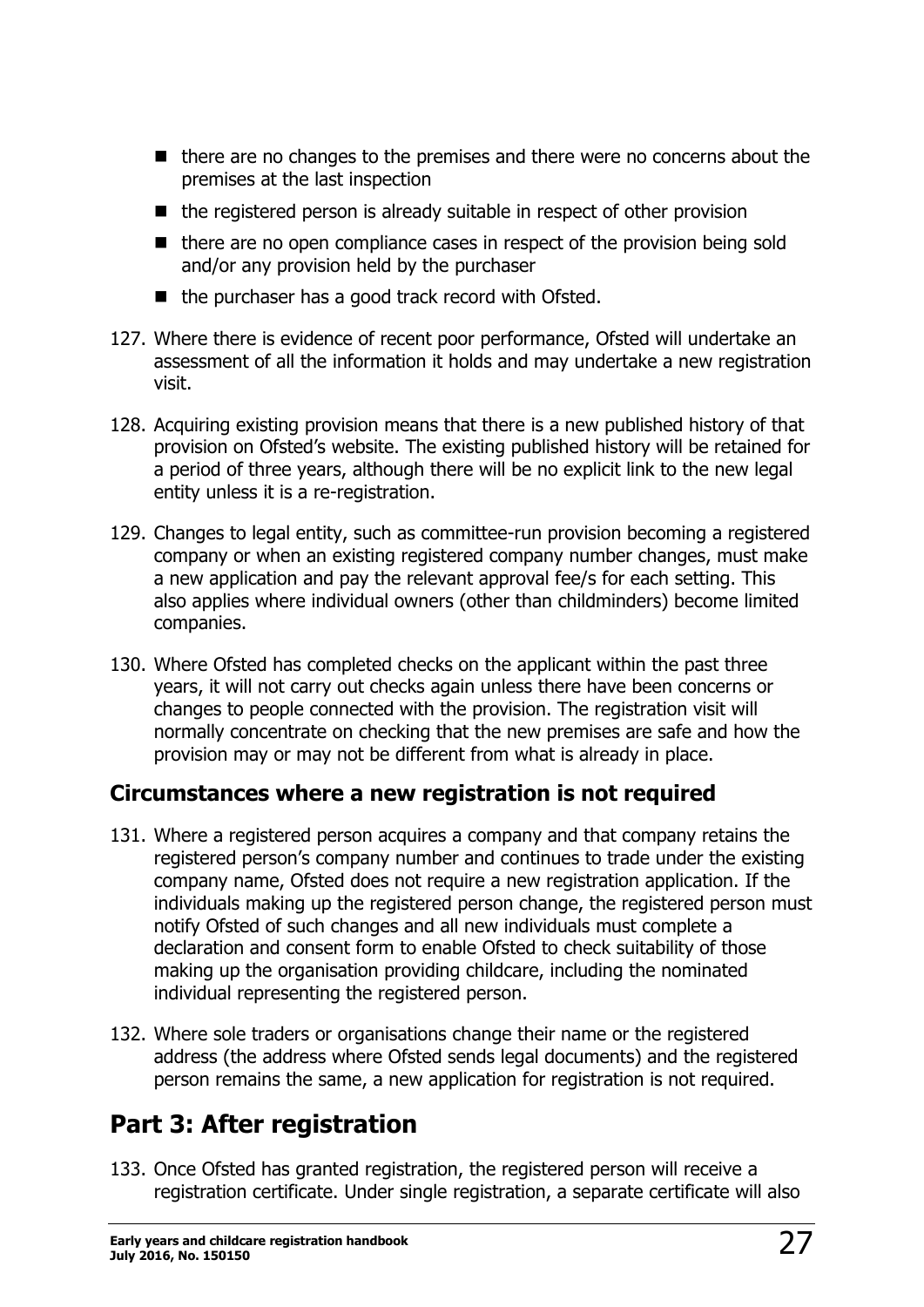- there are no changes to the premises and there were no concerns about the premises at the last inspection
- $\blacksquare$  the registered person is already suitable in respect of other provision
- there are no open compliance cases in respect of the provision being sold and/or any provision held by the purchaser
- $\blacksquare$  the purchaser has a good track record with Ofsted.
- 127. Where there is evidence of recent poor performance, Ofsted will undertake an assessment of all the information it holds and may undertake a new registration visit.
- 128. Acquiring existing provision means that there is a new published history of that provision on Ofsted's website. The existing published history will be retained for a period of three years, although there will be no explicit link to the new legal entity unless it is a re-registration.
- 129. Changes to legal entity, such as committee-run provision becoming a registered company or when an existing registered company number changes, must make a new application and pay the relevant approval fee/s for each setting. This also applies where individual owners (other than childminders) become limited companies.
- 130. Where Ofsted has completed checks on the applicant within the past three years, it will not carry out checks again unless there have been concerns or changes to people connected with the provision. The registration visit will normally concentrate on checking that the new premises are safe and how the provision may or may not be different from what is already in place.

### <span id="page-26-0"></span>**Circumstances where a new registration is not required**

- 131. Where a registered person acquires a company and that company retains the registered person's company number and continues to trade under the existing company name, Ofsted does not require a new registration application. If the individuals making up the registered person change, the registered person must notify Ofsted of such changes and all new individuals must complete a declaration and consent form to enable Ofsted to check suitability of those making up the organisation providing childcare, including the nominated individual representing the registered person.
- 132. Where sole traders or organisations change their name or the registered address (the address where Ofsted sends legal documents) and the registered person remains the same, a new application for registration is not required.

# <span id="page-26-1"></span>**Part 3: After registration**

133. Once Ofsted has granted registration, the registered person will receive a registration certificate. Under single registration, a separate certificate will also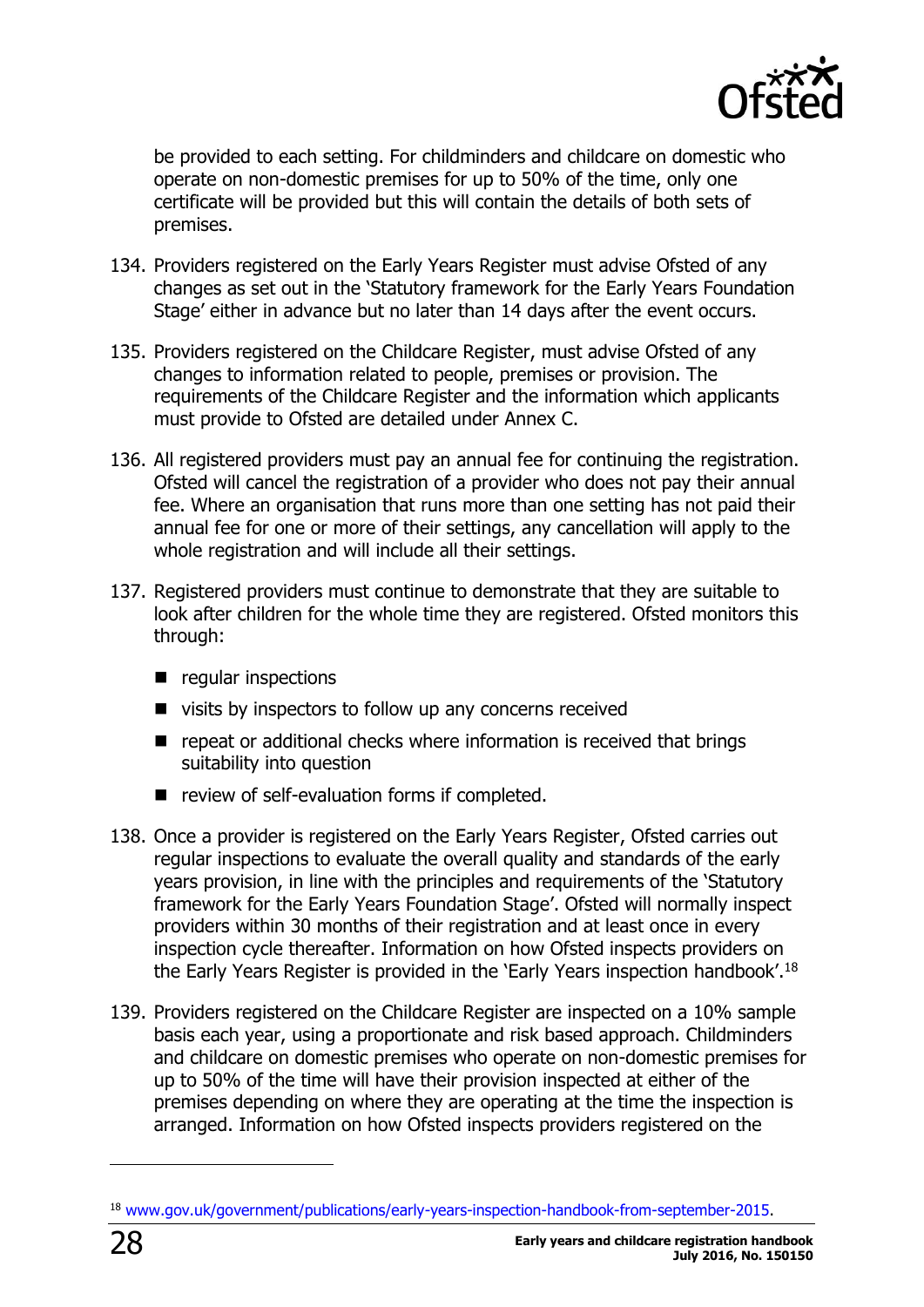

be provided to each setting. For childminders and childcare on domestic who operate on non-domestic premises for up to 50% of the time, only one certificate will be provided but this will contain the details of both sets of premises.

- 134. Providers registered on the Early Years Register must advise Ofsted of any changes as set out in the 'Statutory framework for the Early Years Foundation Stage' either in advance but no later than 14 days after the event occurs.
- 135. Providers registered on the Childcare Register, must advise Ofsted of any changes to information related to people, premises or provision. The requirements of the Childcare Register and the information which applicants must provide to Ofsted are detailed under Annex C.
- 136. All registered providers must pay an annual fee for continuing the registration. Ofsted will cancel the registration of a provider who does not pay their annual fee. Where an organisation that runs more than one setting has not paid their annual fee for one or more of their settings, any cancellation will apply to the whole registration and will include all their settings.
- 137. Registered providers must continue to demonstrate that they are suitable to look after children for the whole time they are registered. Ofsted monitors this through:
	- **P** regular inspections
	- $\blacksquare$  visits by inspectors to follow up any concerns received
	- repeat or additional checks where information is received that brings suitability into question
	- review of self-evaluation forms if completed.
- 138. Once a provider is registered on the Early Years Register, Ofsted carries out regular inspections to evaluate the overall quality and standards of the early years provision, in line with the principles and requirements of the 'Statutory framework for the Early Years Foundation Stage'. Ofsted will normally inspect providers within 30 months of their registration and at least once in every inspection cycle thereafter. Information on how Ofsted inspects providers on the Early Years Register is provided in the 'Early Years inspection handbook'.<sup>18</sup>
- 139. Providers registered on the Childcare Register are inspected on a 10% sample basis each year, using a proportionate and risk based approach. Childminders and childcare on domestic premises who operate on non-domestic premises for up to 50% of the time will have their provision inspected at either of the premises depending on where they are operating at the time the inspection is arranged. Information on how Ofsted inspects providers registered on the

<sup>18</sup> [www.gov.uk/government/publications/early-years-inspection-handbook-from-september-2015.](http://www.gov.uk/government/publications/early-years-inspection-handbook-from-september-2015)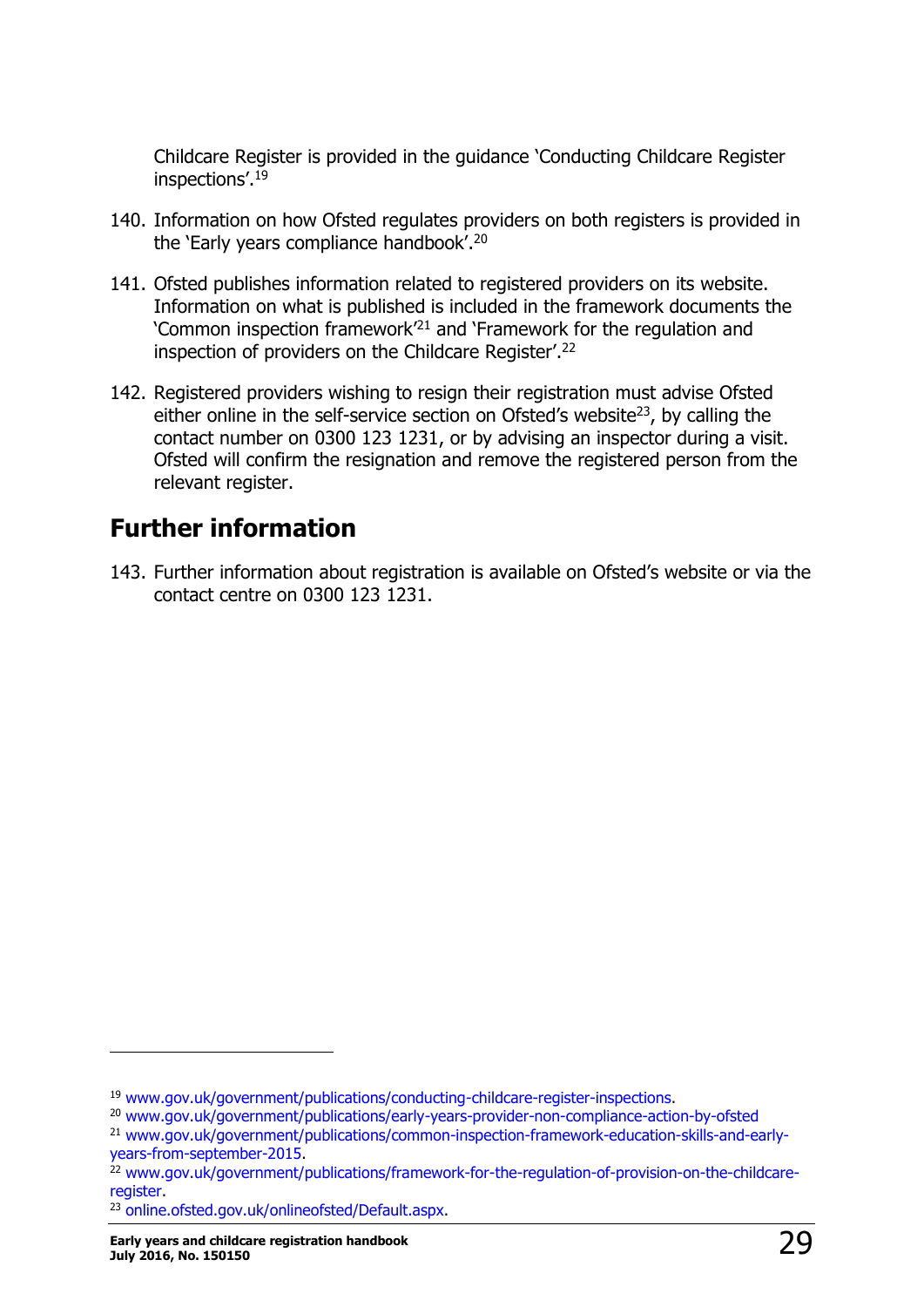Childcare Register is provided in the guidance 'Conducting Childcare Register inspections'. 19

- 140. Information on how Ofsted regulates providers on both registers is provided in the 'Early years compliance handbook'. 20
- 141. Ofsted publishes information related to registered providers on its website. Information on what is published is included in the framework documents the 'Common inspection framework'<sup>21</sup> and 'Framework for the regulation and inspection of providers on the Childcare Register'. 22
- 142. Registered providers wishing to resign their registration must advise Ofsted either online in the self-service section on Ofsted's website $^{23}$ , by calling the contact number on 0300 123 1231, or by advising an inspector during a visit. Ofsted will confirm the resignation and remove the registered person from the relevant register.

## <span id="page-28-0"></span>**Further information**

143. Further information about registration is available on Ofsted's website or via the contact centre on 0300 123 1231.

<sup>19</sup> [www.gov.uk/government/publications/conducting-childcare-register-inspections.](https://www.gov.uk/government/publications/conducting-childcare-register-inspections)

<sup>20</sup> [www.gov.uk/government/publications/early-years-provider-non-compliance-action-by-ofsted](https://www.gov.uk/government/publications/early-years-provider-non-compliance-action-by-ofsted)

<sup>21</sup> [www.gov.uk/government/publications/common-inspection-framework-education-skills-and-early](https://www.gov.uk/government/publications/common-inspection-framework-education-skills-and-early-years-from-september-2015)[years-from-september-2015.](https://www.gov.uk/government/publications/common-inspection-framework-education-skills-and-early-years-from-september-2015)

<sup>&</sup>lt;sup>22</sup> [www.gov.uk/government/publications/framework-for-the-regulation-of-provision-on-the-childcare](http://www.gov.uk/government/publications/framework-for-the-regulation-of-provision-on-the-childcare-register)[register.](http://www.gov.uk/government/publications/framework-for-the-regulation-of-provision-on-the-childcare-register)

<sup>23</sup> [online.ofsted.gov.uk/onlineofsted/Default.aspx.](https://online.ofsted.gov.uk/onlineofsted/Default.aspx)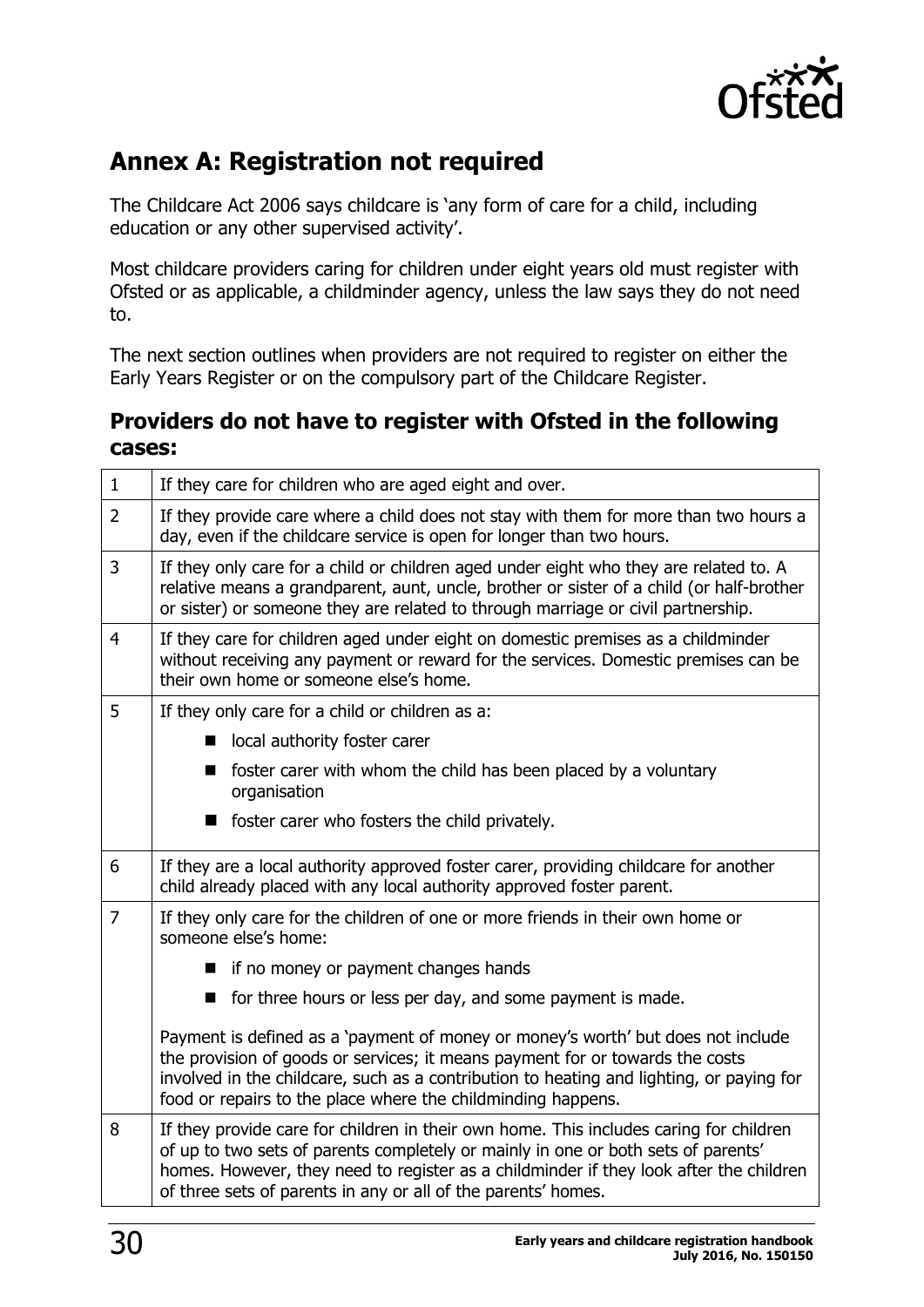

## <span id="page-29-0"></span>**Annex A: Registration not required**

The Childcare Act 2006 says childcare is 'any form of care for a child, including education or any other supervised activity'.

Most childcare providers caring for children under eight years old must register with Ofsted or as applicable, a childminder agency, unless the law says they do not need to.

The next section outlines when providers are not required to register on either the Early Years Register or on the compulsory part of the Childcare Register.

#### **Providers do not have to register with Ofsted in the following cases:**

| $\mathbf{1}$   | If they care for children who are aged eight and over.                                                                                                                                                                                                                                                                                 |  |  |  |  |
|----------------|----------------------------------------------------------------------------------------------------------------------------------------------------------------------------------------------------------------------------------------------------------------------------------------------------------------------------------------|--|--|--|--|
| $\overline{2}$ | If they provide care where a child does not stay with them for more than two hours a<br>day, even if the childcare service is open for longer than two hours.                                                                                                                                                                          |  |  |  |  |
| 3              | If they only care for a child or children aged under eight who they are related to. A<br>relative means a grandparent, aunt, uncle, brother or sister of a child (or half-brother<br>or sister) or someone they are related to through marriage or civil partnership.                                                                  |  |  |  |  |
| $\overline{4}$ | If they care for children aged under eight on domestic premises as a childminder<br>without receiving any payment or reward for the services. Domestic premises can be<br>their own home or someone else's home.                                                                                                                       |  |  |  |  |
| 5              | If they only care for a child or children as a:                                                                                                                                                                                                                                                                                        |  |  |  |  |
|                | local authority foster carer                                                                                                                                                                                                                                                                                                           |  |  |  |  |
|                | foster carer with whom the child has been placed by a voluntary<br>organisation                                                                                                                                                                                                                                                        |  |  |  |  |
|                | foster carer who fosters the child privately.                                                                                                                                                                                                                                                                                          |  |  |  |  |
| 6              | If they are a local authority approved foster carer, providing childcare for another<br>child already placed with any local authority approved foster parent.                                                                                                                                                                          |  |  |  |  |
| $\overline{7}$ | If they only care for the children of one or more friends in their own home or<br>someone else's home:                                                                                                                                                                                                                                 |  |  |  |  |
|                | ■ if no money or payment changes hands                                                                                                                                                                                                                                                                                                 |  |  |  |  |
|                | ■ for three hours or less per day, and some payment is made.                                                                                                                                                                                                                                                                           |  |  |  |  |
|                | Payment is defined as a 'payment of money or money's worth' but does not include<br>the provision of goods or services; it means payment for or towards the costs<br>involved in the childcare, such as a contribution to heating and lighting, or paying for<br>food or repairs to the place where the childminding happens.          |  |  |  |  |
| 8              | If they provide care for children in their own home. This includes caring for children<br>of up to two sets of parents completely or mainly in one or both sets of parents'<br>homes. However, they need to register as a childminder if they look after the children<br>of three sets of parents in any or all of the parents' homes. |  |  |  |  |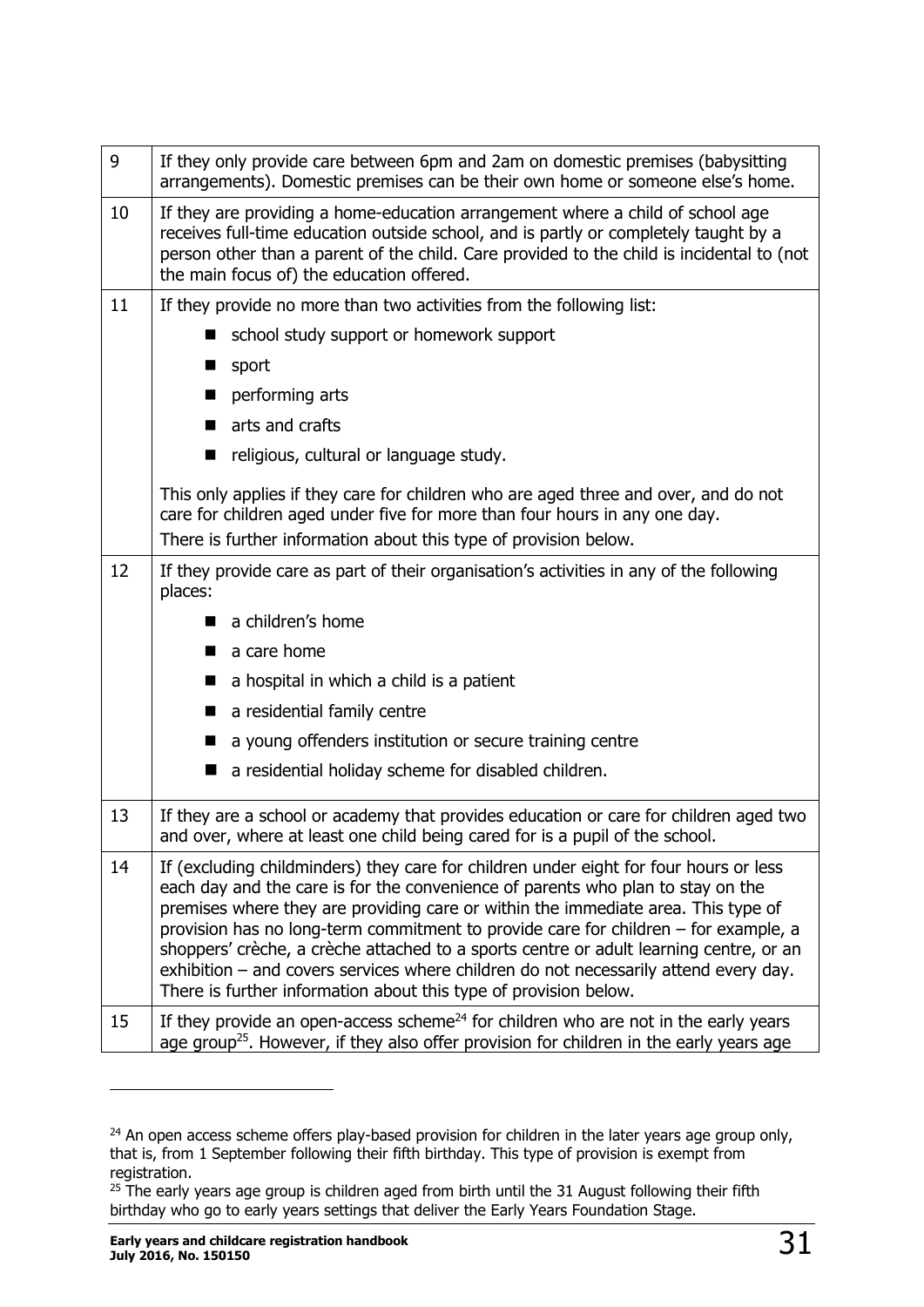| 9  | If they only provide care between 6pm and 2am on domestic premises (babysitting<br>arrangements). Domestic premises can be their own home or someone else's home.                                                                                                                                                                                                                                                                                                                                                                                                                                          |  |  |  |  |
|----|------------------------------------------------------------------------------------------------------------------------------------------------------------------------------------------------------------------------------------------------------------------------------------------------------------------------------------------------------------------------------------------------------------------------------------------------------------------------------------------------------------------------------------------------------------------------------------------------------------|--|--|--|--|
| 10 | If they are providing a home-education arrangement where a child of school age<br>receives full-time education outside school, and is partly or completely taught by a<br>person other than a parent of the child. Care provided to the child is incidental to (not<br>the main focus of) the education offered.                                                                                                                                                                                                                                                                                           |  |  |  |  |
| 11 | If they provide no more than two activities from the following list:                                                                                                                                                                                                                                                                                                                                                                                                                                                                                                                                       |  |  |  |  |
|    | school study support or homework support<br>■                                                                                                                                                                                                                                                                                                                                                                                                                                                                                                                                                              |  |  |  |  |
|    | sport<br>■                                                                                                                                                                                                                                                                                                                                                                                                                                                                                                                                                                                                 |  |  |  |  |
|    | performing arts<br>■                                                                                                                                                                                                                                                                                                                                                                                                                                                                                                                                                                                       |  |  |  |  |
|    | arts and crafts                                                                                                                                                                                                                                                                                                                                                                                                                                                                                                                                                                                            |  |  |  |  |
|    | religious, cultural or language study.<br>ш                                                                                                                                                                                                                                                                                                                                                                                                                                                                                                                                                                |  |  |  |  |
|    | This only applies if they care for children who are aged three and over, and do not<br>care for children aged under five for more than four hours in any one day.                                                                                                                                                                                                                                                                                                                                                                                                                                          |  |  |  |  |
|    | There is further information about this type of provision below.                                                                                                                                                                                                                                                                                                                                                                                                                                                                                                                                           |  |  |  |  |
| 12 | If they provide care as part of their organisation's activities in any of the following<br>places:                                                                                                                                                                                                                                                                                                                                                                                                                                                                                                         |  |  |  |  |
|    | a children's home                                                                                                                                                                                                                                                                                                                                                                                                                                                                                                                                                                                          |  |  |  |  |
|    | a care home                                                                                                                                                                                                                                                                                                                                                                                                                                                                                                                                                                                                |  |  |  |  |
|    | a hospital in which a child is a patient                                                                                                                                                                                                                                                                                                                                                                                                                                                                                                                                                                   |  |  |  |  |
|    | a residential family centre<br>▬                                                                                                                                                                                                                                                                                                                                                                                                                                                                                                                                                                           |  |  |  |  |
|    | a young offenders institution or secure training centre                                                                                                                                                                                                                                                                                                                                                                                                                                                                                                                                                    |  |  |  |  |
|    | a residential holiday scheme for disabled children.<br>■                                                                                                                                                                                                                                                                                                                                                                                                                                                                                                                                                   |  |  |  |  |
| 13 | If they are a school or academy that provides education or care for children aged two<br>and over, where at least one child being cared for is a pupil of the school.                                                                                                                                                                                                                                                                                                                                                                                                                                      |  |  |  |  |
| 14 | If (excluding childminders) they care for children under eight for four hours or less<br>each day and the care is for the convenience of parents who plan to stay on the<br>premises where they are providing care or within the immediate area. This type of<br>provision has no long-term commitment to provide care for children - for example, a<br>shoppers' crèche, a crèche attached to a sports centre or adult learning centre, or an<br>exhibition - and covers services where children do not necessarily attend every day.<br>There is further information about this type of provision below. |  |  |  |  |
| 15 | If they provide an open-access scheme <sup>24</sup> for children who are not in the early years<br>age group <sup>25</sup> . However, if they also offer provision for children in the early years age                                                                                                                                                                                                                                                                                                                                                                                                     |  |  |  |  |

 $24$  An open access scheme offers play-based provision for children in the later years age group only, that is, from 1 September following their fifth birthday. This type of provision is exempt from registration.

 $\overline{a}$ 

<sup>&</sup>lt;sup>25</sup> The early years age group is children aged from birth until the 31 August following their fifth birthday who go to early years settings that deliver the Early Years Foundation Stage.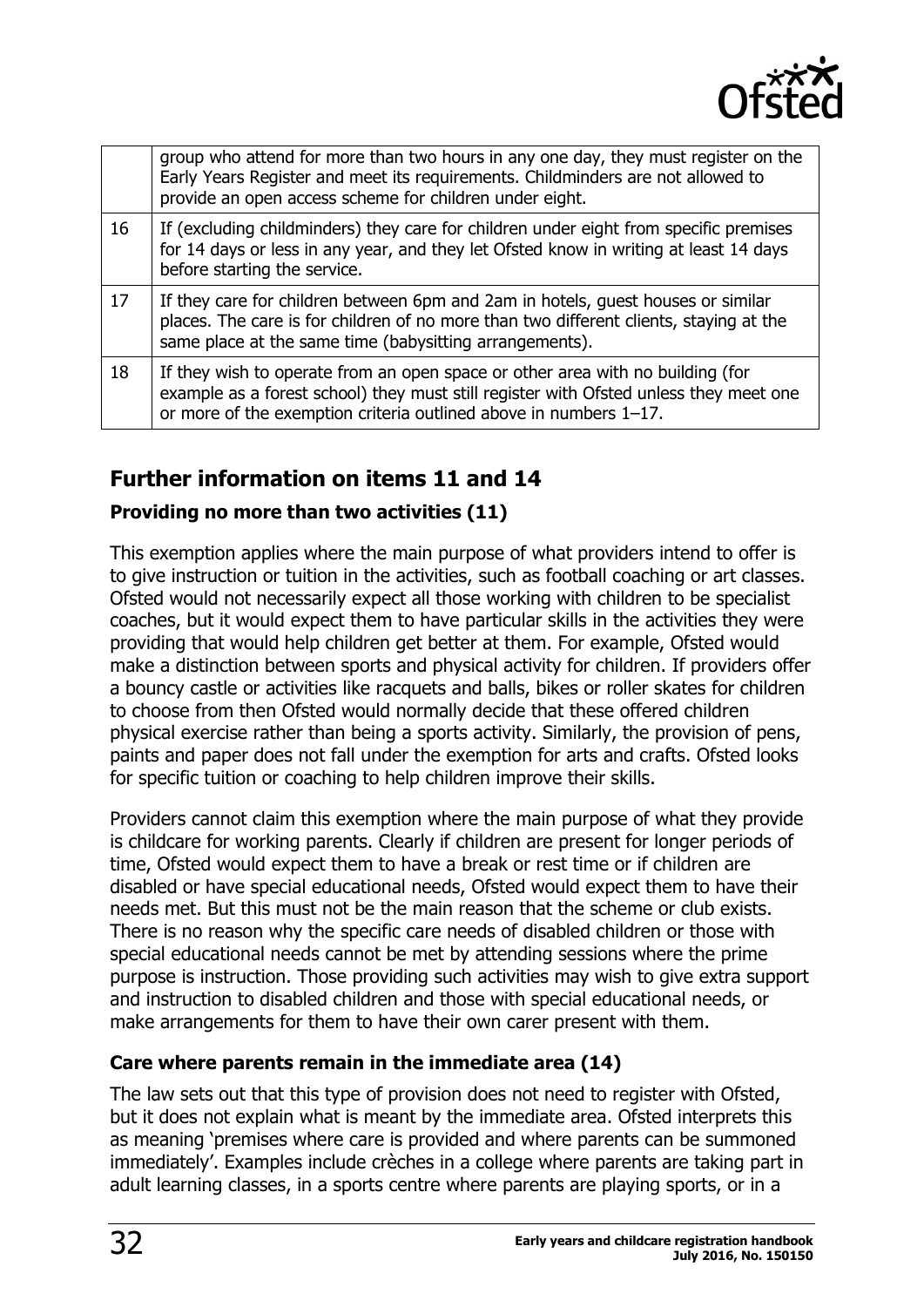

|    | group who attend for more than two hours in any one day, they must register on the<br>Early Years Register and meet its requirements. Childminders are not allowed to<br>provide an open access scheme for children under eight.             |
|----|----------------------------------------------------------------------------------------------------------------------------------------------------------------------------------------------------------------------------------------------|
| 16 | If (excluding childminders) they care for children under eight from specific premises<br>for 14 days or less in any year, and they let Ofsted know in writing at least 14 days<br>before starting the service.                               |
| 17 | If they care for children between 6pm and 2am in hotels, guest houses or similar<br>places. The care is for children of no more than two different clients, staying at the<br>same place at the same time (babysitting arrangements).        |
| 18 | If they wish to operate from an open space or other area with no building (for<br>example as a forest school) they must still register with Ofsted unless they meet one<br>or more of the exemption criteria outlined above in numbers 1-17. |

### **Further information on items 11 and 14**

#### **Providing no more than two activities (11)**

This exemption applies where the main purpose of what providers intend to offer is to give instruction or tuition in the activities, such as football coaching or art classes. Ofsted would not necessarily expect all those working with children to be specialist coaches, but it would expect them to have particular skills in the activities they were providing that would help children get better at them. For example, Ofsted would make a distinction between sports and physical activity for children. If providers offer a bouncy castle or activities like racquets and balls, bikes or roller skates for children to choose from then Ofsted would normally decide that these offered children physical exercise rather than being a sports activity. Similarly, the provision of pens, paints and paper does not fall under the exemption for arts and crafts. Ofsted looks for specific tuition or coaching to help children improve their skills.

Providers cannot claim this exemption where the main purpose of what they provide is childcare for working parents. Clearly if children are present for longer periods of time, Ofsted would expect them to have a break or rest time or if children are disabled or have special educational needs, Ofsted would expect them to have their needs met. But this must not be the main reason that the scheme or club exists. There is no reason why the specific care needs of disabled children or those with special educational needs cannot be met by attending sessions where the prime purpose is instruction. Those providing such activities may wish to give extra support and instruction to disabled children and those with special educational needs, or make arrangements for them to have their own carer present with them.

#### **Care where parents remain in the immediate area (14)**

The law sets out that this type of provision does not need to register with Ofsted, but it does not explain what is meant by the immediate area. Ofsted interprets this as meaning 'premises where care is provided and where parents can be summoned immediately'. Examples include crèches in a college where parents are taking part in adult learning classes, in a sports centre where parents are playing sports, or in a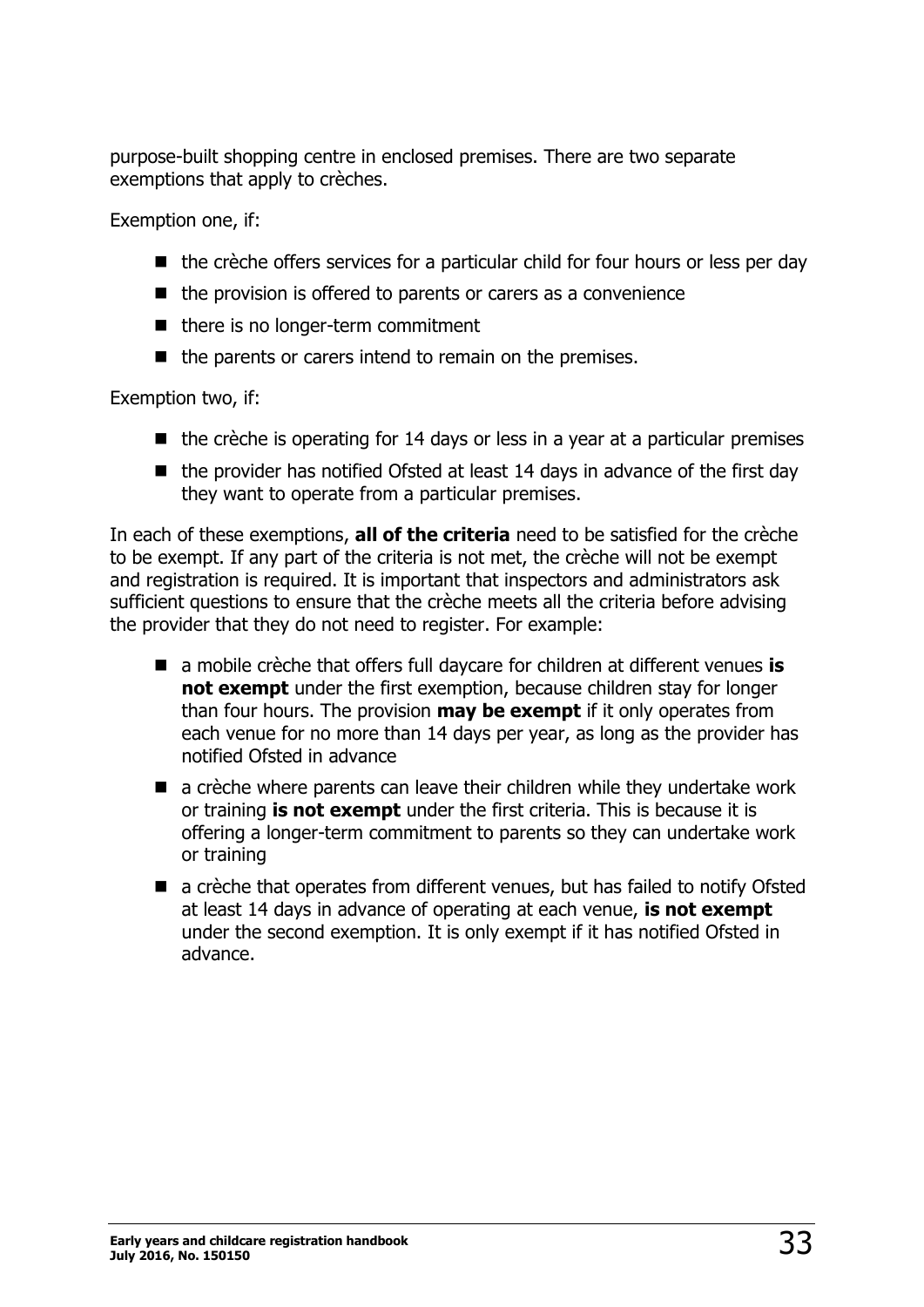purpose-built shopping centre in enclosed premises. There are two separate exemptions that apply to crèches.

Exemption one, if:

- $\blacksquare$  the crèche offers services for a particular child for four hours or less per day
- $\blacksquare$  the provision is offered to parents or carers as a convenience
- there is no longer-term commitment
- $\blacksquare$  the parents or carers intend to remain on the premises.

Exemption two, if:

- $\blacksquare$  the crèche is operating for 14 days or less in a year at a particular premises
- $\blacksquare$  the provider has notified Ofsted at least 14 days in advance of the first day they want to operate from a particular premises.

In each of these exemptions, **all of the criteria** need to be satisfied for the crèche to be exempt. If any part of the criteria is not met, the crèche will not be exempt and registration is required. It is important that inspectors and administrators ask sufficient questions to ensure that the crèche meets all the criteria before advising the provider that they do not need to register. For example:

- a mobile crèche that offers full daycare for children at different venues **is not exempt** under the first exemption, because children stay for longer than four hours. The provision **may be exempt** if it only operates from each venue for no more than 14 days per year, as long as the provider has notified Ofsted in advance
- a crèche where parents can leave their children while they undertake work or training **is not exempt** under the first criteria. This is because it is offering a longer-term commitment to parents so they can undertake work or training
- a crèche that operates from different venues, but has failed to notify Ofsted at least 14 days in advance of operating at each venue, **is not exempt** under the second exemption. It is only exempt if it has notified Ofsted in advance.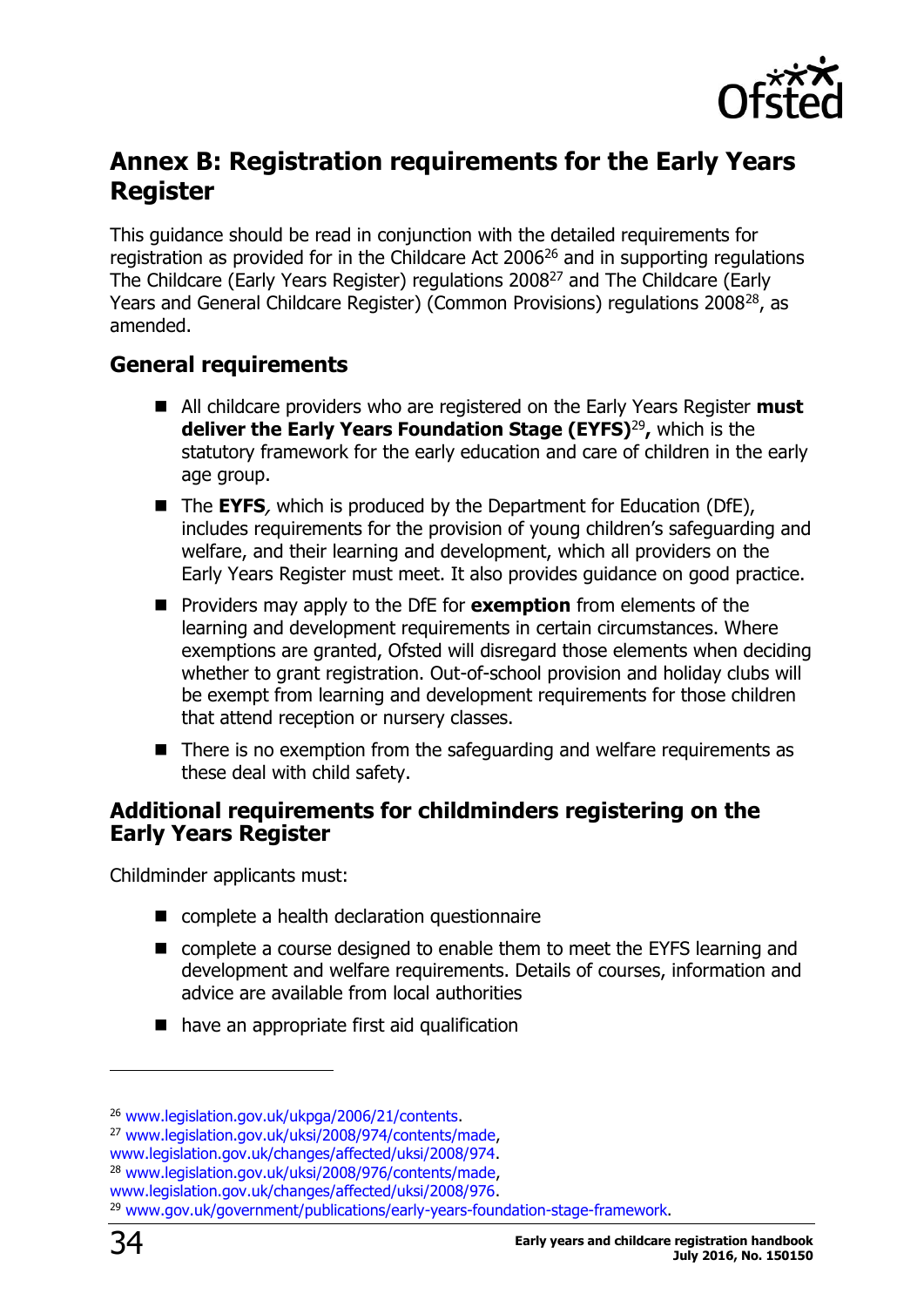

## <span id="page-33-0"></span>**Annex B: Registration requirements for the Early Years Register**

This guidance should be read in conjunction with the detailed requirements for registration as provided for in the Childcare Act  $2006^{26}$  and in supporting regulations The Childcare (Early Years Register) regulations 2008<sup>27</sup> and The Childcare (Early Years and General Childcare Register) (Common Provisions) regulations 2008<sup>28</sup>, as amended.

#### <span id="page-33-1"></span>**General requirements**

- All childcare providers who are registered on the Early Years Register **must deliver the Early Years Foundation Stage (EYFS)**<sup>29</sup> **,** which is the statutory framework for the early education and care of children in the early age group.
- The **EYFS**, which is produced by the Department for Education (DfE), includes requirements for the provision of young children's safeguarding and welfare, and their learning and development, which all providers on the Early Years Register must meet. It also provides guidance on good practice.
- **Providers may apply to the DfE for exemption** from elements of the learning and development requirements in certain circumstances. Where exemptions are granted, Ofsted will disregard those elements when deciding whether to grant registration. Out-of-school provision and holiday clubs will be exempt from learning and development requirements for those children that attend reception or nursery classes.
- $\blacksquare$  There is no exemption from the safeguarding and welfare requirements as these deal with child safety.

#### <span id="page-33-2"></span>**Additional requirements for childminders registering on the Early Years Register**

Childminder applicants must:

- complete a health declaration questionnaire
- complete a course designed to enable them to meet the EYFS learning and development and welfare requirements. Details of courses, information and advice are available from local authorities
- have an appropriate first aid qualification

<sup>26</sup> [www.legislation.gov.uk/ukpga/2006/21/contents.](http://www.legislation.gov.uk/ukpga/2006/21/contents)

<sup>27</sup> [www.legislation.gov.uk/uksi/2008/974/contents/made,](http://www.legislation.gov.uk/uksi/2008/974/contents/made)

[www.legislation.gov.uk/changes/affected/uksi/2008/974.](http://www.legislation.gov.uk/changes/affected/uksi/2008/974)

<sup>28</sup> [www.legislation.gov.uk/uksi/2008/976/contents/made,](http://www.legislation.gov.uk/uksi/2008/976/contents/made)

[www.legislation.gov.uk/changes/affected/uksi/2008/976.](http://www.legislation.gov.uk/changes/affected/uksi/2008/976)

<sup>29</sup> [www.gov.uk/government/publications/early-years-foundation-stage-framework.](https://www.gov.uk/government/publications/early-years-foundation-stage-framework--2)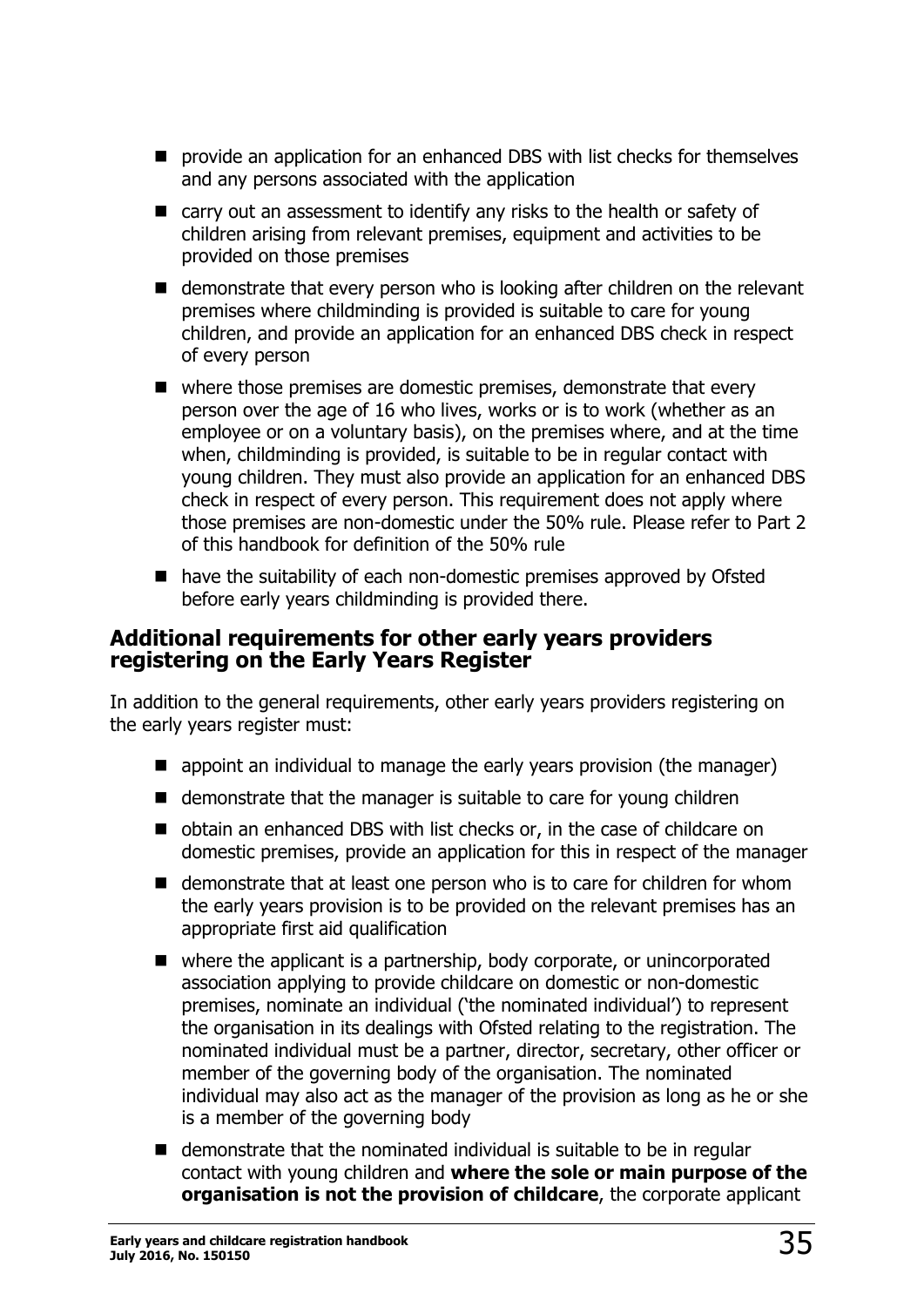- **P** provide an application for an enhanced DBS with list checks for themselves and any persons associated with the application
- carry out an assessment to identify any risks to the health or safety of children arising from relevant premises, equipment and activities to be provided on those premises
- demonstrate that every person who is looking after children on the relevant premises where childminding is provided is suitable to care for young children, and provide an application for an enhanced DBS check in respect of every person
- $\blacksquare$  where those premises are domestic premises, demonstrate that every person over the age of 16 who lives, works or is to work (whether as an employee or on a voluntary basis), on the premises where, and at the time when, childminding is provided, is suitable to be in regular contact with young children. They must also provide an application for an enhanced DBS check in respect of every person. This requirement does not apply where those premises are non-domestic under the 50% rule. Please refer to Part 2 of this handbook for definition of the 50% rule
- have the suitability of each non-domestic premises approved by Ofsted before early years childminding is provided there.

#### <span id="page-34-0"></span>**Additional requirements for other early years providers registering on the Early Years Register**

In addition to the general requirements, other early years providers registering on the early years register must:

- $\blacksquare$  appoint an individual to manage the early years provision (the manager)
- $\blacksquare$  demonstrate that the manager is suitable to care for young children
- obtain an enhanced DBS with list checks or, in the case of childcare on domestic premises, provide an application for this in respect of the manager
- demonstrate that at least one person who is to care for children for whom the early years provision is to be provided on the relevant premises has an appropriate first aid qualification
- where the applicant is a partnership, body corporate, or unincorporated association applying to provide childcare on domestic or non-domestic premises, nominate an individual ('the nominated individual') to represent the organisation in its dealings with Ofsted relating to the registration. The nominated individual must be a partner, director, secretary, other officer or member of the governing body of the organisation. The nominated individual may also act as the manager of the provision as long as he or she is a member of the governing body
- $\blacksquare$  demonstrate that the nominated individual is suitable to be in regular contact with young children and **where the sole or main purpose of the organisation is not the provision of childcare**, the corporate applicant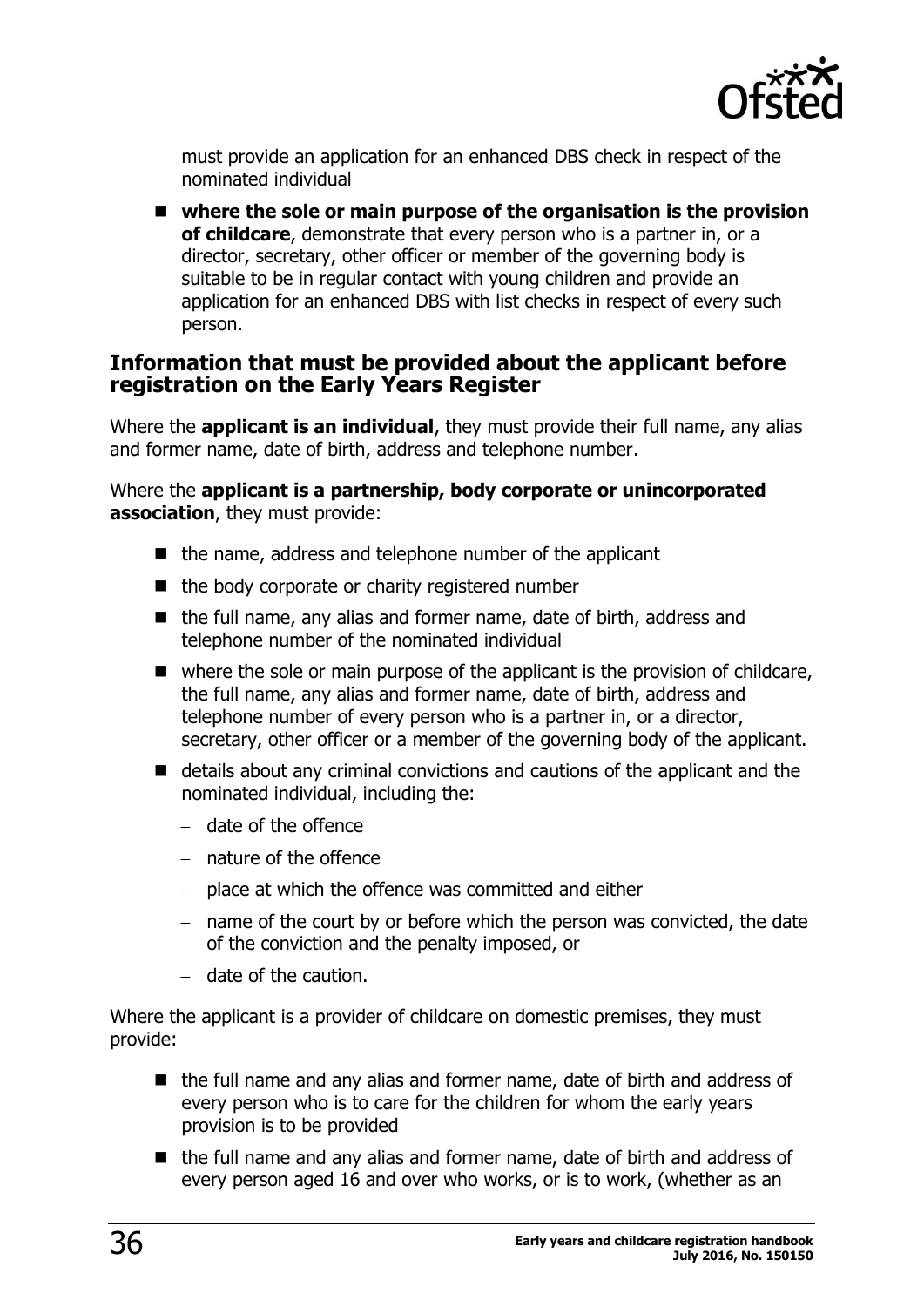

must provide an application for an enhanced DBS check in respect of the nominated individual

 **where the sole or main purpose of the organisation is the provision of childcare**, demonstrate that every person who is a partner in, or a director, secretary, other officer or member of the governing body is suitable to be in regular contact with young children and provide an application for an enhanced DBS with list checks in respect of every such person.

#### <span id="page-35-0"></span>**Information that must be provided about the applicant before registration on the Early Years Register**

Where the **applicant is an individual**, they must provide their full name, any alias and former name, date of birth, address and telephone number.

Where the **applicant is a partnership, body corporate or unincorporated association**, they must provide:

- $\blacksquare$  the name, address and telephone number of the applicant
- $\blacksquare$  the body corporate or charity registered number
- $\blacksquare$  the full name, any alias and former name, date of birth, address and telephone number of the nominated individual
- $\blacksquare$  where the sole or main purpose of the applicant is the provision of childcare, the full name, any alias and former name, date of birth, address and telephone number of every person who is a partner in, or a director, secretary, other officer or a member of the governing body of the applicant.
- details about any criminal convictions and cautions of the applicant and the nominated individual, including the:
	- $-$  date of the offence
	- nature of the offence
	- $-$  place at which the offence was committed and either
	- $-$  name of the court by or before which the person was convicted, the date of the conviction and the penalty imposed, or
	- $-$  date of the caution.

Where the applicant is a provider of childcare on domestic premises, they must provide:

- the full name and any alias and former name, date of birth and address of every person who is to care for the children for whom the early years provision is to be provided
- the full name and any alias and former name, date of birth and address of every person aged 16 and over who works, or is to work, (whether as an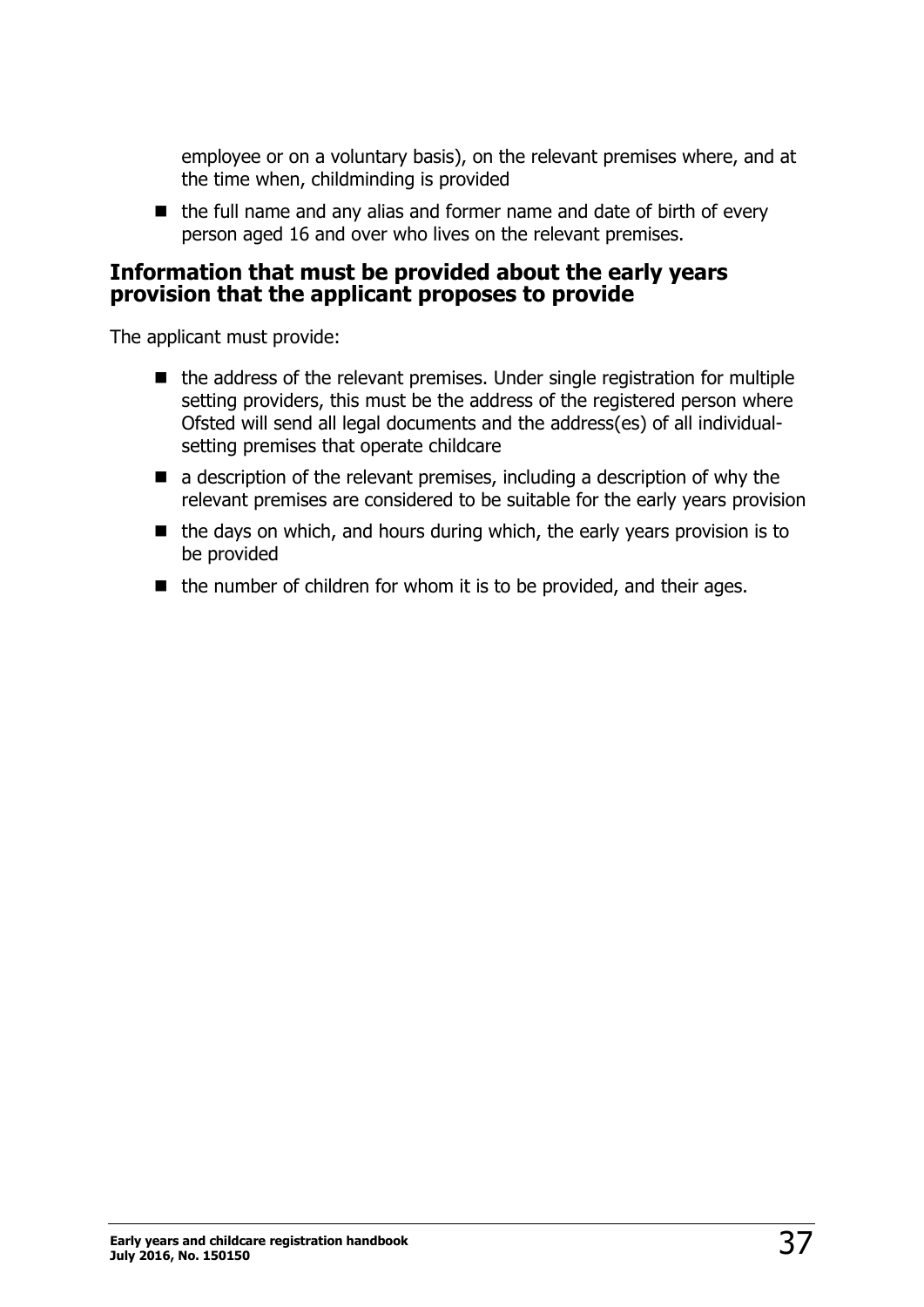employee or on a voluntary basis), on the relevant premises where, and at the time when, childminding is provided

 $\blacksquare$  the full name and any alias and former name and date of birth of every person aged 16 and over who lives on the relevant premises.

#### <span id="page-36-0"></span>**Information that must be provided about the early years provision that the applicant proposes to provide**

The applicant must provide:

- $\blacksquare$  the address of the relevant premises. Under single registration for multiple setting providers, this must be the address of the registered person where Ofsted will send all legal documents and the address(es) of all individualsetting premises that operate childcare
- $\blacksquare$  a description of the relevant premises, including a description of why the relevant premises are considered to be suitable for the early years provision
- $\blacksquare$  the days on which, and hours during which, the early years provision is to be provided
- $\blacksquare$  the number of children for whom it is to be provided, and their ages.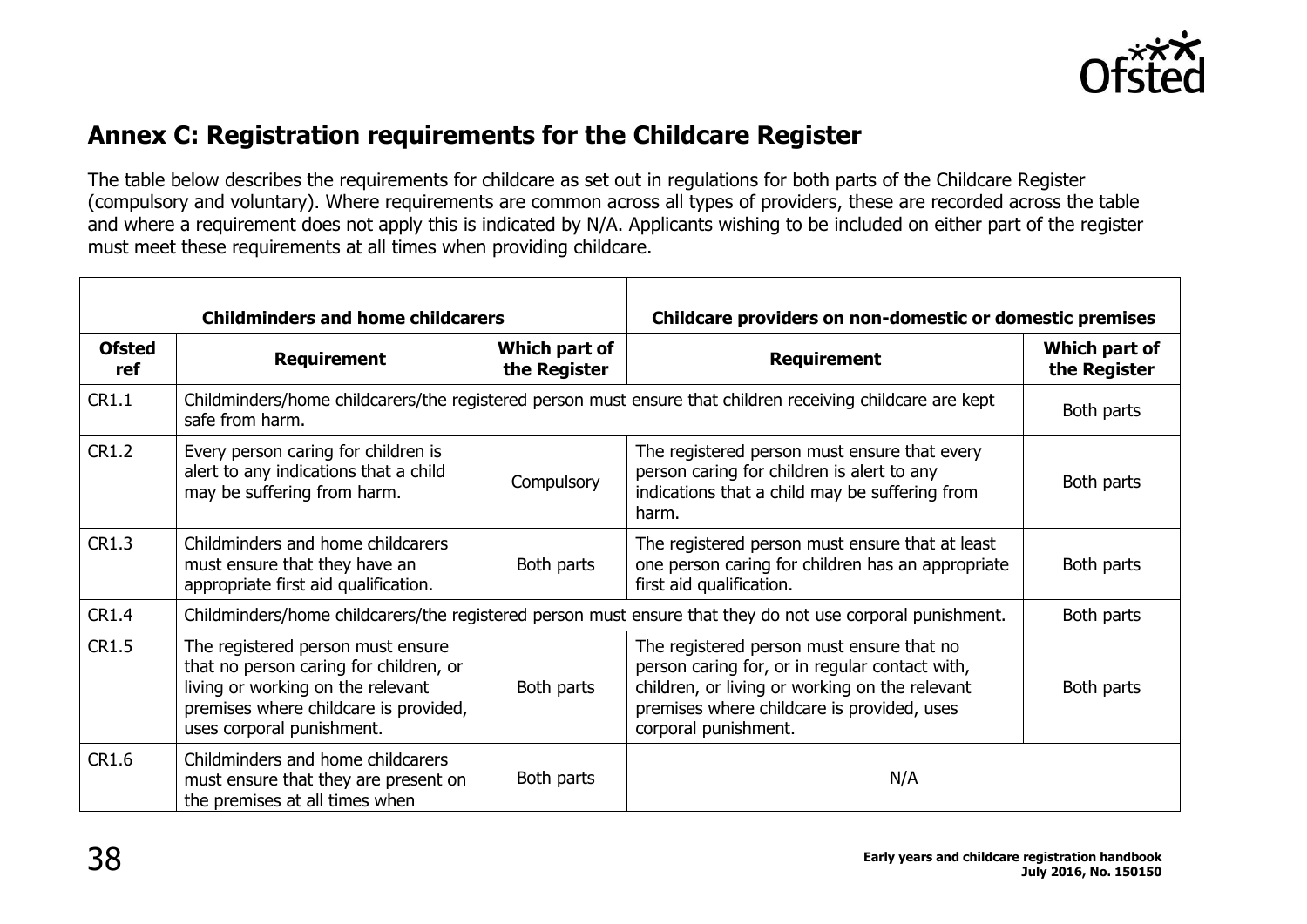

### **Annex C: Registration requirements for the Childcare Register**

The table below describes the requirements for childcare as set out in regulations for both parts of the Childcare Register (compulsory and voluntary). Where requirements are common across all types of providers, these are recorded across the table and where a requirement does not apply this is indicated by N/A. Applicants wishing to be included on either part of the register must meet these requirements at all times when providing childcare.

<span id="page-37-0"></span>

|                      | <b>Childminders and home childcarers</b>                                                                                                                                               |                               | Childcare providers on non-domestic or domestic premises                                                                                                                                                            |                               |
|----------------------|----------------------------------------------------------------------------------------------------------------------------------------------------------------------------------------|-------------------------------|---------------------------------------------------------------------------------------------------------------------------------------------------------------------------------------------------------------------|-------------------------------|
| <b>Ofsted</b><br>ref | <b>Requirement</b>                                                                                                                                                                     | Which part of<br>the Register | <b>Requirement</b>                                                                                                                                                                                                  | Which part of<br>the Register |
| CR1.1                | safe from harm.                                                                                                                                                                        |                               | Childminders/home childcarers/the registered person must ensure that children receiving childcare are kept                                                                                                          | Both parts                    |
| <b>CR1.2</b>         | Every person caring for children is<br>alert to any indications that a child<br>may be suffering from harm.                                                                            | Compulsory                    | The registered person must ensure that every<br>person caring for children is alert to any<br>indications that a child may be suffering from<br>harm.                                                               | Both parts                    |
| <b>CR1.3</b>         | Childminders and home childcarers<br>must ensure that they have an<br>appropriate first aid qualification.                                                                             | Both parts                    | The registered person must ensure that at least<br>one person caring for children has an appropriate<br>first aid qualification.                                                                                    | Both parts                    |
| CR1.4                | Childminders/home childcarers/the registered person must ensure that they do not use corporal punishment.                                                                              |                               |                                                                                                                                                                                                                     | Both parts                    |
| <b>CR1.5</b>         | The registered person must ensure<br>that no person caring for children, or<br>living or working on the relevant<br>premises where childcare is provided,<br>uses corporal punishment. | Both parts                    | The registered person must ensure that no<br>person caring for, or in regular contact with,<br>children, or living or working on the relevant<br>premises where childcare is provided, uses<br>corporal punishment. | Both parts                    |
| CR1.6                | Childminders and home childcarers<br>must ensure that they are present on<br>the premises at all times when                                                                            | Both parts                    | N/A                                                                                                                                                                                                                 |                               |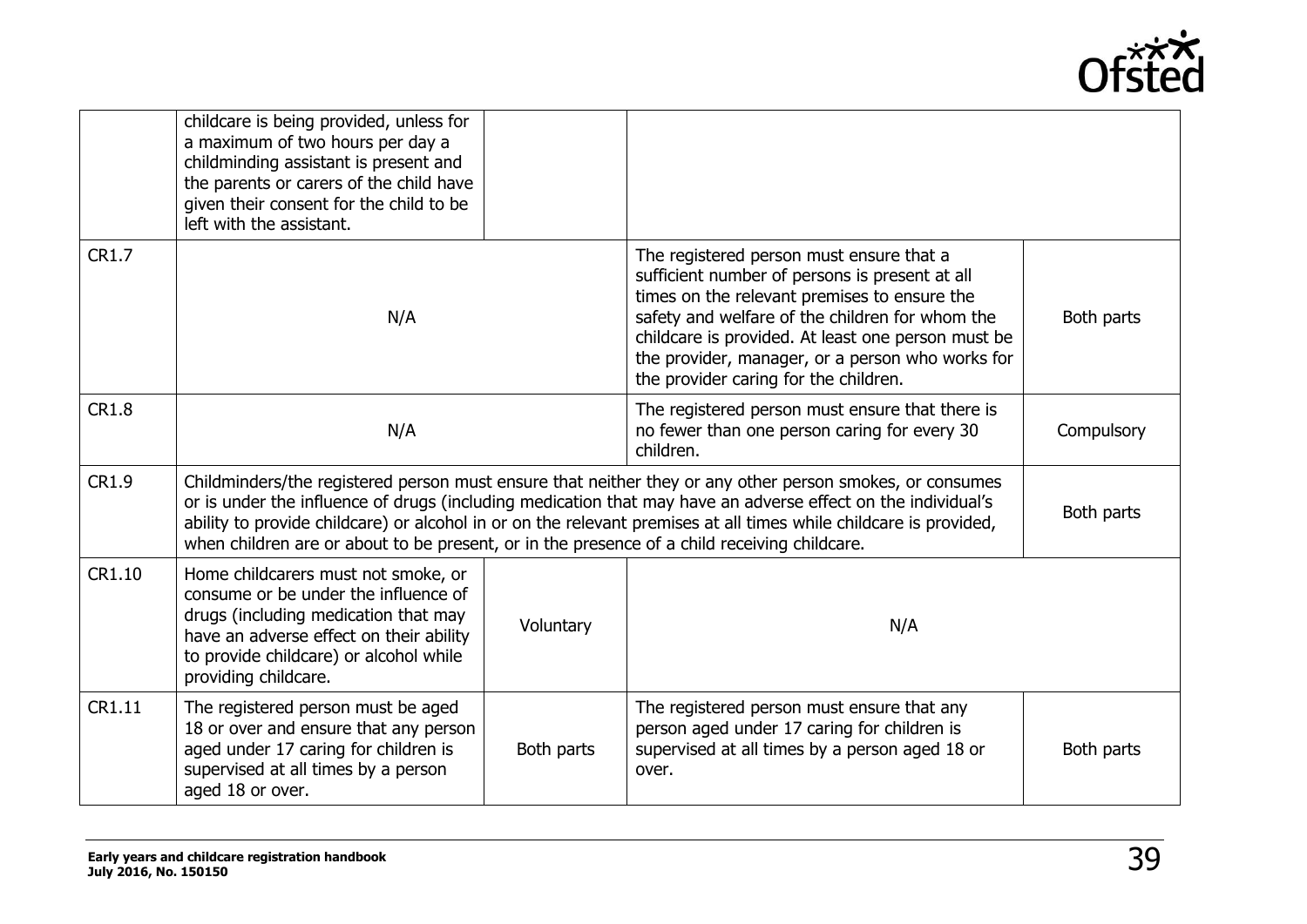

|              | childcare is being provided, unless for<br>a maximum of two hours per day a<br>childminding assistant is present and<br>the parents or carers of the child have<br>given their consent for the child to be<br>left with the assistant.                                                                                                                                                                                                        |            |                                                                                                                                                                                                                                                                                                                                                  |            |
|--------------|-----------------------------------------------------------------------------------------------------------------------------------------------------------------------------------------------------------------------------------------------------------------------------------------------------------------------------------------------------------------------------------------------------------------------------------------------|------------|--------------------------------------------------------------------------------------------------------------------------------------------------------------------------------------------------------------------------------------------------------------------------------------------------------------------------------------------------|------------|
| CR1.7        | N/A                                                                                                                                                                                                                                                                                                                                                                                                                                           |            | The registered person must ensure that a<br>sufficient number of persons is present at all<br>times on the relevant premises to ensure the<br>safety and welfare of the children for whom the<br>childcare is provided. At least one person must be<br>the provider, manager, or a person who works for<br>the provider caring for the children. | Both parts |
| <b>CR1.8</b> | N/A                                                                                                                                                                                                                                                                                                                                                                                                                                           |            | The registered person must ensure that there is<br>no fewer than one person caring for every 30<br>children.                                                                                                                                                                                                                                     | Compulsory |
| CR1.9        | Childminders/the registered person must ensure that neither they or any other person smokes, or consumes<br>or is under the influence of drugs (including medication that may have an adverse effect on the individual's<br>ability to provide childcare) or alcohol in or on the relevant premises at all times while childcare is provided,<br>when children are or about to be present, or in the presence of a child receiving childcare. |            |                                                                                                                                                                                                                                                                                                                                                  | Both parts |
| CR1.10       | Home childcarers must not smoke, or<br>consume or be under the influence of<br>drugs (including medication that may<br>have an adverse effect on their ability<br>to provide childcare) or alcohol while<br>providing childcare.                                                                                                                                                                                                              | Voluntary  | N/A                                                                                                                                                                                                                                                                                                                                              |            |
| CR1.11       | The registered person must be aged<br>18 or over and ensure that any person<br>aged under 17 caring for children is<br>supervised at all times by a person<br>aged 18 or over.                                                                                                                                                                                                                                                                | Both parts | The registered person must ensure that any<br>person aged under 17 caring for children is<br>supervised at all times by a person aged 18 or<br>over.                                                                                                                                                                                             | Both parts |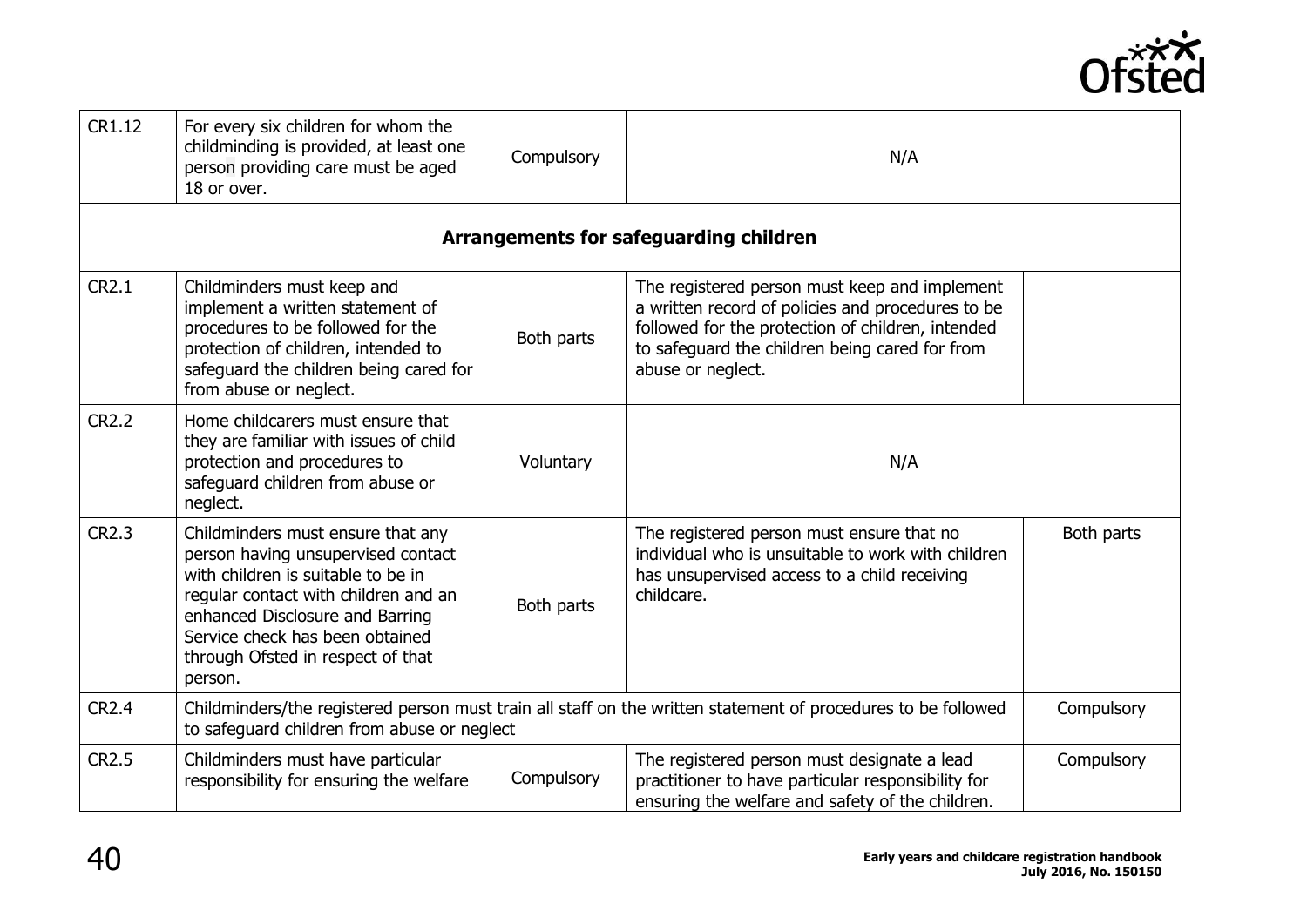

| CR1.12       | For every six children for whom the<br>childminding is provided, at least one<br>person providing care must be aged<br>18 or over.                                                                                                                                          | Compulsory | N/A                                                                                                                                                                                                                            |            |
|--------------|-----------------------------------------------------------------------------------------------------------------------------------------------------------------------------------------------------------------------------------------------------------------------------|------------|--------------------------------------------------------------------------------------------------------------------------------------------------------------------------------------------------------------------------------|------------|
|              |                                                                                                                                                                                                                                                                             |            | <b>Arrangements for safeguarding children</b>                                                                                                                                                                                  |            |
| <b>CR2.1</b> | Childminders must keep and<br>implement a written statement of<br>procedures to be followed for the<br>protection of children, intended to<br>safeguard the children being cared for<br>from abuse or neglect.                                                              | Both parts | The registered person must keep and implement<br>a written record of policies and procedures to be<br>followed for the protection of children, intended<br>to safeguard the children being cared for from<br>abuse or neglect. |            |
| <b>CR2.2</b> | Home childcarers must ensure that<br>they are familiar with issues of child<br>protection and procedures to<br>safeguard children from abuse or<br>neglect.                                                                                                                 | Voluntary  | N/A                                                                                                                                                                                                                            |            |
| <b>CR2.3</b> | Childminders must ensure that any<br>person having unsupervised contact<br>with children is suitable to be in<br>regular contact with children and an<br>enhanced Disclosure and Barring<br>Service check has been obtained<br>through Ofsted in respect of that<br>person. | Both parts | The registered person must ensure that no<br>individual who is unsuitable to work with children<br>has unsupervised access to a child receiving<br>childcare.                                                                  | Both parts |
| <b>CR2.4</b> | Childminders/the registered person must train all staff on the written statement of procedures to be followed<br>to safeguard children from abuse or neglect                                                                                                                |            |                                                                                                                                                                                                                                | Compulsory |
| <b>CR2.5</b> | Childminders must have particular<br>responsibility for ensuring the welfare                                                                                                                                                                                                | Compulsory | The registered person must designate a lead<br>practitioner to have particular responsibility for<br>ensuring the welfare and safety of the children.                                                                          | Compulsory |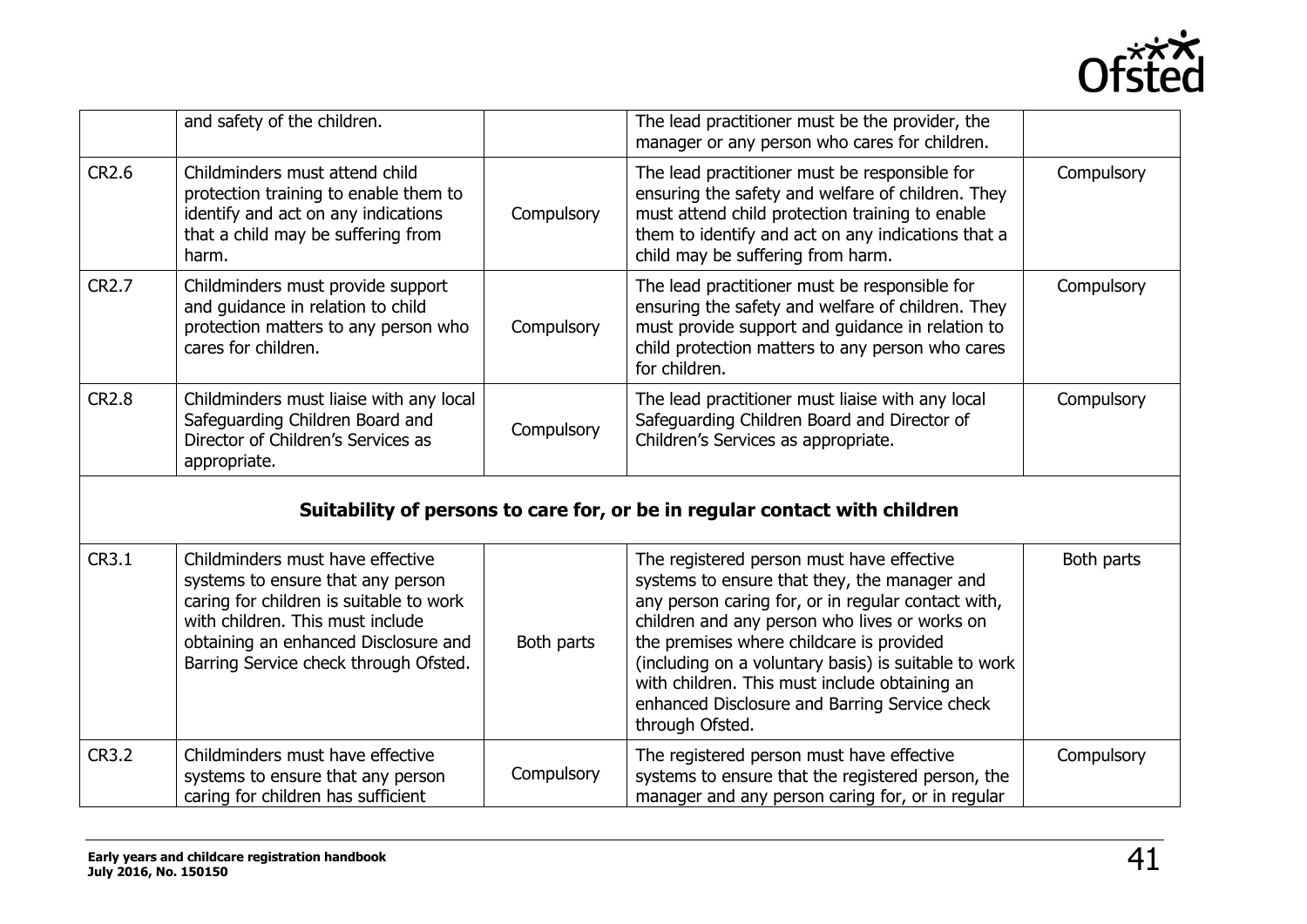

|              | and safety of the children.                                                                                                                                                                                                           |            | The lead practitioner must be the provider, the<br>manager or any person who cares for children.                                                                                                                                                                                                                                                                                                                          |            |
|--------------|---------------------------------------------------------------------------------------------------------------------------------------------------------------------------------------------------------------------------------------|------------|---------------------------------------------------------------------------------------------------------------------------------------------------------------------------------------------------------------------------------------------------------------------------------------------------------------------------------------------------------------------------------------------------------------------------|------------|
| <b>CR2.6</b> | Childminders must attend child<br>protection training to enable them to<br>identify and act on any indications<br>that a child may be suffering from<br>harm.                                                                         | Compulsory | The lead practitioner must be responsible for<br>ensuring the safety and welfare of children. They<br>must attend child protection training to enable<br>them to identify and act on any indications that a<br>child may be suffering from harm.                                                                                                                                                                          | Compulsory |
| <b>CR2.7</b> | Childminders must provide support<br>and guidance in relation to child<br>protection matters to any person who<br>cares for children.                                                                                                 | Compulsory | The lead practitioner must be responsible for<br>ensuring the safety and welfare of children. They<br>must provide support and guidance in relation to<br>child protection matters to any person who cares<br>for children.                                                                                                                                                                                               | Compulsory |
| <b>CR2.8</b> | Childminders must liaise with any local<br>Safeguarding Children Board and<br>Director of Children's Services as<br>appropriate.                                                                                                      | Compulsory | The lead practitioner must liaise with any local<br>Safeguarding Children Board and Director of<br>Children's Services as appropriate.                                                                                                                                                                                                                                                                                    | Compulsory |
|              |                                                                                                                                                                                                                                       |            | Suitability of persons to care for, or be in regular contact with children                                                                                                                                                                                                                                                                                                                                                |            |
| CR3.1        | Childminders must have effective<br>systems to ensure that any person<br>caring for children is suitable to work<br>with children. This must include<br>obtaining an enhanced Disclosure and<br>Barring Service check through Ofsted. | Both parts | The registered person must have effective<br>systems to ensure that they, the manager and<br>any person caring for, or in regular contact with,<br>children and any person who lives or works on<br>the premises where childcare is provided<br>(including on a voluntary basis) is suitable to work<br>with children. This must include obtaining an<br>enhanced Disclosure and Barring Service check<br>through Ofsted. | Both parts |
| <b>CR3.2</b> | Childminders must have effective<br>systems to ensure that any person<br>caring for children has sufficient                                                                                                                           | Compulsory | The registered person must have effective<br>systems to ensure that the registered person, the<br>manager and any person caring for, or in regular                                                                                                                                                                                                                                                                        | Compulsory |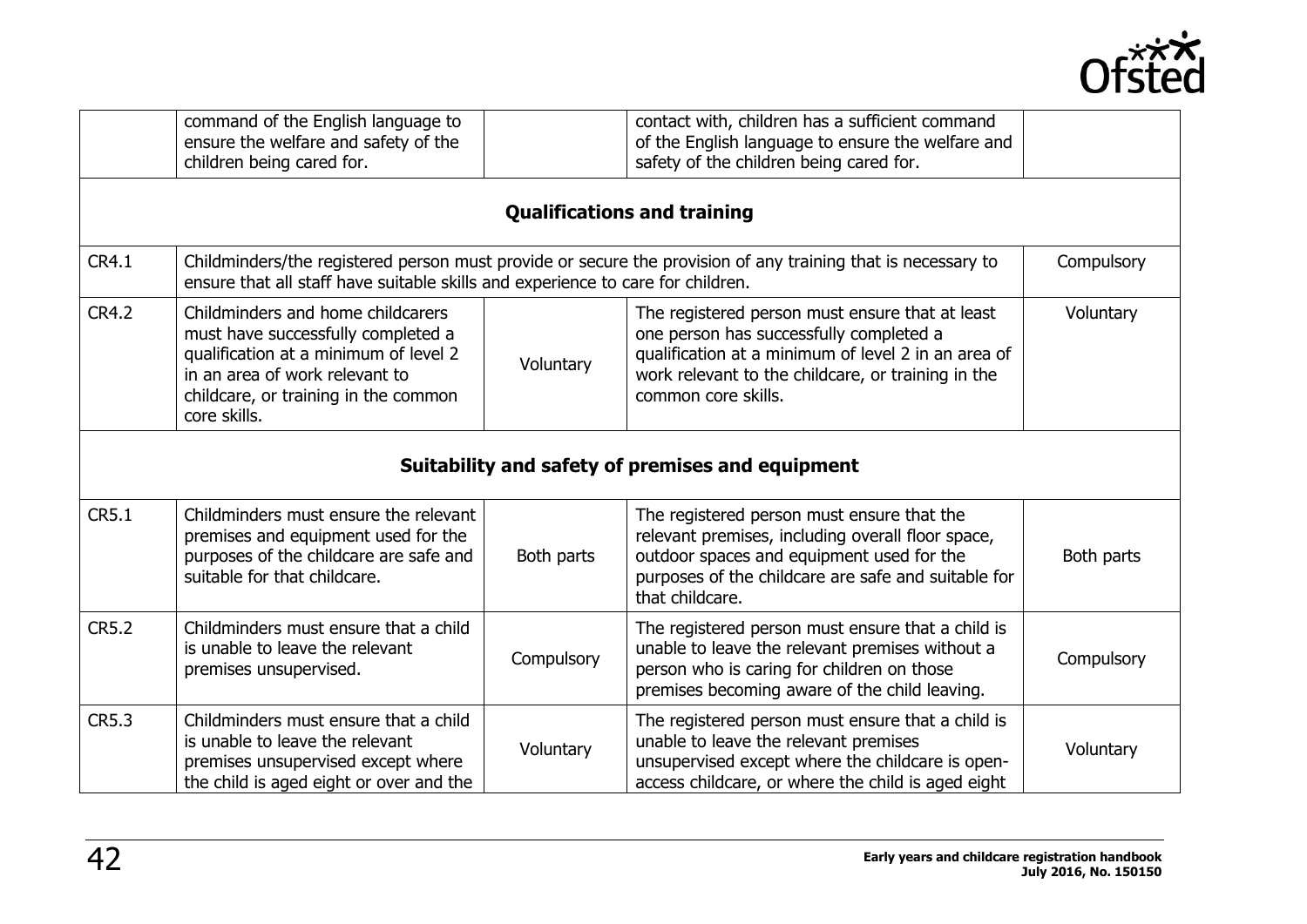

|              | command of the English language to<br>ensure the welfare and safety of the<br>children being cared for.                                                                                                    |            | contact with, children has a sufficient command<br>of the English language to ensure the welfare and<br>safety of the children being cared for.                                                                                |            |
|--------------|------------------------------------------------------------------------------------------------------------------------------------------------------------------------------------------------------------|------------|--------------------------------------------------------------------------------------------------------------------------------------------------------------------------------------------------------------------------------|------------|
|              |                                                                                                                                                                                                            |            | <b>Qualifications and training</b>                                                                                                                                                                                             |            |
| <b>CR4.1</b> | Childminders/the registered person must provide or secure the provision of any training that is necessary to<br>ensure that all staff have suitable skills and experience to care for children.            |            | Compulsory                                                                                                                                                                                                                     |            |
| <b>CR4.2</b> | Childminders and home childcarers<br>must have successfully completed a<br>qualification at a minimum of level 2<br>in an area of work relevant to<br>childcare, or training in the common<br>core skills. | Voluntary  | The registered person must ensure that at least<br>one person has successfully completed a<br>qualification at a minimum of level 2 in an area of<br>work relevant to the childcare, or training in the<br>common core skills. | Voluntary  |
|              |                                                                                                                                                                                                            |            | Suitability and safety of premises and equipment                                                                                                                                                                               |            |
| CR5.1        | Childminders must ensure the relevant<br>premises and equipment used for the<br>purposes of the childcare are safe and<br>suitable for that childcare.                                                     | Both parts | The registered person must ensure that the<br>relevant premises, including overall floor space,<br>outdoor spaces and equipment used for the<br>purposes of the childcare are safe and suitable for<br>that childcare.         | Both parts |
| <b>CR5.2</b> | Childminders must ensure that a child<br>is unable to leave the relevant<br>premises unsupervised.                                                                                                         | Compulsory | The registered person must ensure that a child is<br>unable to leave the relevant premises without a<br>person who is caring for children on those<br>premises becoming aware of the child leaving.                            | Compulsory |
| <b>CR5.3</b> | Childminders must ensure that a child<br>is unable to leave the relevant<br>premises unsupervised except where<br>the child is aged eight or over and the                                                  | Voluntary  | The registered person must ensure that a child is<br>unable to leave the relevant premises<br>unsupervised except where the childcare is open-<br>access childcare, or where the child is aged eight                           | Voluntary  |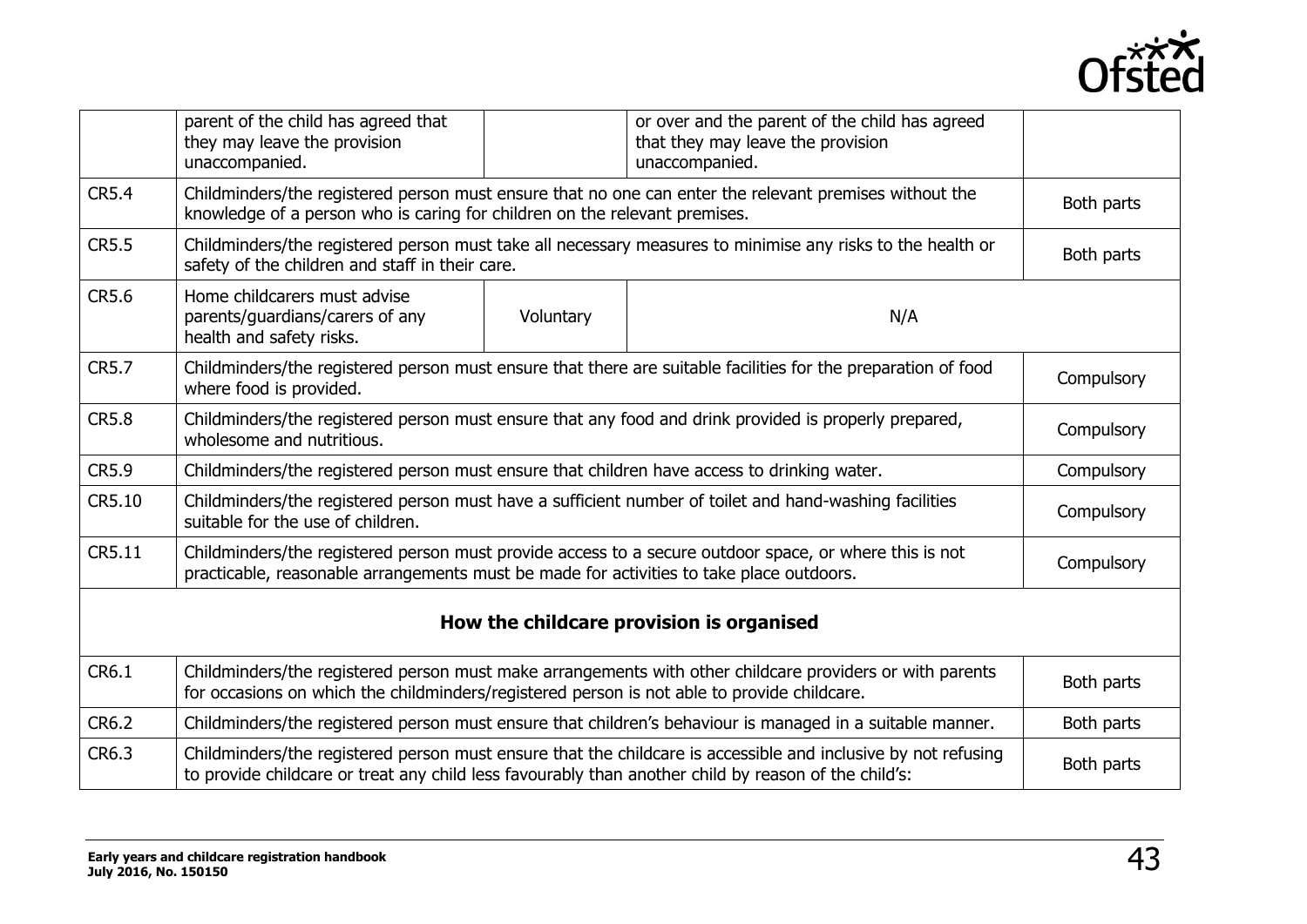

|                                          | parent of the child has agreed that<br>they may leave the provision<br>unaccompanied.                                                                                                                                 |           | or over and the parent of the child has agreed<br>that they may leave the provision<br>unaccompanied. |            |
|------------------------------------------|-----------------------------------------------------------------------------------------------------------------------------------------------------------------------------------------------------------------------|-----------|-------------------------------------------------------------------------------------------------------|------------|
| <b>CR5.4</b>                             | Childminders/the registered person must ensure that no one can enter the relevant premises without the<br>knowledge of a person who is caring for children on the relevant premises.                                  |           | Both parts                                                                                            |            |
| <b>CR5.5</b>                             | Childminders/the registered person must take all necessary measures to minimise any risks to the health or<br>safety of the children and staff in their care.                                                         |           | Both parts                                                                                            |            |
| <b>CR5.6</b>                             | Home childcarers must advise<br>parents/guardians/carers of any<br>health and safety risks.                                                                                                                           | Voluntary | N/A                                                                                                   |            |
| <b>CR5.7</b>                             | Childminders/the registered person must ensure that there are suitable facilities for the preparation of food<br>where food is provided.                                                                              |           |                                                                                                       | Compulsory |
| <b>CR5.8</b>                             | Childminders/the registered person must ensure that any food and drink provided is properly prepared,<br>wholesome and nutritious.                                                                                    |           | Compulsory                                                                                            |            |
| <b>CR5.9</b>                             | Childminders/the registered person must ensure that children have access to drinking water.                                                                                                                           |           | Compulsory                                                                                            |            |
| CR5.10                                   | Childminders/the registered person must have a sufficient number of toilet and hand-washing facilities<br>suitable for the use of children.                                                                           |           | Compulsory                                                                                            |            |
| CR5.11                                   | Childminders/the registered person must provide access to a secure outdoor space, or where this is not<br>practicable, reasonable arrangements must be made for activities to take place outdoors.                    |           | Compulsory                                                                                            |            |
| How the childcare provision is organised |                                                                                                                                                                                                                       |           |                                                                                                       |            |
| CR6.1                                    | Childminders/the registered person must make arrangements with other childcare providers or with parents<br>for occasions on which the childminders/registered person is not able to provide childcare.               |           | Both parts                                                                                            |            |
| CR6.2                                    | Childminders/the registered person must ensure that children's behaviour is managed in a suitable manner.                                                                                                             |           | Both parts                                                                                            |            |
| CR6.3                                    | Childminders/the registered person must ensure that the childcare is accessible and inclusive by not refusing<br>to provide childcare or treat any child less favourably than another child by reason of the child's: |           | Both parts                                                                                            |            |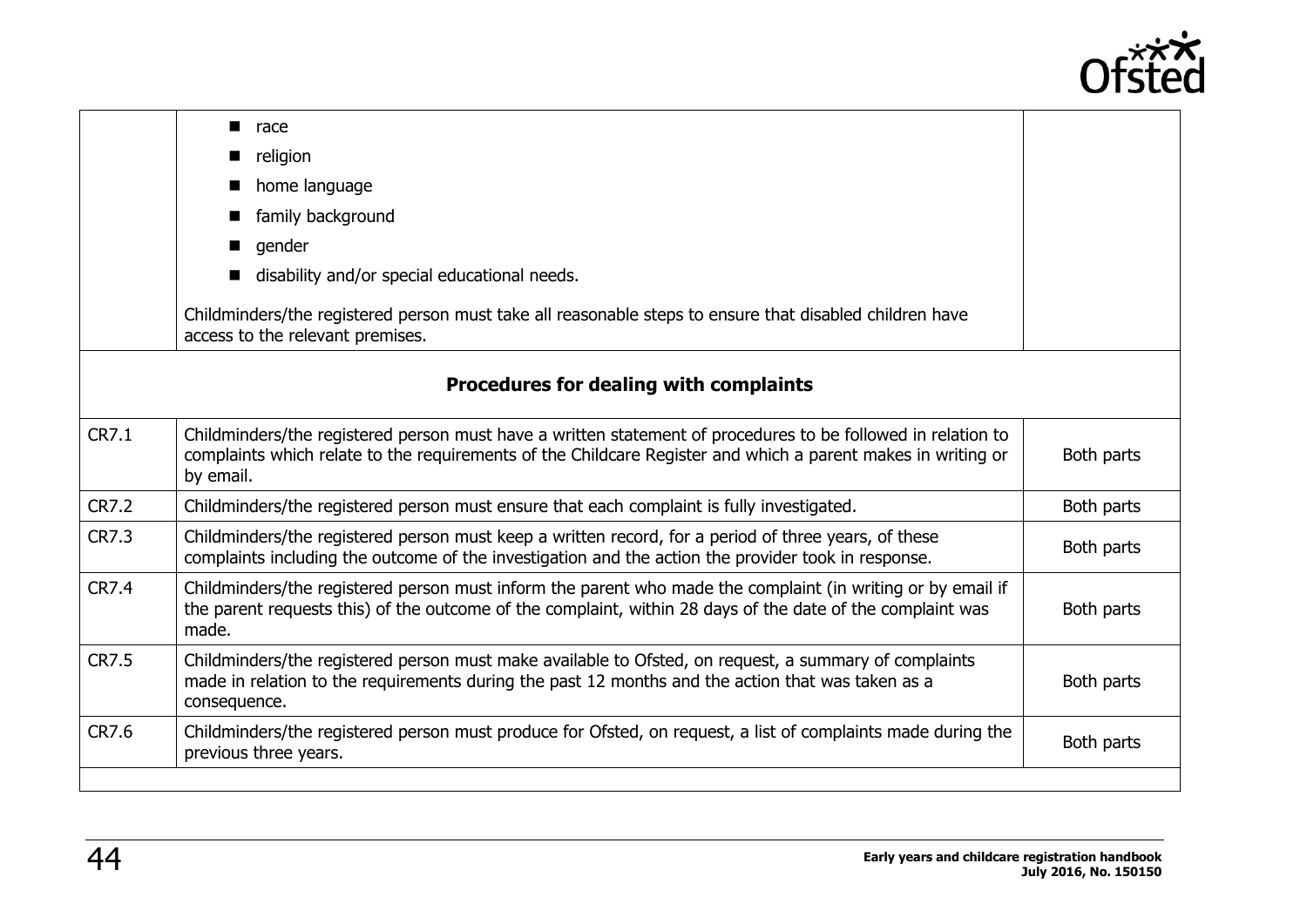

|              | race<br>■                                                                                                                                                                                                                                               |  |  |
|--------------|---------------------------------------------------------------------------------------------------------------------------------------------------------------------------------------------------------------------------------------------------------|--|--|
|              | religion                                                                                                                                                                                                                                                |  |  |
|              | home language                                                                                                                                                                                                                                           |  |  |
|              | family background                                                                                                                                                                                                                                       |  |  |
|              | gender                                                                                                                                                                                                                                                  |  |  |
|              | disability and/or special educational needs.                                                                                                                                                                                                            |  |  |
|              | Childminders/the registered person must take all reasonable steps to ensure that disabled children have<br>access to the relevant premises.                                                                                                             |  |  |
|              | Procedures for dealing with complaints                                                                                                                                                                                                                  |  |  |
| CR7.1        | Childminders/the registered person must have a written statement of procedures to be followed in relation to<br>complaints which relate to the requirements of the Childcare Register and which a parent makes in writing or<br>Both parts<br>by email. |  |  |
| <b>CR7.2</b> | Childminders/the registered person must ensure that each complaint is fully investigated.<br>Both parts                                                                                                                                                 |  |  |
| <b>CR7.3</b> | Childminders/the registered person must keep a written record, for a period of three years, of these<br>Both parts<br>complaints including the outcome of the investigation and the action the provider took in response.                               |  |  |
| <b>CR7.4</b> | Childminders/the registered person must inform the parent who made the complaint (in writing or by email if<br>the parent requests this) of the outcome of the complaint, within 28 days of the date of the complaint was<br>Both parts<br>made.        |  |  |
| <b>CR7.5</b> | Childminders/the registered person must make available to Ofsted, on request, a summary of complaints<br>made in relation to the requirements during the past 12 months and the action that was taken as a<br>Both parts<br>consequence.                |  |  |
| CR7.6        | Childminders/the registered person must produce for Ofsted, on request, a list of complaints made during the<br>Both parts<br>previous three years.                                                                                                     |  |  |
|              |                                                                                                                                                                                                                                                         |  |  |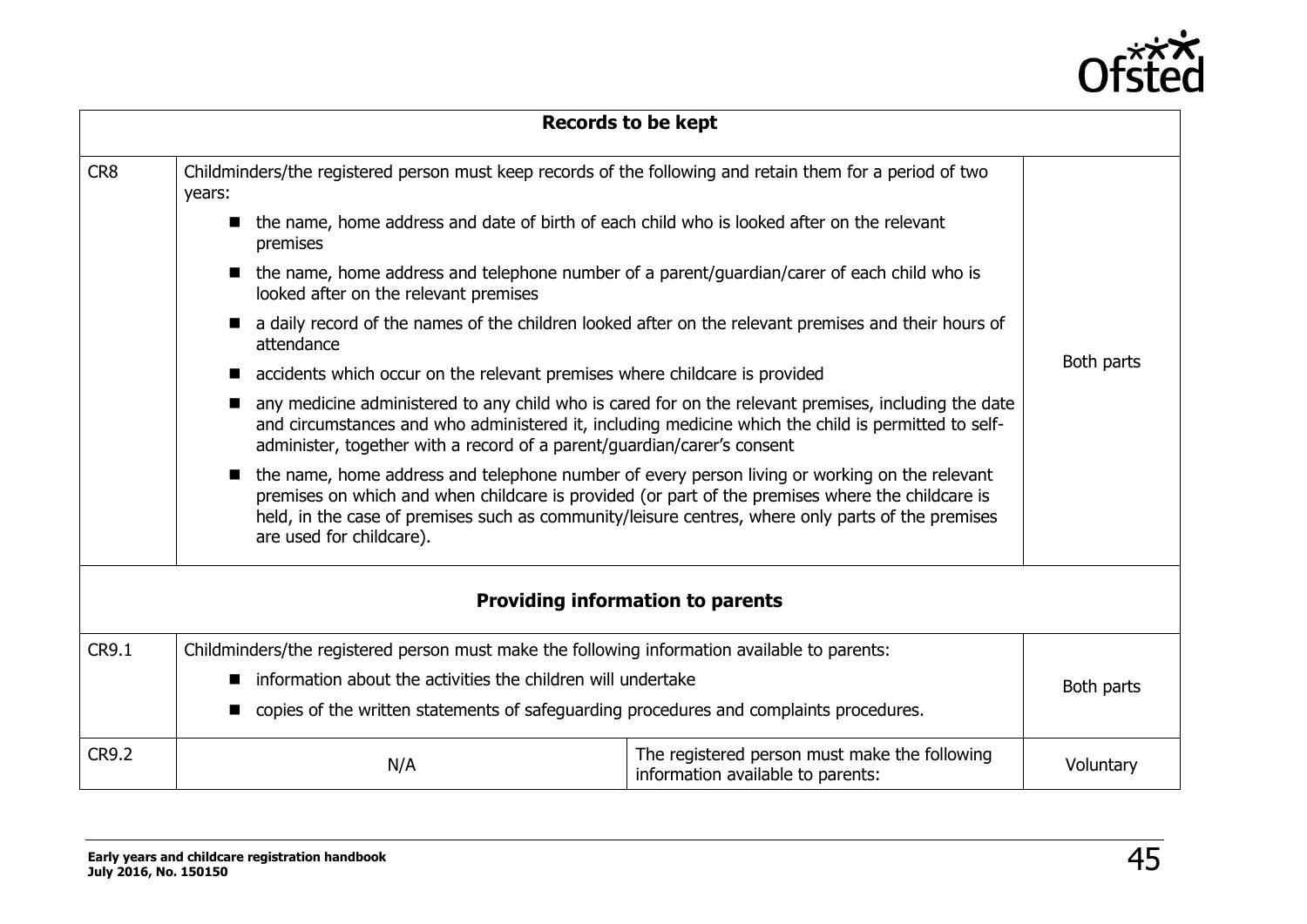

|                                         |                                                                                                                                      | <b>Records to be kept</b>                                                                                                                                                                                   |            |  |
|-----------------------------------------|--------------------------------------------------------------------------------------------------------------------------------------|-------------------------------------------------------------------------------------------------------------------------------------------------------------------------------------------------------------|------------|--|
| CR8                                     | Childminders/the registered person must keep records of the following and retain them for a period of two<br>years:                  |                                                                                                                                                                                                             |            |  |
|                                         | the name, home address and date of birth of each child who is looked after on the relevant<br>$\blacksquare$<br>premises             |                                                                                                                                                                                                             |            |  |
|                                         | the name, home address and telephone number of a parent/guardian/carer of each child who is<br>looked after on the relevant premises |                                                                                                                                                                                                             |            |  |
|                                         | attendance                                                                                                                           | a daily record of the names of the children looked after on the relevant premises and their hours of                                                                                                        |            |  |
|                                         | accidents which occur on the relevant premises where childcare is provided                                                           |                                                                                                                                                                                                             | Both parts |  |
|                                         | administer, together with a record of a parent/guardian/carer's consent                                                              | any medicine administered to any child who is cared for on the relevant premises, including the date<br>and circumstances and who administered it, including medicine which the child is permitted to self- |            |  |
|                                         | • the name, home address and telephone number of every person living or working on the relevant<br>are used for childcare).          | premises on which and when childcare is provided (or part of the premises where the childcare is<br>held, in the case of premises such as community/leisure centres, where only parts of the premises       |            |  |
| <b>Providing information to parents</b> |                                                                                                                                      |                                                                                                                                                                                                             |            |  |
| CR9.1                                   | Childminders/the registered person must make the following information available to parents:                                         |                                                                                                                                                                                                             |            |  |
|                                         | information about the activities the children will undertake<br>$\blacksquare$                                                       |                                                                                                                                                                                                             | Both parts |  |
|                                         | copies of the written statements of safeguarding procedures and complaints procedures.                                               |                                                                                                                                                                                                             |            |  |
| <b>CR9.2</b>                            | N/A                                                                                                                                  | The registered person must make the following<br>information available to parents:                                                                                                                          | Voluntary  |  |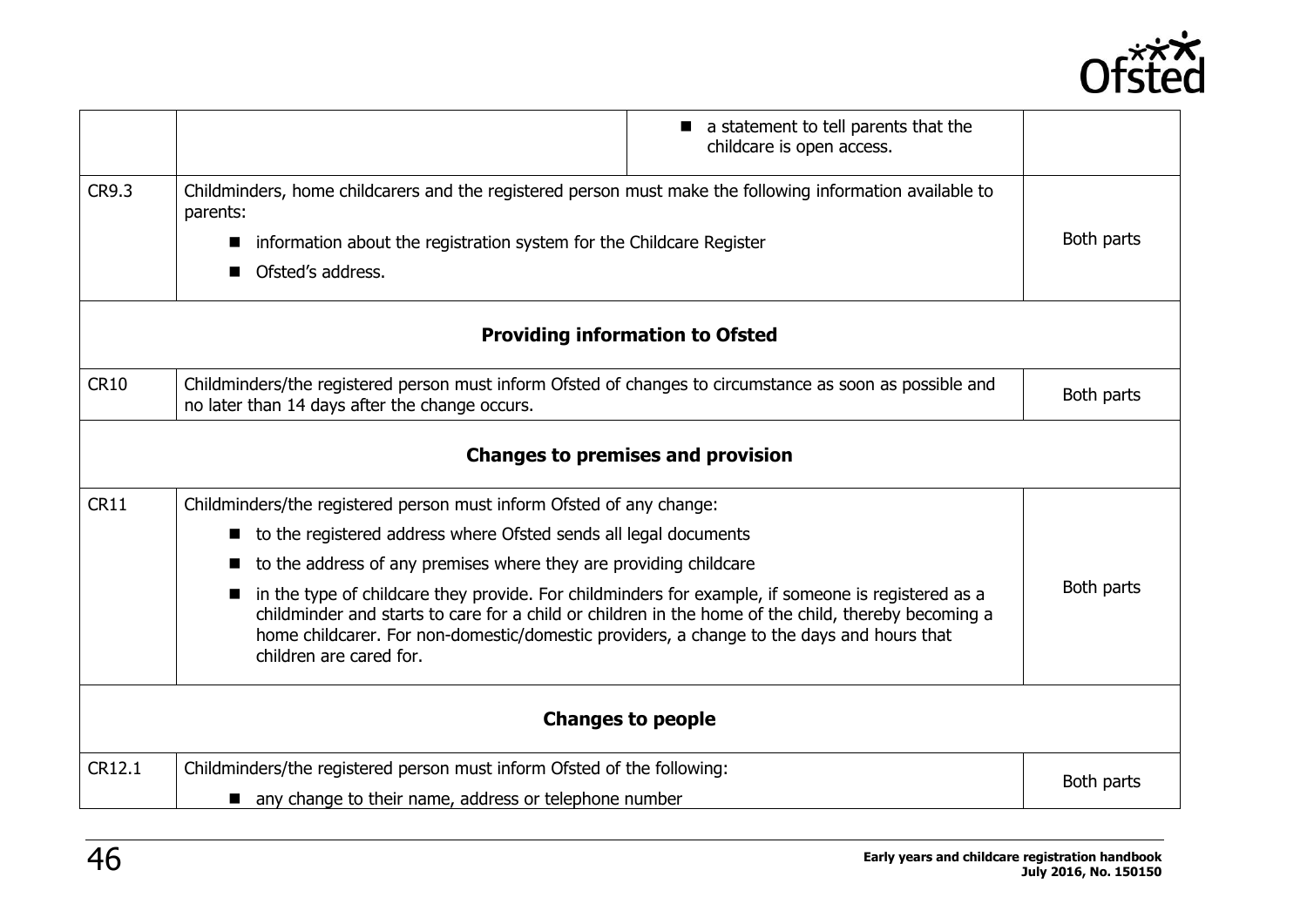

|             |                                                                                                                                                                                                                                                                                                                                   | a statement to tell parents that the<br>childcare is open access. |            |
|-------------|-----------------------------------------------------------------------------------------------------------------------------------------------------------------------------------------------------------------------------------------------------------------------------------------------------------------------------------|-------------------------------------------------------------------|------------|
| CR9.3       | Childminders, home childcarers and the registered person must make the following information available to<br>parents:                                                                                                                                                                                                             |                                                                   |            |
|             | information about the registration system for the Childcare Register<br>ш                                                                                                                                                                                                                                                         |                                                                   | Both parts |
|             | Ofsted's address.                                                                                                                                                                                                                                                                                                                 |                                                                   |            |
|             | <b>Providing information to Ofsted</b>                                                                                                                                                                                                                                                                                            |                                                                   |            |
| <b>CR10</b> | Childminders/the registered person must inform Ofsted of changes to circumstance as soon as possible and<br>no later than 14 days after the change occurs.                                                                                                                                                                        |                                                                   | Both parts |
|             | <b>Changes to premises and provision</b>                                                                                                                                                                                                                                                                                          |                                                                   |            |
| <b>CR11</b> | Childminders/the registered person must inform Ofsted of any change:                                                                                                                                                                                                                                                              |                                                                   |            |
|             | to the registered address where Ofsted sends all legal documents                                                                                                                                                                                                                                                                  |                                                                   |            |
|             | to the address of any premises where they are providing childcare                                                                                                                                                                                                                                                                 |                                                                   |            |
|             | in the type of childcare they provide. For childminders for example, if someone is registered as a<br>childminder and starts to care for a child or children in the home of the child, thereby becoming a<br>home childcarer. For non-domestic/domestic providers, a change to the days and hours that<br>children are cared for. |                                                                   | Both parts |
|             | <b>Changes to people</b>                                                                                                                                                                                                                                                                                                          |                                                                   |            |
| CR12.1      | Childminders/the registered person must inform Ofsted of the following:                                                                                                                                                                                                                                                           |                                                                   | Both parts |
|             | ■ any change to their name, address or telephone number                                                                                                                                                                                                                                                                           |                                                                   |            |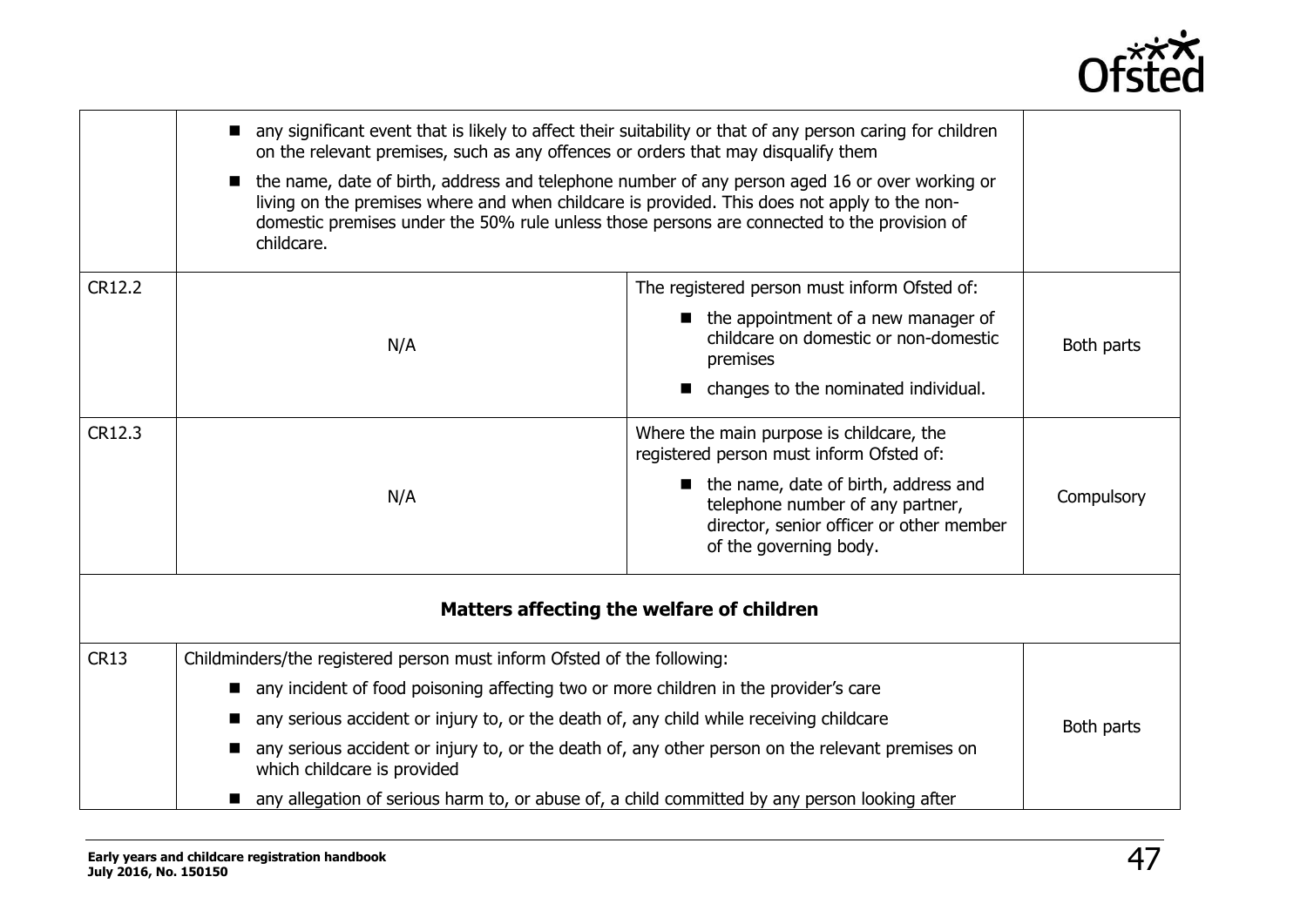

|                                           | any significant event that is likely to affect their suitability or that of any person caring for children<br>on the relevant premises, such as any offences or orders that may disqualify them<br>the name, date of birth, address and telephone number of any person aged 16 or over working or<br>$\blacksquare$<br>living on the premises where and when childcare is provided. This does not apply to the non-<br>domestic premises under the 50% rule unless those persons are connected to the provision of<br>childcare. |                                                                                                                                                                                                                                        |            |  |
|-------------------------------------------|----------------------------------------------------------------------------------------------------------------------------------------------------------------------------------------------------------------------------------------------------------------------------------------------------------------------------------------------------------------------------------------------------------------------------------------------------------------------------------------------------------------------------------|----------------------------------------------------------------------------------------------------------------------------------------------------------------------------------------------------------------------------------------|------------|--|
| CR12.2                                    | N/A                                                                                                                                                                                                                                                                                                                                                                                                                                                                                                                              | The registered person must inform Ofsted of:<br>• the appointment of a new manager of<br>childcare on domestic or non-domestic<br>premises<br>changes to the nominated individual.                                                     | Both parts |  |
| CR12.3                                    | N/A                                                                                                                                                                                                                                                                                                                                                                                                                                                                                                                              | Where the main purpose is childcare, the<br>registered person must inform Ofsted of:<br>the name, date of birth, address and<br>telephone number of any partner,<br>director, senior officer or other member<br>of the governing body. | Compulsory |  |
| Matters affecting the welfare of children |                                                                                                                                                                                                                                                                                                                                                                                                                                                                                                                                  |                                                                                                                                                                                                                                        |            |  |
| <b>CR13</b>                               | Childminders/the registered person must inform Ofsted of the following:<br>■ any incident of food poisoning affecting two or more children in the provider's care<br>any serious accident or injury to, or the death of, any child while receiving childcare<br>any serious accident or injury to, or the death of, any other person on the relevant premises on<br>which childcare is provided<br>any allegation of serious harm to, or abuse of, a child committed by any person looking after                                 |                                                                                                                                                                                                                                        | Both parts |  |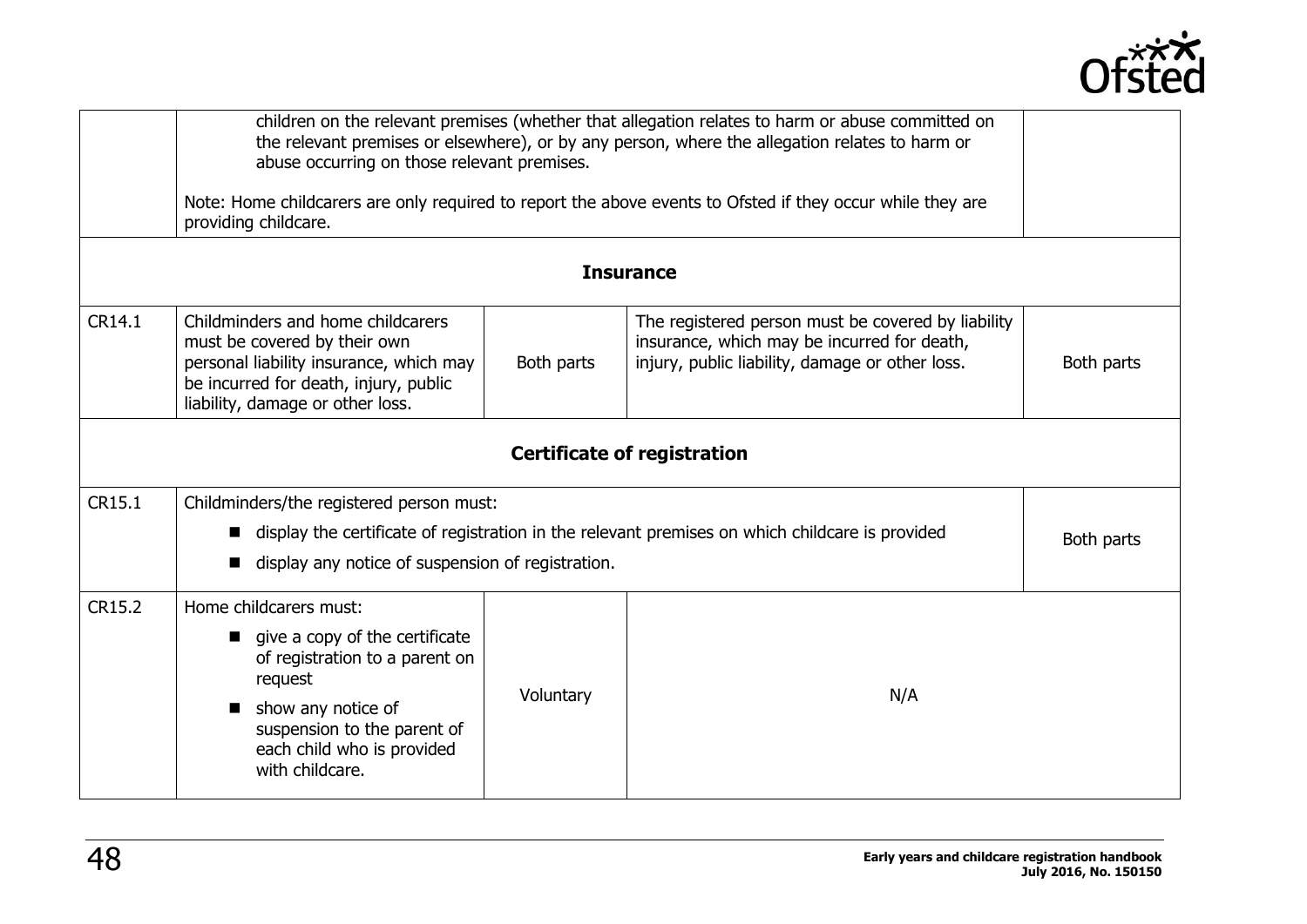

|        | children on the relevant premises (whether that allegation relates to harm or abuse committed on<br>the relevant premises or elsewhere), or by any person, where the allegation relates to harm or<br>abuse occurring on those relevant premises.<br>Note: Home childcarers are only required to report the above events to Ofsted if they occur while they are<br>providing childcare. |           |                                                                                                                                                      |            |
|--------|-----------------------------------------------------------------------------------------------------------------------------------------------------------------------------------------------------------------------------------------------------------------------------------------------------------------------------------------------------------------------------------------|-----------|------------------------------------------------------------------------------------------------------------------------------------------------------|------------|
|        |                                                                                                                                                                                                                                                                                                                                                                                         |           | <b>Insurance</b>                                                                                                                                     |            |
| CR14.1 | Childminders and home childcarers<br>must be covered by their own<br>personal liability insurance, which may<br>be incurred for death, injury, public<br>liability, damage or other loss.                                                                                                                                                                                               |           | The registered person must be covered by liability<br>insurance, which may be incurred for death,<br>injury, public liability, damage or other loss. | Both parts |
|        |                                                                                                                                                                                                                                                                                                                                                                                         |           | <b>Certificate of registration</b>                                                                                                                   |            |
| CR15.1 | Childminders/the registered person must:<br>display the certificate of registration in the relevant premises on which childcare is provided<br>Both parts<br>display any notice of suspension of registration.                                                                                                                                                                          |           |                                                                                                                                                      |            |
| CR15.2 | Home childcarers must:<br>give a copy of the certificate<br>$\blacksquare$<br>of registration to a parent on<br>request<br>show any notice of<br>$\blacksquare$<br>suspension to the parent of<br>each child who is provided<br>with childcare.                                                                                                                                         | Voluntary | N/A                                                                                                                                                  |            |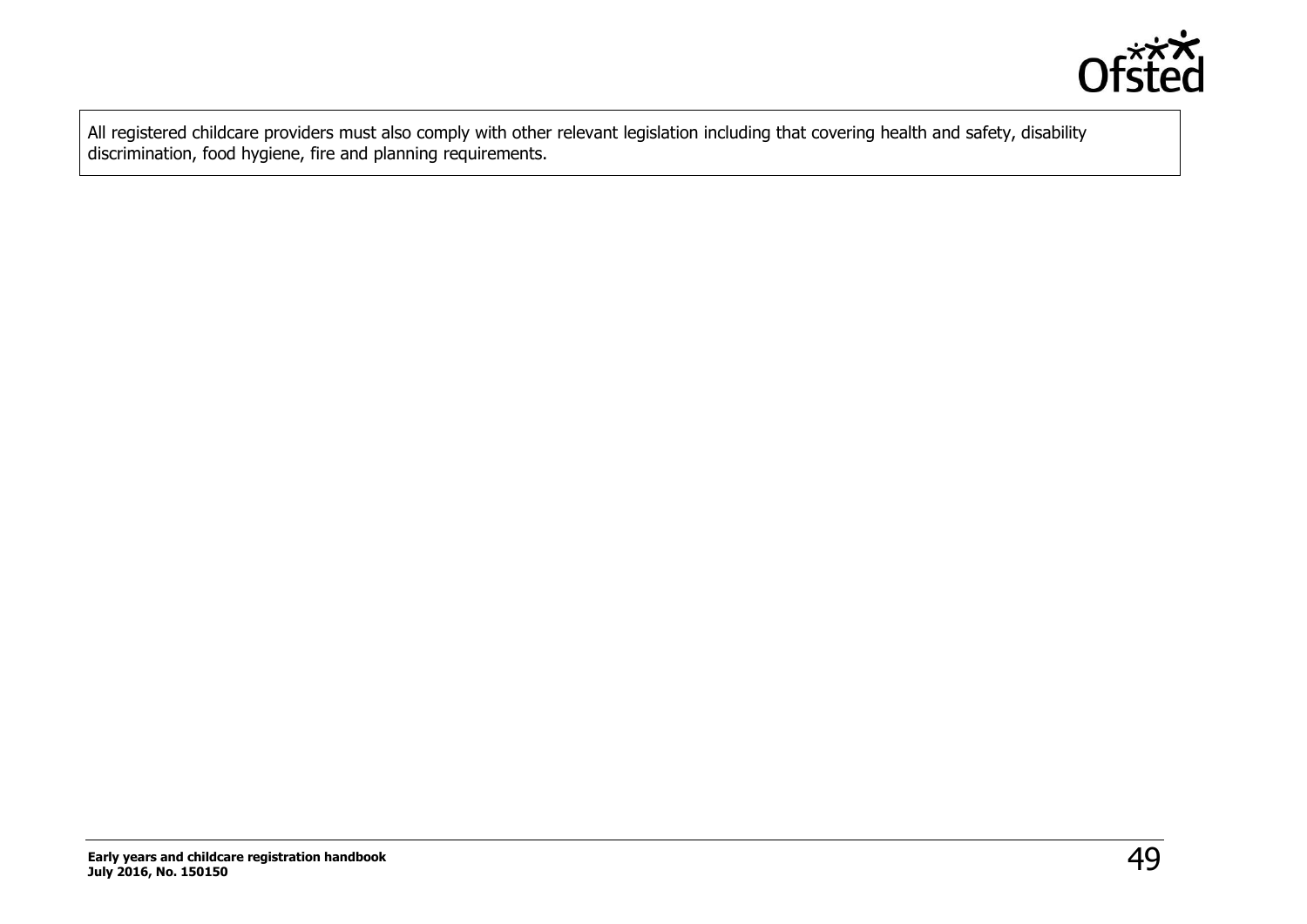

All registered childcare providers must also comply with other relevant legislation including that covering health and safety, disability discrimination, food hygiene, fire and planning requirements.